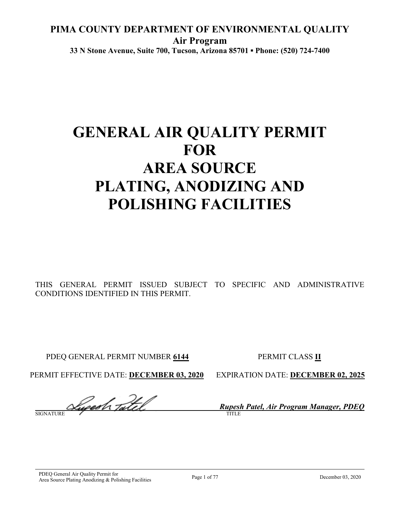# **PIMA COUNTY DEPARTMENT OF ENVIRONMENTAL QUALITY Air Program**

**33 N Stone Avenue, Suite 700, Tucson, Arizona 85701 ▪ Phone: (520) 724-7400**

# **GENERAL AIR QUALITY PERMIT FOR AREA SOURCE PLATING, ANODIZING AND POLISHING FACILITIES**

THIS GENERAL PERMIT ISSUED SUBJECT TO SPECIFIC AND ADMINISTRATIVE CONDITIONS IDENTIFIED IN THIS PERMIT.

PDEQ GENERAL PERMIT NUMBER 6144 PERMIT CLASS II

PERMIT EFFECTIVE DATE: **DECEMBER 03, 2020** EXPIRATION DATE: **DECEMBER 02, 2025**

SIGNATURE Superbon Taitel

*Rupesh Patel, Air Program Manager, PDEQ*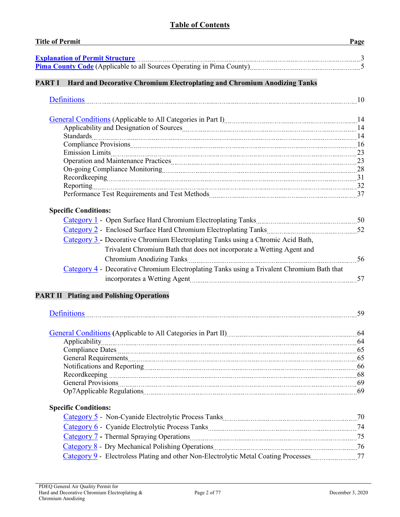# **Table of Contents**

| <b>Explanation of Permit Structure</b><br>Pima County Code (Applicable to all Sources Operating in Pima County) [11, 2010] [11, 2010]<br>PART I Hard and Decorative Chromium Electroplating and Chromium Anodizing Tanks<br>Definitions 10<br>Standards 14<br>Emission Limits 23 |
|----------------------------------------------------------------------------------------------------------------------------------------------------------------------------------------------------------------------------------------------------------------------------------|
|                                                                                                                                                                                                                                                                                  |
|                                                                                                                                                                                                                                                                                  |
|                                                                                                                                                                                                                                                                                  |
|                                                                                                                                                                                                                                                                                  |
|                                                                                                                                                                                                                                                                                  |
|                                                                                                                                                                                                                                                                                  |
|                                                                                                                                                                                                                                                                                  |
|                                                                                                                                                                                                                                                                                  |
|                                                                                                                                                                                                                                                                                  |
|                                                                                                                                                                                                                                                                                  |
|                                                                                                                                                                                                                                                                                  |
|                                                                                                                                                                                                                                                                                  |
|                                                                                                                                                                                                                                                                                  |
| <b>Specific Conditions:</b>                                                                                                                                                                                                                                                      |
|                                                                                                                                                                                                                                                                                  |
|                                                                                                                                                                                                                                                                                  |
| Category 3 - Decorative Chromium Electroplating Tanks using a Chromic Acid Bath,                                                                                                                                                                                                 |
| Trivalent Chromium Bath that does not incorporate a Wetting Agent and                                                                                                                                                                                                            |
|                                                                                                                                                                                                                                                                                  |
| Category 4 - Decorative Chromium Electroplating Tanks using a Trivalent Chromium Bath that                                                                                                                                                                                       |
|                                                                                                                                                                                                                                                                                  |
| incorporates a Wetting Agent manual content and the state of the S7                                                                                                                                                                                                              |
| <b>PART II Plating and Polishing Operations</b>                                                                                                                                                                                                                                  |
| Definitions <b>Definitions CONSTRAINER AND INCORPORATION CONSTRAINING CONTINUES AND ACTUAL CONSTRAINING CONTINUES AND ACTUAL CONTINUES AND ACTUAL CONTINUES.</b><br>59                                                                                                           |

|                           | 64   |
|---------------------------|------|
|                           |      |
|                           | 65   |
|                           |      |
|                           | -68  |
| <b>General Provisions</b> | - 69 |
| Op7Applicable Regulations | 69   |

# **Specific Conditions:**

| Category 5 - Non-Cyanide Electrolytic Process Tanks                                 | 70 |
|-------------------------------------------------------------------------------------|----|
| Category 6 - Cyanide Electrolytic Process Tanks                                     | 74 |
| Category 7 - Thermal Spraying Operations                                            |    |
| Category 8 - Dry Mechanical Polishing Operations                                    | 76 |
| Category 9 - Electroless Plating and other Non-Electrolytic Metal Coating Processes |    |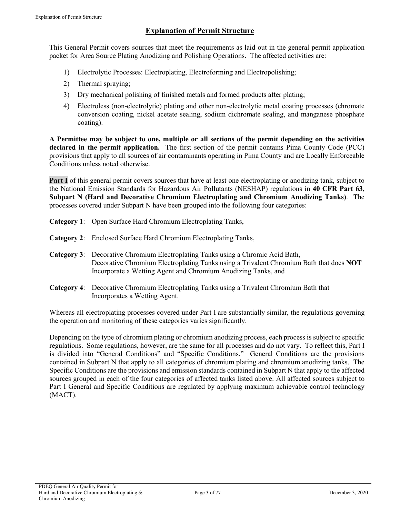# **Explanation of Permit Structure**

<span id="page-2-0"></span>This General Permit covers sources that meet the requirements as laid out in the general permit application packet for Area Source Plating Anodizing and Polishing Operations. The affected activities are:

- 1) Electrolytic Processes: Electroplating, Electroforming and Electropolishing;
- 2) Thermal spraying;
- 3) Dry mechanical polishing of finished metals and formed products after plating;
- 4) Electroless (non-electrolytic) plating and other non-electrolytic metal coating processes (chromate conversion coating, nickel acetate sealing, sodium dichromate sealing, and manganese phosphate coating).

**A Permittee may be subject to one, multiple or all sections of the permit depending on the activities declared in the permit application.** The first section of the permit contains Pima County Code (PCC) provisions that apply to all sources of air contaminants operating in Pima County and are Locally Enforceable Conditions unless noted otherwise.

**Part I** of this general permit covers sources that have at least one electroplating or anodizing tank, subject to the National Emission Standards for Hazardous Air Pollutants (NESHAP) regulations in **40 CFR Part 63, Subpart N (Hard and Decorative Chromium Electroplating and Chromium Anodizing Tanks)**. The processes covered under Subpart N have been grouped into the following four categories:

- **Category 1**: Open Surface Hard Chromium Electroplating Tanks,
- **Category 2**: Enclosed Surface Hard Chromium Electroplating Tanks,
- **Category 3**: Decorative Chromium Electroplating Tanks using a Chromic Acid Bath, Decorative Chromium Electroplating Tanks using a Trivalent Chromium Bath that does **NOT** Incorporate a Wetting Agent and Chromium Anodizing Tanks, and
- **Category 4**: Decorative Chromium Electroplating Tanks using a Trivalent Chromium Bath that Incorporates a Wetting Agent.

Whereas all electroplating processes covered under Part I are substantially similar, the regulations governing the operation and monitoring of these categories varies significantly.

Depending on the type of chromium plating or chromium anodizing process, each process is subject to specific regulations. Some regulations, however, are the same for all processes and do not vary. To reflect this, Part I is divided into "General Conditions" and "Specific Conditions." General Conditions are the provisions contained in Subpart N that apply to all categories of chromium plating and chromium anodizing tanks. The Specific Conditions are the provisions and emission standards contained in Subpart N that apply to the affected sources grouped in each of the four categories of affected tanks listed above. All affected sources subject to Part I General and Specific Conditions are regulated by applying maximum achievable control technology (MACT).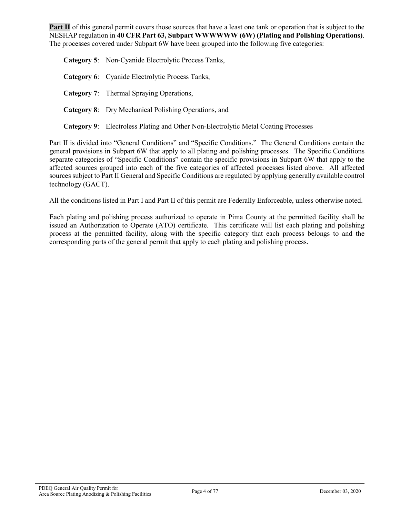**Part II** of this general permit covers those sources that have a least one tank or operation that is subject to the NESHAP regulation in **40 CFR Part 63, Subpart WWWWWW (6W) (Plating and Polishing Operations)**. The processes covered under Subpart 6W have been grouped into the following five categories:

**Category 5**: Non-Cyanide Electrolytic Process Tanks, **Category 6**: Cyanide Electrolytic Process Tanks, **Category 7**: Thermal Spraying Operations, **Category 8**: Dry Mechanical Polishing Operations, and **Category 9**: Electroless Plating and Other Non-Electrolytic Metal Coating Processes

Part II is divided into "General Conditions" and "Specific Conditions." The General Conditions contain the general provisions in Subpart 6W that apply to all plating and polishing processes. The Specific Conditions separate categories of "Specific Conditions" contain the specific provisions in Subpart 6W that apply to the affected sources grouped into each of the five categories of affected processes listed above. All affected sources subject to Part II General and Specific Conditions are regulated by applying generally available control technology (GACT).

All the conditions listed in Part I and Part II of this permit are Federally Enforceable, unless otherwise noted.

Each plating and polishing process authorized to operate in Pima County at the permitted facility shall be issued an Authorization to Operate (ATO) certificate. This certificate will list each plating and polishing process at the permitted facility, along with the specific category that each process belongs to and the corresponding parts of the general permit that apply to each plating and polishing process.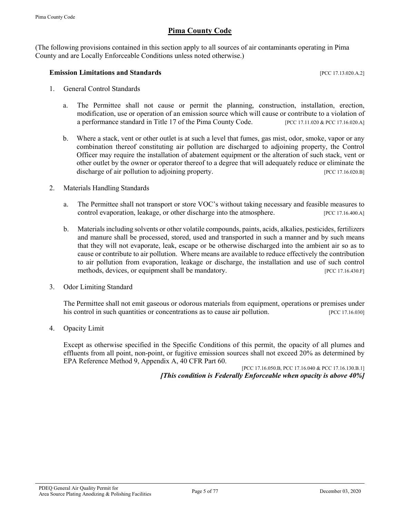# **Pima County Code**

(The following provisions contained in this section apply to all sources of air contaminants operating in Pima County and are Locally Enforceable Conditions unless noted otherwise.)

#### **Emission Limitations and Standards** [PCC 17.13.020.A.2]

- 1. General Control Standards
	- a. The Permittee shall not cause or permit the planning, construction, installation, erection, modification, use or operation of an emission source which will cause or contribute to a violation of a performance standard in Title 17 of the Pima County Code. [PCC 17.11.020 & PCC 17.16.020.A]
	- b. Where a stack, vent or other outlet is at such a level that fumes, gas mist, odor, smoke, vapor or any combination thereof constituting air pollution are discharged to adjoining property, the Control Officer may require the installation of abatement equipment or the alteration of such stack, vent or other outlet by the owner or operator thereof to a degree that will adequately reduce or eliminate the discharge of air pollution to adjoining property. [PCC 17.16.020.B]
- 2. Materials Handling Standards
	- a. The Permittee shall not transport or store VOC's without taking necessary and feasible measures to control evaporation, leakage, or other discharge into the atmosphere. [PCC 17.16.400.A]
	- b. Materials including solvents or other volatile compounds, paints, acids, alkalies, pesticides, fertilizers and manure shall be processed, stored, used and transported in such a manner and by such means that they will not evaporate, leak, escape or be otherwise discharged into the ambient air so as to cause or contribute to air pollution. Where means are available to reduce effectively the contribution to air pollution from evaporation, leakage or discharge, the installation and use of such control methods, devices, or equipment shall be mandatory. [PCC 17.16.430.F]
- 3. Odor Limiting Standard

The Permittee shall not emit gaseous or odorous materials from equipment, operations or premises under his control in such quantities or concentrations as to cause air pollution. [PCC 17.16.030]

4. Opacity Limit

Except as otherwise specified in the Specific Conditions of this permit, the opacity of all plumes and effluents from all point, non-point, or fugitive emission sources shall not exceed 20% as determined by EPA Reference Method 9, Appendix A, 40 CFR Part 60.

[PCC 17.16.050.B, PCC 17.16.040 & PCC 17.16.130.B.1] *[This condition is Federally Enforceable when opacity is above 40%]*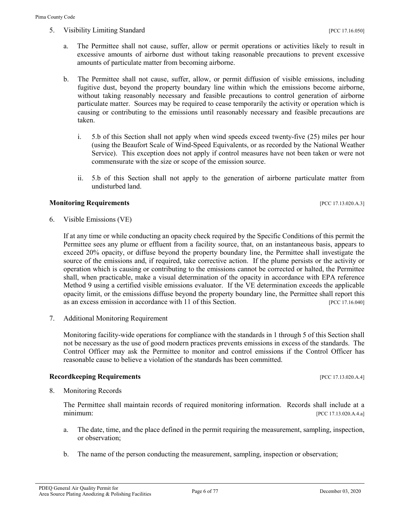- a. The Permittee shall not cause, suffer, allow or permit operations or activities likely to result in excessive amounts of airborne dust without taking reasonable precautions to prevent excessive amounts of particulate matter from becoming airborne.
- b. The Permittee shall not cause, suffer, allow, or permit diffusion of visible emissions, including fugitive dust, beyond the property boundary line within which the emissions become airborne, without taking reasonably necessary and feasible precautions to control generation of airborne particulate matter. Sources may be required to cease temporarily the activity or operation which is causing or contributing to the emissions until reasonably necessary and feasible precautions are taken.
	- i. 5.b of this Section shall not apply when wind speeds exceed twenty-five (25) miles per hour (using the Beaufort Scale of Wind-Speed Equivalents, or as recorded by the National Weather Service). This exception does not apply if control measures have not been taken or were not commensurate with the size or scope of the emission source.
	- ii. 5.b of this Section shall not apply to the generation of airborne particulate matter from undisturbed land.

## **Monitoring Requirements** [PCC 17.13.020.A.3]

6. Visible Emissions (VE)

If at any time or while conducting an opacity check required by the Specific Conditions of this permit the Permittee sees any plume or effluent from a facility source, that, on an instantaneous basis, appears to exceed 20% opacity, or diffuse beyond the property boundary line, the Permittee shall investigate the source of the emissions and, if required, take corrective action. If the plume persists or the activity or operation which is causing or contributing to the emissions cannot be corrected or halted, the Permittee shall, when practicable, make a visual determination of the opacity in accordance with EPA reference Method 9 using a certified visible emissions evaluator. If the VE determination exceeds the applicable opacity limit, or the emissions diffuse beyond the property boundary line, the Permittee shall report this as an excess emission in accordance with 11 of this Section. [PCC 17.16.040]

7. Additional Monitoring Requirement

Monitoring facility-wide operations for compliance with the standards in 1 through 5 of this Section shall not be necessary as the use of good modern practices prevents emissions in excess of the standards. The Control Officer may ask the Permittee to monitor and control emissions if the Control Officer has reasonable cause to believe a violation of the standards has been committed.

### **Recordkeeping Requirements** [PCC 17.13.020.A.4]

8. Monitoring Records

The Permittee shall maintain records of required monitoring information. Records shall include at a minimum: [PCC 17.13.020.A.4.a]

- a. The date, time, and the place defined in the permit requiring the measurement, sampling, inspection, or observation;
- b. The name of the person conducting the measurement, sampling, inspection or observation;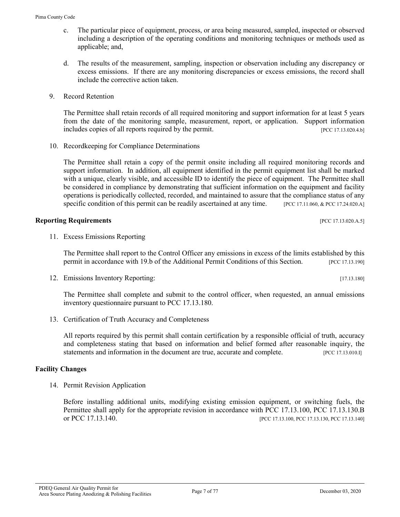- c. The particular piece of equipment, process, or area being measured, sampled, inspected or observed including a description of the operating conditions and monitoring techniques or methods used as applicable; and,
- d. The results of the measurement, sampling, inspection or observation including any discrepancy or excess emissions. If there are any monitoring discrepancies or excess emissions, the record shall include the corrective action taken.
- 9. Record Retention

The Permittee shall retain records of all required monitoring and support information for at least 5 years from the date of the monitoring sample, measurement, report, or application. Support information includes copies of all reports required by the permit. [PCC 17.13.020.4.b]

10. Recordkeeping for Compliance Determinations

The Permittee shall retain a copy of the permit onsite including all required monitoring records and support information. In addition, all equipment identified in the permit equipment list shall be marked with a unique, clearly visible, and accessible ID to identify the piece of equipment. The Permittee shall be considered in compliance by demonstrating that sufficient information on the equipment and facility operations is periodically collected, recorded, and maintained to assure that the compliance status of any specific condition of this permit can be readily ascertained at any time. [PCC 17.11.060, & PCC 17.24.020.A]

#### **Reporting Requirements** *PCC 17.13.020.A.5*

11. Excess Emissions Reporting

The Permittee shall report to the Control Officer any emissions in excess of the limits established by this permit in accordance with 19.b of the Additional Permit Conditions of this Section. [PCC 17.13.190]

12. Emissions Inventory Reporting: [17.13.180]

The Permittee shall complete and submit to the control officer, when requested, an annual emissions inventory questionnaire pursuant to PCC 17.13.180.

13. Certification of Truth Accuracy and Completeness

All reports required by this permit shall contain certification by a responsible official of truth, accuracy and completeness stating that based on information and belief formed after reasonable inquiry, the statements and information in the document are true, accurate and complete. [PCC 17.13.010.I]

## **Facility Changes**

14. Permit Revision Application

Before installing additional units, modifying existing emission equipment, or switching fuels, the Permittee shall apply for the appropriate revision in accordance with PCC 17.13.100, PCC 17.13.130.B or PCC 17.13.140. [PCC 17.13.100, PCC 17.13.130, PCC 17.13.140]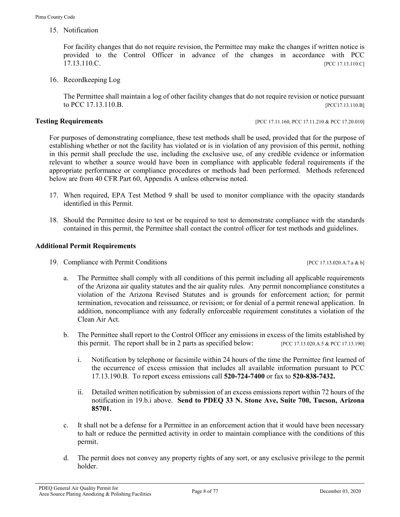15. Notification

For facility changes that do not require revision, the Permittee may make the changes if written notice is provided to the Control Officer in advance of the changes in accordance with PCC 17.13.110.C. **[PCC 17.13.110.C]** 

16. Recordkeeping Log

The Permittee shall maintain a log of other facility changes that do not require revision or notice pursuant to PCC 17.13.110.B. **[PCC17.13.110.B]** 

**Testing Requirements [PCC 17.11.160, PCC 17.11.210 & PCC 17.20.010]** 

For purposes of demonstrating compliance, these test methods shall be used, provided that for the purpose of establishing whether or not the facility has violated or is in violation of any provision of this permit, nothing in this permit shall preclude the use, including the exclusive use, of any credible evidence or information relevant to whether a source would have been in compliance with applicable federal requirements if the appropriate performance or compliance procedures or methods had been performed. Methods referenced below are from 40 CFR Part 60, Appendix A unless otherwise noted.

- 17. When required, EPA Test Method 9 shall be used to monitor compliance with the opacity standards identified in this Permit.
- 18. Should the Permittee desire to test or be required to test to demonstrate compliance with the standards contained in this permit, the Permittee shall contact the control officer for test methods and guidelines.

#### **Additional Permit Requirements**

19. Compliance with Permit Conditions [PCC 17.13.020.A.7.a & b]

- a. The Permittee shall comply with all conditions of this permit including all applicable requirements of the Arizona air quality statutes and the air quality rules. Any permit noncompliance constitutes a violation of the Arizona Revised Statutes and is grounds for enforcement action; for permit termination, revocation and reissuance, or revision; or for denial of a permit renewal application. In addition, noncompliance with any federally enforceable requirement constitutes a violation of the Clean Air Act.
- b. The Permittee shall report to the Control Officer any emissions in excess of the limits established by this permit. The report shall be in 2 parts as specified below: [PCC 17.13.020.A.5 & PCC 17.13.190]
	- i. Notification by telephone or facsimile within 24 hours of the time the Permittee first learned of the occurrence of excess emission that includes all available information pursuant to PCC 17.13.190.B. To report excess emissions call **520-724-7400** or fax to **520-838-7432.**
	- ii. Detailed written notification by submission of an excess emissions report within 72 hours of the notification in 19.b.i above. **Send to PDEQ 33 N. Stone Ave, Suite 700, Tucson, Arizona 85701.**
- c. It shall not be a defense for a Permittee in an enforcement action that it would have been necessary to halt or reduce the permitted activity in order to maintain compliance with the conditions of this permit.
- d. The permit does not convey any property rights of any sort, or any exclusive privilege to the permit holder.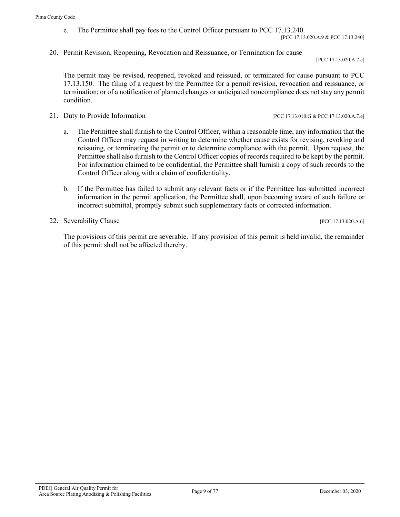e. The Permittee shall pay fees to the Control Officer pursuant to PCC 17.13.240.

[PCC 17.13.020.A.9 & PCC 17.13.240]

20. Permit Revision, Reopening, Revocation and Reissuance, or Termination for cause

[PCC 17.13.020.A.7.c]

The permit may be revised, reopened, revoked and reissued, or terminated for cause pursuant to PCC 17.13.150. The filing of a request by the Permittee for a permit revision, revocation and reissuance, or termination; or of a notification of planned changes or anticipated noncompliance does not stay any permit condition.

- 21. Duty to Provide Information [PCC 17.13.010.G & PCC 17.13.020.A.7.e]
	- a. The Permittee shall furnish to the Control Officer, within a reasonable time, any information that the Control Officer may request in writing to determine whether cause exists for revising, revoking and reissuing, or terminating the permit or to determine compliance with the permit. Upon request, the Permittee shall also furnish to the Control Officer copies of records required to be kept by the permit. For information claimed to be confidential, the Permittee shall furnish a copy of such records to the Control Officer along with a claim of confidentiality.
	- b. If the Permittee has failed to submit any relevant facts or if the Permittee has submitted incorrect information in the permit application, the Permittee shall, upon becoming aware of such failure or incorrect submittal, promptly submit such supplementary facts or corrected information.

### 22. Severability Clause [PCC 17.13.020.A.6]

The provisions of this permit are severable. If any provision of this permit is held invalid, the remainder of this permit shall not be affected thereby.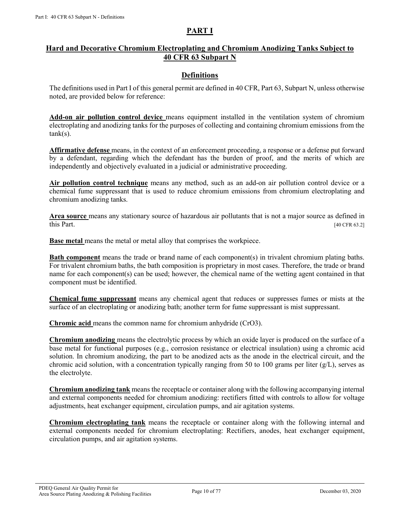# **PART I**

# **Hard and Decorative Chromium Electroplating and Chromium Anodizing Tanks Subject to 40 CFR 63 Subpart N**

# **Definitions**

<span id="page-9-0"></span>The definitions used in Part I of this general permit are defined in 40 CFR, Part 63, Subpart N, unless otherwise noted, are provided below for reference:

**Add-on air pollution control device** means equipment installed in the ventilation system of chromium electroplating and anodizing tanks for the purposes of collecting and containing chromium emissions from the  $tank(s)$ .

**Affirmative defense** means, in the context of an enforcement proceeding, a response or a defense put forward by a defendant, regarding which the defendant has the burden of proof, and the merits of which are independently and objectively evaluated in a judicial or administrative proceeding.

**Air pollution control technique** means any method, such as an add-on air pollution control device or a chemical fume suppressant that is used to reduce chromium emissions from chromium electroplating and chromium anodizing tanks.

**Area source** means any stationary source of hazardous air pollutants that is not a major source as defined in this Part. [40 CFR 63.2]

**Base metal** means the metal or metal alloy that comprises the workpiece.

**Bath component** means the trade or brand name of each component(s) in trivalent chromium plating baths. For trivalent chromium baths, the bath composition is proprietary in most cases. Therefore, the trade or brand name for each component(s) can be used; however, the chemical name of the wetting agent contained in that component must be identified.

**Chemical fume suppressant** means any chemical agent that reduces or suppresses fumes or mists at the surface of an electroplating or anodizing bath; another term for fume suppressant is mist suppressant.

**Chromic acid** means the common name for chromium anhydride (CrO3).

**Chromium anodizing** means the electrolytic process by which an oxide layer is produced on the surface of a base metal for functional purposes (e.g., corrosion resistance or electrical insulation) using a chromic acid solution. In chromium anodizing, the part to be anodized acts as the anode in the electrical circuit, and the chromic acid solution, with a concentration typically ranging from 50 to 100 grams per liter  $(g/L)$ , serves as the electrolyte.

**Chromium anodizing tank** means the receptacle or container along with the following accompanying internal and external components needed for chromium anodizing: rectifiers fitted with controls to allow for voltage adjustments, heat exchanger equipment, circulation pumps, and air agitation systems.

**Chromium electroplating tank** means the receptacle or container along with the following internal and external components needed for chromium electroplating: Rectifiers, anodes, heat exchanger equipment, circulation pumps, and air agitation systems.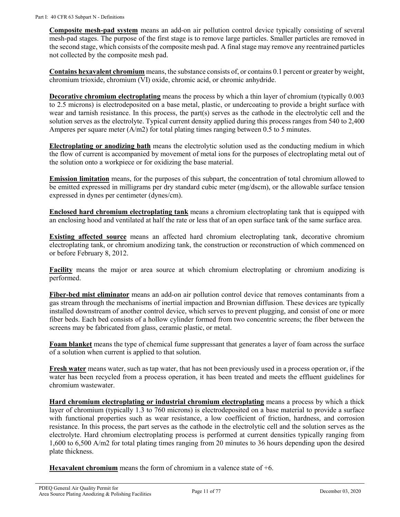**Composite mesh-pad system** means an add-on air pollution control device typically consisting of several mesh-pad stages. The purpose of the first stage is to remove large particles. Smaller particles are removed in the second stage, which consists of the composite mesh pad. A final stage may remove any reentrained particles not collected by the composite mesh pad.

**Contains hexavalent chromium** means, the substance consists of, or contains 0.1 percent or greater by weight, chromium trioxide, chromium (VI) oxide, chromic acid, or chromic anhydride.

**Decorative chromium electroplating** means the process by which a thin layer of chromium (typically 0.003 to 2.5 microns) is electrodeposited on a base metal, plastic, or undercoating to provide a bright surface with wear and tarnish resistance. In this process, the part(s) serves as the cathode in the electrolytic cell and the solution serves as the electrolyte. Typical current density applied during this process ranges from 540 to 2,400 Amperes per square meter  $(A/m2)$  for total plating times ranging between 0.5 to 5 minutes.

**Electroplating or anodizing bath** means the electrolytic solution used as the conducting medium in which the flow of current is accompanied by movement of metal ions for the purposes of electroplating metal out of the solution onto a workpiece or for oxidizing the base material.

**Emission limitation** means, for the purposes of this subpart, the concentration of total chromium allowed to be emitted expressed in milligrams per dry standard cubic meter (mg/dscm), or the allowable surface tension expressed in dynes per centimeter (dynes/cm).

**Enclosed hard chromium electroplating tank** means a chromium electroplating tank that is equipped with an enclosing hood and ventilated at half the rate or less that of an open surface tank of the same surface area.

**Existing affected source** means an affected hard chromium electroplating tank, decorative chromium electroplating tank, or chromium anodizing tank, the construction or reconstruction of which commenced on or before February 8, 2012.

**Facility** means the major or area source at which chromium electroplating or chromium anodizing is performed.

**Fiber-bed mist eliminator** means an add-on air pollution control device that removes contaminants from a gas stream through the mechanisms of inertial impaction and Brownian diffusion. These devices are typically installed downstream of another control device, which serves to prevent plugging, and consist of one or more fiber beds. Each bed consists of a hollow cylinder formed from two concentric screens; the fiber between the screens may be fabricated from glass, ceramic plastic, or metal.

**Foam blanket** means the type of chemical fume suppressant that generates a layer of foam across the surface of a solution when current is applied to that solution.

**Fresh water** means water, such as tap water, that has not been previously used in a process operation or, if the water has been recycled from a process operation, it has been treated and meets the effluent guidelines for chromium wastewater.

**Hard chromium electroplating or industrial chromium electroplating** means a process by which a thick layer of chromium (typically 1.3 to 760 microns) is electrodeposited on a base material to provide a surface with functional properties such as wear resistance, a low coefficient of friction, hardness, and corrosion resistance. In this process, the part serves as the cathode in the electrolytic cell and the solution serves as the electrolyte. Hard chromium electroplating process is performed at current densities typically ranging from 1,600 to 6,500 A/m2 for total plating times ranging from 20 minutes to 36 hours depending upon the desired plate thickness.

**Hexavalent chromium** means the form of chromium in a valence state of +6.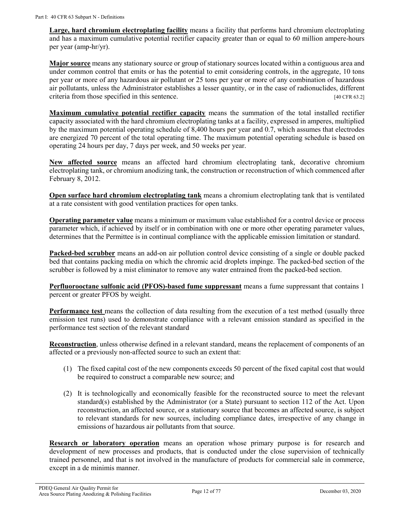**Large, hard chromium electroplating facility** means a facility that performs hard chromium electroplating and has a maximum cumulative potential rectifier capacity greater than or equal to 60 million ampere-hours per year (amp-hr/yr).

**Major source** means any stationary source or group of stationary sources located within a contiguous area and under common control that emits or has the potential to emit considering controls, in the aggregate, 10 tons per year or more of any hazardous air pollutant or 25 tons per year or more of any combination of hazardous air pollutants, unless the Administrator establishes a lesser quantity, or in the case of radionuclides, different criteria from those specified in this sentence. [40 CFR 63.2]

**Maximum cumulative potential rectifier capacity** means the summation of the total installed rectifier capacity associated with the hard chromium electroplating tanks at a facility, expressed in amperes, multiplied by the maximum potential operating schedule of 8,400 hours per year and 0.7, which assumes that electrodes are energized 70 percent of the total operating time. The maximum potential operating schedule is based on operating 24 hours per day, 7 days per week, and 50 weeks per year.

**New affected source** means an affected hard chromium electroplating tank, decorative chromium electroplating tank, or chromium anodizing tank, the construction or reconstruction of which commenced after February 8, 2012.

**Open surface hard chromium electroplating tank** means a chromium electroplating tank that is ventilated at a rate consistent with good ventilation practices for open tanks.

**Operating parameter value** means a minimum or maximum value established for a control device or process parameter which, if achieved by itself or in combination with one or more other operating parameter values, determines that the Permittee is in continual compliance with the applicable emission limitation or standard.

**Packed-bed scrubber** means an add-on air pollution control device consisting of a single or double packed bed that contains packing media on which the chromic acid droplets impinge. The packed-bed section of the scrubber is followed by a mist eliminator to remove any water entrained from the packed-bed section.

**Perfluorooctane sulfonic acid (PFOS)-based fume suppressant** means a fume suppressant that contains 1 percent or greater PFOS by weight.

**Performance test** means the collection of data resulting from the execution of a test method (usually three emission test runs) used to demonstrate compliance with a relevant emission standard as specified in the performance test section of the relevant standard

**Reconstruction**, unless otherwise defined in a relevant standard, means the replacement of components of an affected or a previously non-affected source to such an extent that:

- (1) The fixed capital cost of the new components exceeds 50 percent of the fixed capital cost that would be required to construct a comparable new source; and
- (2) It is technologically and economically feasible for the reconstructed source to meet the relevant standard(s) established by the Administrator (or a State) pursuant to section 112 of the Act. Upon reconstruction, an affected source, or a stationary source that becomes an affected source, is subject to relevant standards for new sources, including compliance dates, irrespective of any change in emissions of hazardous air pollutants from that source.

**Research or laboratory operation** means an operation whose primary purpose is for research and development of new processes and products, that is conducted under the close supervision of technically trained personnel, and that is not involved in the manufacture of products for commercial sale in commerce, except in a de minimis manner.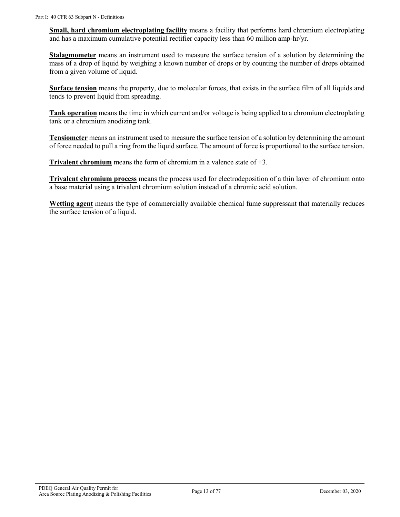**Small, hard chromium electroplating facility** means a facility that performs hard chromium electroplating and has a maximum cumulative potential rectifier capacity less than 60 million amp-hr/yr.

**Stalagmometer** means an instrument used to measure the surface tension of a solution by determining the mass of a drop of liquid by weighing a known number of drops or by counting the number of drops obtained from a given volume of liquid.

**Surface tension** means the property, due to molecular forces, that exists in the surface film of all liquids and tends to prevent liquid from spreading.

**Tank operation** means the time in which current and/or voltage is being applied to a chromium electroplating tank or a chromium anodizing tank.

**Tensiometer** means an instrument used to measure the surface tension of a solution by determining the amount of force needed to pull a ring from the liquid surface. The amount of force is proportional to the surface tension.

**Trivalent chromium** means the form of chromium in a valence state of +3.

**Trivalent chromium process** means the process used for electrodeposition of a thin layer of chromium onto a base material using a trivalent chromium solution instead of a chromic acid solution.

**Wetting agent** means the type of commercially available chemical fume suppressant that materially reduces the surface tension of a liquid.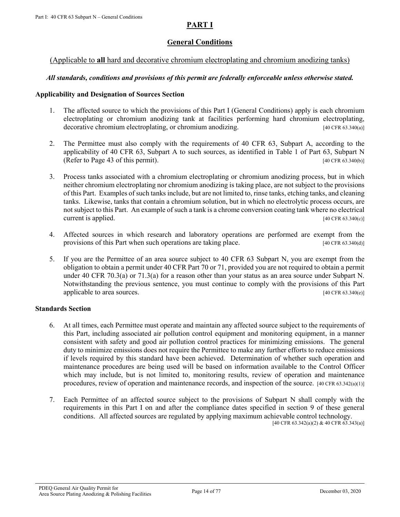# **PART I**

# **General Conditions**

# <span id="page-13-0"></span>(Applicable to **all** hard and decorative chromium electroplating and chromium anodizing tanks)

### *All standards, conditions and provisions of this permit are federally enforceable unless otherwise stated.*

#### **Applicability and Designation of Sources Section**

- 1. The affected source to which the provisions of this Part I (General Conditions) apply is each chromium electroplating or chromium anodizing tank at facilities performing hard chromium electroplating, decorative chromium electroplating, or chromium anodizing. [40 CFR 63.340(a)]
- 2. The Permittee must also comply with the requirements of 40 CFR 63, Subpart A, according to the applicability of 40 CFR 63, Subpart A to such sources, as identified in Table 1 of Part 63, Subpart N (Refer to Page 43 of this permit).  $[40 \text{ CFR } 63.340(b)]$
- 3. Process tanks associated with a chromium electroplating or chromium anodizing process, but in which neither chromium electroplating nor chromium anodizing is taking place, are not subject to the provisions of this Part. Examples of such tanks include, but are not limited to, rinse tanks, etching tanks, and cleaning tanks. Likewise, tanks that contain a chromium solution, but in which no electrolytic process occurs, are not subject to this Part. An example of such a tank is a chrome conversion coating tank where no electrical current is applied.  $[40 \text{ CFR } 63.340(c)]$
- 4. Affected sources in which research and laboratory operations are performed are exempt from the provisions of this Part when such operations are taking place. [40 CFR 63.340(d)]
- 5. If you are the Permittee of an area source subject to 40 CFR 63 Subpart N, you are exempt from the obligation to obtain a permit under 40 CFR Part 70 or 71, provided you are not required to obtain a permit under 40 CFR 70.3(a) or 71.3(a) for a reason other than your status as an area source under Subpart N. Notwithstanding the previous sentence, you must continue to comply with the provisions of this Part applicable to area sources. [40 CFR 63.340(e)]

### **Standards Section**

- 6. At all times, each Permittee must operate and maintain any affected source subject to the requirements of this Part, including associated air pollution control equipment and monitoring equipment, in a manner consistent with safety and good air pollution control practices for minimizing emissions. The general duty to minimize emissions does not require the Permittee to make any further efforts to reduce emissions if levels required by this standard have been achieved. Determination of whether such operation and maintenance procedures are being used will be based on information available to the Control Officer which may include, but is not limited to, monitoring results, review of operation and maintenance procedures, review of operation and maintenance records, and inspection of the source. [40 CFR 63.342(a)(1)]
- 7. Each Permittee of an affected source subject to the provisions of Subpart N shall comply with the requirements in this Part I on and after the compliance dates specified in section 9 of these general conditions. All affected sources are regulated by applying maximum achievable control technology. [40 CFR 63.342(a)(2) & 40 CFR 63.343(a)]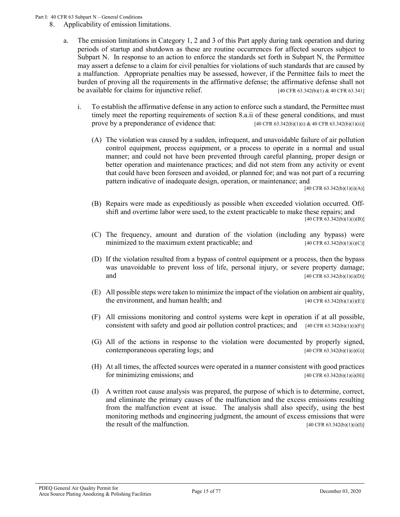- 8. Applicability of emission limitations.
	- a. The emission limitations in Category 1, 2 and 3 of this Part apply during tank operation and during periods of startup and shutdown as these are routine occurrences for affected sources subject to Subpart N. In response to an action to enforce the standards set forth in Subpart N, the Permittee may assert a defense to a claim for civil penalties for violations of such standards that are caused by a malfunction. Appropriate penalties may be assessed, however, if the Permittee fails to meet the burden of proving all the requirements in the affirmative defense; the affirmative defense shall not be available for claims for injunctive relief.  $[40 \text{ CFR } 63.342(b)(1) \& 40 \text{ CFR } 63.341]$ 
		- i. To establish the affirmative defense in any action to enforce such a standard, the Permittee must timely meet the reporting requirements of section 8.a.ii of these general conditions, and must prove by a preponderance of evidence that:  $[40 \text{ CFR } 63.342(b)(1)(i) \& 40 \text{ CFR } 63.342(b)(1)(ii)]$ 
			- (A) The violation was caused by a sudden, infrequent, and unavoidable failure of air pollution control equipment, process equipment, or a process to operate in a normal and usual manner; and could not have been prevented through careful planning, proper design or better operation and maintenance practices; and did not stem from any activity or event that could have been foreseen and avoided, or planned for; and was not part of a recurring pattern indicative of inadequate design, operation, or maintenance; and

 $[40 \text{ CFR } 63.342(b)(1)(i)(A)]$ 

- (B) Repairs were made as expeditiously as possible when exceeded violation occurred. Offshift and overtime labor were used, to the extent practicable to make these repairs; and  $[40 \text{ CFR } 63.342(b)(1)(i)(B)]$
- (C) The frequency, amount and duration of the violation (including any bypass) were minimized to the maximum extent practicable; and  $[40 \text{ CFR } 63.342(b)(1)(i)(C)]$
- (D) If the violation resulted from a bypass of control equipment or a process, then the bypass was unavoidable to prevent loss of life, personal injury, or severe property damage; and  $[40 \text{ CFR } 63.342(b)(1)(i)(D)]$
- (E) All possible steps were taken to minimize the impact of the violation on ambient air quality, the environment, and human health; and  $[40 \text{ CFR } 63.342(b)(1)(i)(E)]$
- (F) All emissions monitoring and control systems were kept in operation if at all possible, consistent with safety and good air pollution control practices; and  $[40 \text{ CFR } 63.342 \text{ (b)}(1)(i) \text{ (F)}]$
- (G) All of the actions in response to the violation were documented by properly signed, contemporaneous operating logs; and  $[40 \text{ CFR } 63.342(b)(1)(i)(G)]$
- (H) At all times, the affected sources were operated in a manner consistent with good practices for minimizing emissions; and  $[40 \text{ CFR } 63.342(b)(1)(i)(\text{H})]$
- (I) A written root cause analysis was prepared, the purpose of which is to determine, correct, and eliminate the primary causes of the malfunction and the excess emissions resulting from the malfunction event at issue. The analysis shall also specify, using the best monitoring methods and engineering judgment, the amount of excess emissions that were the result of the malfunction.  $[40 \text{ CFR } 63.342(b)(1)(i)(I)]$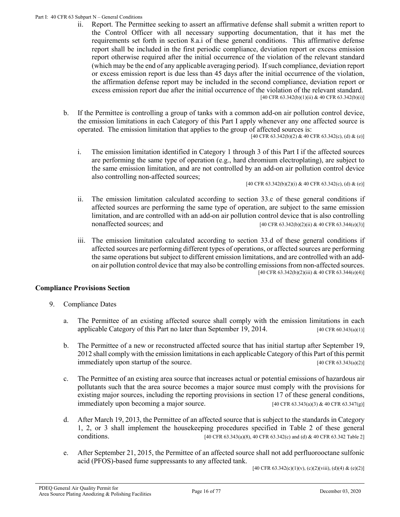- ii. Report. The Permittee seeking to assert an affirmative defense shall submit a written report to the Control Officer with all necessary supporting documentation, that it has met the requirements set forth in section 8.a.i of these general conditions. This affirmative defense report shall be included in the first periodic compliance, deviation report or excess emission report otherwise required after the initial occurrence of the violation of the relevant standard (which may be the end of any applicable averaging period). If such compliance, deviation report or excess emission report is due less than 45 days after the initial occurrence of the violation, the affirmation defense report may be included in the second compliance, deviation report or excess emission report due after the initial occurrence of the violation of the relevant standard. [40 CFR 63.342(b)(1)(ii) & 40 CFR 63.342(b)(i)]
- b. If the Permittee is controlling a group of tanks with a common add-on air pollution control device, the emission limitations in each Category of this Part I apply whenever any one affected source is operated. The emission limitation that applies to the group of affected sources is:

 $[40 \text{ CFR } 63.342 \text{ (b)} \text{ (2)} \& 40 \text{ CFR } 63.342 \text{ (c)}, \text{ (d)} \& \text{ (e)}]$ 

i. The emission limitation identified in Category 1 through 3 of this Part I if the affected sources are performing the same type of operation (e.g., hard chromium electroplating), are subject to the same emission limitation, and are not controlled by an add-on air pollution control device also controlling non-affected sources;

[40 CFR 63.342(b)(2)(i) & 40 CFR 63.342(c), (d) & (e)]

- ii. The emission limitation calculated according to section 33.c of these general conditions if affected sources are performing the same type of operation, are subject to the same emission limitation, and are controlled with an add-on air pollution control device that is also controlling nonaffected sources; and [40 CFR 63.342(b)(2)(ii) & 40 CFR 63.344(e)(3)]
- iii. The emission limitation calculated according to section 33.d of these general conditions if affected sources are performing different types of operations, or affected sources are performing the same operations but subject to different emission limitations, and are controlled with an addon air pollution control device that may also be controlling emissions from non-affected sources. [40 CFR 63.342(b)(2)(iii) & 40 CFR 63.344(e)(4)]

### **Compliance Provisions Section**

- 9. Compliance Dates
	- a. The Permittee of an existing affected source shall comply with the emission limitations in each applicable Category of this Part no later than September 19, 2014. [40 CFR 60.343(a)(1)]
	- b. The Permittee of a new or reconstructed affected source that has initial startup after September 19, 2012 shall comply with the emission limitations in each applicable Category of this Part of this permit immediately upon startup of the source. [40 CFR 63.343(a)(2)]
	- c. The Permittee of an existing area source that increases actual or potential emissions of hazardous air pollutants such that the area source becomes a major source must comply with the provisions for existing major sources, including the reporting provisions in section 17 of these general conditions, immediately upon becoming a major source.  $[40 \text{ CFR } 63.343(a)(3) \& 40 \text{ CFR } 63.347(g)]$
	- d. After March 19, 2013, the Permittee of an affected source that is subject to the standards in Category 1, 2, or 3 shall implement the housekeeping procedures specified in Table 2 of these general conditions. [40 CFR 63.343(a)(8), 40 CFR 63.342(c) and (d) & 40 CFR 63.342 Table 2]
	- e. After September 21, 2015, the Permittee of an affected source shall not add perfluorooctane sulfonic acid (PFOS)-based fume suppressants to any affected tank.

[40 CFR  $63.342(c)(1)(v)$ ,  $(c)(2)(viii)$ ,  $(d)(4) & (e)(2)]$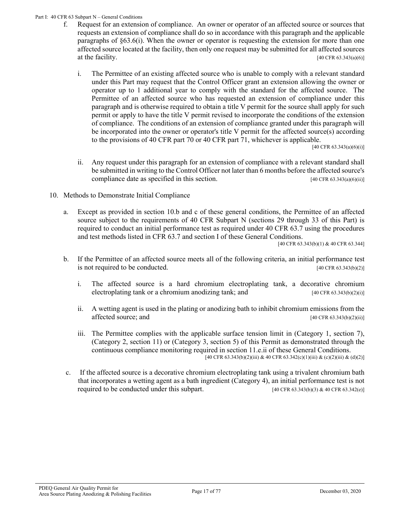- f. Request for an extension of compliance. An owner or operator of an affected source or sources that requests an extension of compliance shall do so in accordance with this paragraph and the applicable paragraphs of §63.6(i). When the owner or operator is requesting the extension for more than one affected source located at the facility, then only one request may be submitted for all affected sources at the facility.  $[40 \text{ CFR } 63.343(a)(6)]$ 
	- i. The Permittee of an existing affected source who is unable to comply with a relevant standard under this Part may request that the Control Officer grant an extension allowing the owner or operator up to 1 additional year to comply with the standard for the affected source. The Permittee of an affected source who has requested an extension of compliance under this paragraph and is otherwise required to obtain a title V permit for the source shall apply for such permit or apply to have the title V permit revised to incorporate the conditions of the extension of compliance. The conditions of an extension of compliance granted under this paragraph will be incorporated into the owner or operator's title V permit for the affected source(s) according to the provisions of 40 CFR part 70 or 40 CFR part 71, whichever is applicable.

[40 CFR 63.343(a)(6)(i)]

- ii. Any request under this paragraph for an extension of compliance with a relevant standard shall be submitted in writing to the Control Officer not later than 6 months before the affected source's compliance date as specified in this section.  $[40 \text{ CFR } 63.343(a)(6)(ii)]$
- 10. Methods to Demonstrate Initial Compliance
	- a. Except as provided in section 10.b and c of these general conditions, the Permittee of an affected source subject to the requirements of 40 CFR Subpart N (sections 29 through 33 of this Part) is required to conduct an initial performance test as required under 40 CFR 63.7 using the procedures and test methods listed in CFR 63.7 and section I of these General Conditions.

[40 CFR 63.343(b)(1) & 40 CFR 63.344]

- b. If the Permittee of an affected source meets all of the following criteria, an initial performance test is not required to be conducted.  $[40 \text{ CFR } 63.343(b)(2)]$ 
	- i. The affected source is a hard chromium electroplating tank, a decorative chromium electroplating tank or a chromium anodizing tank; and  $[40 \text{ CFR } 63.343(b)(2)(i)]$
	- ii. A wetting agent is used in the plating or anodizing bath to inhibit chromium emissions from the affected source; and  $[40 \text{ CFR } 63.343(b)(2)(ii)]$
	- iii. The Permittee complies with the applicable surface tension limit in (Category 1, section 7), (Category 2, section 11) or (Category 3, section 5) of this Permit as demonstrated through the continuous compliance monitoring required in section 11.e.ii of these General Conditions.  $[40 \text{ CFR } 63.343(b)(2)(iii) \& 40 \text{ CFR } 63.342(c)(1)(iii) \& (c)(2)(iii) \& (d)(2)]$
- c. If the affected source is a decorative chromium electroplating tank using a trivalent chromium bath that incorporates a wetting agent as a bath ingredient (Category 4), an initial performance test is not required to be conducted under this subpart.  $[40 \text{ CFR } 63.343(b)(3) \& 40 \text{ CFR } 63.342(e)]$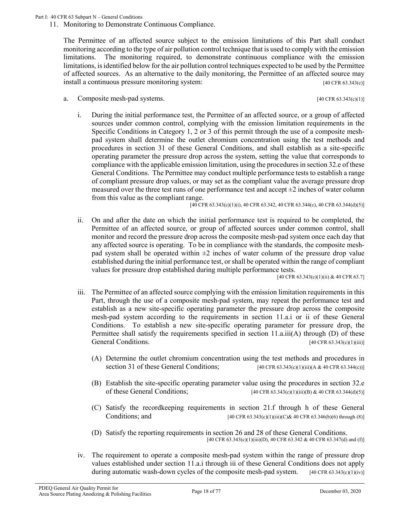11. Monitoring to Demonstrate Continuous Compliance.

The Permittee of an affected source subject to the emission limitations of this Part shall conduct monitoring according to the type of air pollution control technique that is used to comply with the emission limitations. The monitoring required, to demonstrate continuous compliance with the emission limitations, isidentified below for the air pollution control techniques expected to be used by the Permittee of affected sources. As an alternative to the daily monitoring, the Permittee of an affected source may install a continuous pressure monitoring system: [40 CFR 63.343(c)]

a. Composite mesh-pad systems.  $[40 \text{ CFR } 63.343(c)(1)]$ 

i. During the initial performance test, the Permittee of an affected source, or a group of affected sources under common control, complying with the emission limitation requirements in the Specific Conditions in Category 1, 2 or 3 of this permit through the use of a composite meshpad system shall determine the outlet chromium concentration using the test methods and procedures in section 31 of these General Conditions, and shall establish as a site-specific operating parameter the pressure drop across the system, setting the value that corresponds to compliance with the applicable emission limitation, using the procedures in section 32.e of these General Conditions. The Permittee may conduct multiple performance tests to establish a range of compliant pressure drop values, or may set as the compliant value the average pressure drop measured over the three test runs of one performance test and accept  $\pm 2$  inches of water column from this value as the compliant range.

[40 CFR 63.343(c)(1)(i), 40 CFR 63.342, 40 CFR 63.344(c), 40 CFR 63.344(d)(5)]

ii. On and after the date on which the initial performance test is required to be completed, the Permittee of an affected source, or group of affected sources under common control, shall monitor and record the pressure drop across the composite mesh-pad system once each day that any affected source is operating. To be in compliance with the standards, the composite meshpad system shall be operated within  $\pm 2$  inches of water column of the pressure drop value established during the initial performance test, or shall be operated within the range of compliant values for pressure drop established during multiple performance tests.

[40 CFR 63.343(c)(1)(ii) & 40 CFR 63.7]

- iii. The Permittee of an affected source complying with the emission limitation requirements in this Part, through the use of a composite mesh-pad system, may repeat the performance test and establish as a new site-specific operating parameter the pressure drop across the composite mesh-pad system according to the requirements in section 11.a.i or ii of these General Conditions. To establish a new site-specific operating parameter for pressure drop, the Permittee shall satisfy the requirements specified in section 11.a.iii(A) through (D) of these General Conditions. [40 CFR 63.343(c)(1)(iii)]
	- (A) Determine the outlet chromium concentration using the test methods and procedures in section 31 of these General Conditions;  $[40 \text{ CFR } 63.343(c)(1)(iii)(A & 40 \text{ CFR } 63.344(c))]$
	- (B) Establish the site-specific operating parameter value using the procedures in section 32.e of these General Conditions; [40 CFR 63.343(c)(1)(iii)(B) & 40 CFR 63.344(d)(5)]
	- (C) Satisfy the recordkeeping requirements in section 21.f through h of these General Conditions; and [40 CFR 63.343(c)(1)(iii)(C)& 40 CFR 63.346(b)(6) through (8)]
	- (D) Satisfy the reporting requirements in section 26 and 28 of these General Conditions.  $[40 \text{ CFR } 63.343 \text{ (c)}(1) \text{ (iii)}(D), 40 \text{ CFR } 63.342 \text{ \& } 40 \text{ CFR } 63.347 \text{ (d)} \text{ and (f)}]$
- iv. The requirement to operate a composite mesh-pad system within the range of pressure drop values established under section 11.a.i through iii of these General Conditions does not apply during automatic wash-down cycles of the composite mesh-pad system. [40 CFR 63.343(c)(1)(iv)]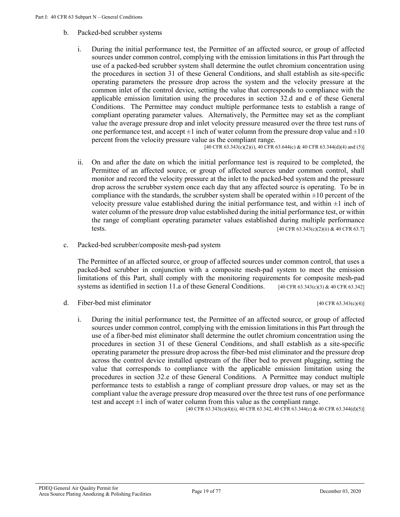- b. Packed-bed scrubber systems
	- i. During the initial performance test, the Permittee of an affected source, or group of affected sources under common control, complying with the emission limitations in this Part through the use of a packed-bed scrubber system shall determine the outlet chromium concentration using the procedures in section 31 of these General Conditions, and shall establish as site-specific operating parameters the pressure drop across the system and the velocity pressure at the common inlet of the control device, setting the value that corresponds to compliance with the applicable emission limitation using the procedures in section 32.d and e of these General Conditions. The Permittee may conduct multiple performance tests to establish a range of compliant operating parameter values. Alternatively, the Permittee may set as the compliant value the average pressure drop and inlet velocity pressure measured over the three test runs of one performance test, and accept  $\pm 1$  inch of water column from the pressure drop value and  $\pm 10$ percent from the velocity pressure value as the compliant range.

[40 CFR 63.343(c)(2)(i), 40 CFR 63.644(c) & 40 CFR 63.344(d)(4) and (5)]

- ii. On and after the date on which the initial performance test is required to be completed, the Permittee of an affected source, or group of affected sources under common control, shall monitor and record the velocity pressure at the inlet to the packed-bed system and the pressure drop across the scrubber system once each day that any affected source is operating. To be in compliance with the standards, the scrubber system shall be operated within  $\pm 10$  percent of the velocity pressure value established during the initial performance test, and within  $\pm 1$  inch of water column of the pressure drop value established during the initial performance test, or within the range of compliant operating parameter values established during multiple performance tests.  $[40 \text{ CFR } 63.343 \text{ (c)}(2) \text{ (ii)} \& 40 \text{ CFR } 63.7]$
- c. Packed-bed scrubber/composite mesh-pad system

The Permittee of an affected source, or group of affected sources under common control, that uses a packed-bed scrubber in conjunction with a composite mesh-pad system to meet the emission limitations of this Part, shall comply with the monitoring requirements for composite mesh-pad systems as identified in section 11.a of these General Conditions. [40 CFR 63.343(c)(3) & 40 CFR 63.342]

- d. Fiber-bed mist eliminator  $[40 \text{ CFR } 63.343(c)(4)]$ 
	- i. During the initial performance test, the Permittee of an affected source, or group of affected sources under common control, complying with the emission limitations in this Part through the use of a fiber-bed mist eliminator shall determine the outlet chromium concentration using the procedures in section 31 of these General Conditions, and shall establish as a site-specific operating parameter the pressure drop across the fiber-bed mist eliminator and the pressure drop across the control device installed upstream of the fiber bed to prevent plugging, setting the value that corresponds to compliance with the applicable emission limitation using the procedures in section 32.e of these General Conditions. A Permittee may conduct multiple performance tests to establish a range of compliant pressure drop values, or may set as the compliant value the average pressure drop measured over the three test runs of one performance test and accept  $\pm 1$  inch of water column from this value as the compliant range.

[40 CFR 63.343(c)(4)(i), 40 CFR 63.342, 40 CFR 63.344(c) & 40 CFR 63.344(d)(5)]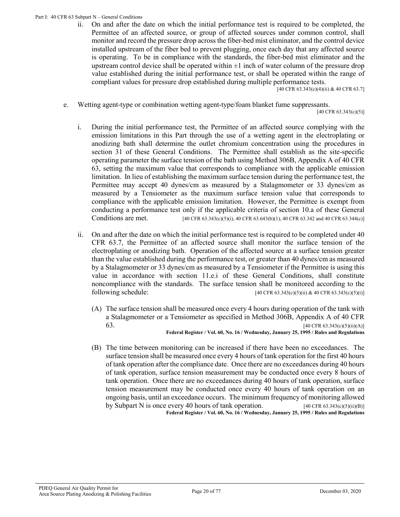ii. On and after the date on which the initial performance test is required to be completed, the Permittee of an affected source, or group of affected sources under common control, shall monitor and record the pressure drop across the fiber-bed mist eliminator, and the control device installed upstream of the fiber bed to prevent plugging, once each day that any affected source is operating. To be in compliance with the standards, the fiber-bed mist eliminator and the upstream control device shall be operated within  $\pm 1$  inch of water column of the pressure drop value established during the initial performance test, or shall be operated within the range of compliant values for pressure drop established during multiple performance tests.

[40 CFR 63.343(c)(4)(ii) & 40 CFR 63.7]

e. Wetting agent-type or combination wetting agent-type/foam blanket fume suppressants.

[40 CFR 63.343(c)(5)]

- i. During the initial performance test, the Permittee of an affected source complying with the emission limitations in this Part through the use of a wetting agent in the electroplating or anodizing bath shall determine the outlet chromium concentration using the procedures in section 31 of these General Conditions. The Permittee shall establish as the site-specific operating parameter the surface tension of the bath using Method 306B, Appendix A of 40 CFR 63, setting the maximum value that corresponds to compliance with the applicable emission limitation. In lieu of establishing the maximum surface tension during the performance test, the Permittee may accept 40 dynes/cm as measured by a Stalagmometer or 33 dynes/cm as measured by a Tensiometer as the maximum surface tension value that corresponds to compliance with the applicable emission limitation. However, the Permittee is exempt from conducting a performance test only if the applicable criteria of section 10.a of these General Conditions are met.  $[40 \text{ CFR } 63.343 \text{ (e)} (5) \text{ (i)}, 40 \text{ CFR } 63.643 \text{ (b)} (1), 40 \text{ CFR } 63.342 \text{ and } 40 \text{ CFR } 63.344 \text{ (c)}]$
- ii. On and after the date on which the initial performance test is required to be completed under 40 CFR 63.7, the Permittee of an affected source shall monitor the surface tension of the electroplating or anodizing bath. Operation of the affected source at a surface tension greater than the value established during the performance test, or greater than 40 dynes/cm as measured by a Stalagmometer or 33 dynes/cm as measured by a Tensiometer if the Permittee is using this value in accordance with section 11.e.i of these General Conditions, shall constitute noncompliance with the standards. The surface tension shall be monitored according to the following schedule:  $[40 \text{ CFR } 63.343(c)(5)(ii) \& 40 \text{ CFR } 63.343(c)(5)(i)]$ 
	- (A) The surface tension shall be measured once every 4 hours during operation of the tank with a Stalagmometer or a Tensiometer as specified in Method 306B, Appendix A of 40 CFR 63. [40 CFR 63.343(c)(5)(ii)(A)]

**Federal Register / Vol. 60, No. 16 / Wednesday, January 25, 1995 / Rules and Regulations**

(B) The time between monitoring can be increased if there have been no exceedances. The surface tension shall be measured once every 4 hours of tank operation for the first 40 hours of tank operation after the compliance date. Once there are no exceedances during 40 hours of tank operation, surface tension measurement may be conducted once every 8 hours of tank operation. Once there are no exceedances during 40 hours of tank operation, surface tension measurement may be conducted once every 40 hours of tank operation on an ongoing basis, until an exceedance occurs. The minimum frequency of monitoring allowed by Subpart N is once every 40 hours of tank operation. [40 CFR 63.343(c)(5)(ii)(B)] **Federal Register / Vol. 60, No. 16 / Wednesday, January 25, 1995 / Rules and Regulations**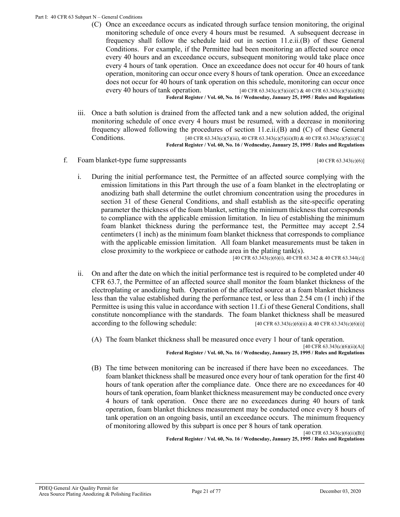- (C) Once an exceedance occurs as indicated through surface tension monitoring, the original monitoring schedule of once every 4 hours must be resumed. A subsequent decrease in frequency shall follow the schedule laid out in section 11.e.ii.(B) of these General Conditions. For example, if the Permittee had been monitoring an affected source once every 40 hours and an exceedance occurs, subsequent monitoring would take place once every 4 hours of tank operation. Once an exceedance does not occur for 40 hours of tank operation, monitoring can occur once every 8 hours of tank operation. Once an exceedance does not occur for 40 hours of tank operation on this schedule, monitoring can occur once every 40 hours of tank operation.  $[40 \text{ CFR } 63.343(c)(5)(ii)(C) \& 40 \text{ CFR } 63.343(c)(5)(ii)(B)]$ **Federal Register / Vol. 60, No. 16 / Wednesday, January 25, 1995 / Rules and Regulations**
- iii. Once a bath solution is drained from the affected tank and a new solution added, the original monitoring schedule of once every 4 hours must be resumed, with a decrease in monitoring frequency allowed following the procedures of section 11.e.ii.(B) and (C) of these General Conditions. [40 CFR 63.343(c)(5)(iii), 40 CFR 63.343(c)(5)(ii)(B) & 40 CFR 63.343(c)(5)(ii)(C)] **Federal Register / Vol. 60, No. 16 / Wednesday, January 25, 1995 / Rules and Regulations**
- f. Foam blanket-type fume suppressants [40 CFR 63.343(c)(6)]

i. During the initial performance test, the Permittee of an affected source complying with the emission limitations in this Part through the use of a foam blanket in the electroplating or anodizing bath shall determine the outlet chromium concentration using the procedures in section 31 of these General Conditions, and shall establish as the site-specific operating parameter the thickness of the foam blanket, setting the minimum thickness that corresponds to compliance with the applicable emission limitation. In lieu of establishing the minimum foam blanket thickness during the performance test, the Permittee may accept 2.54 centimeters (1 inch) as the minimum foam blanket thickness that corresponds to compliance with the applicable emission limitation. All foam blanket measurements must be taken in close proximity to the workpiece or cathode area in the plating tank(s).

[40 CFR 63.343(c)(6)(i), 40 CFR 63.342 & 40 CFR 63.344(c)]

ii. On and after the date on which the initial performance test is required to be completed under 40 CFR 63.7, the Permittee of an affected source shall monitor the foam blanket thickness of the electroplating or anodizing bath. Operation of the affected source at a foam blanket thickness less than the value established during the performance test, or less than 2.54 cm (1 inch) if the Permittee is using this value in accordance with section 11.f.i of these General Conditions, shall constitute noncompliance with the standards. The foam blanket thickness shall be measured according to the following schedule:  $[40 \text{ CFR } 63.343(c)(6)(ii) \& 40 \text{ CFR } 63.343(c)(6)(i)]$ 

(A) The foam blanket thickness shall be measured once every 1 hour of tank operation.

 $[40 \text{ CFR } 63.343(c)(6)(ii)(A)]$ **Federal Register / Vol. 60, No. 16 / Wednesday, January 25, 1995 / Rules and Regulations**

(B) The time between monitoring can be increased if there have been no exceedances. The foam blanket thickness shall be measured once every hour of tank operation for the first 40 hours of tank operation after the compliance date. Once there are no exceedances for 40 hours of tank operation, foam blanket thickness measurement may be conducted once every 4 hours of tank operation. Once there are no exceedances during 40 hours of tank operation, foam blanket thickness measurement may be conducted once every 8 hours of tank operation on an ongoing basis, until an exceedance occurs. The minimum frequency of monitoring allowed by this subpart is once per 8 hours of tank operation.

> [40 CFR 63.343(c)(6)(ii)(B)] **Federal Register / Vol. 60, No. 16 / Wednesday, January 25, 1995 / Rules and Regulations**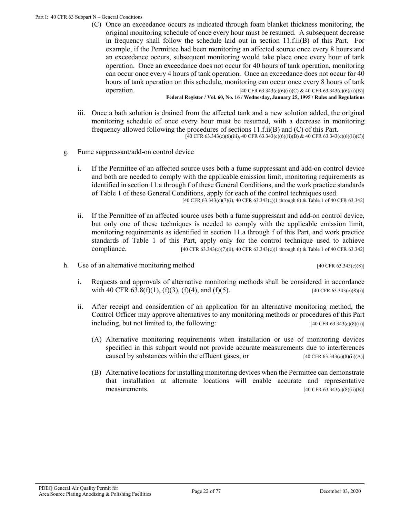(C) Once an exceedance occurs as indicated through foam blanket thickness monitoring, the original monitoring schedule of once every hour must be resumed. A subsequent decrease in frequency shall follow the schedule laid out in section 11.f.ii(B) of this Part. For example, if the Permittee had been monitoring an affected source once every 8 hours and an exceedance occurs, subsequent monitoring would take place once every hour of tank operation. Once an exceedance does not occur for 40 hours of tank operation, monitoring can occur once every 4 hours of tank operation. Once an exceedance does not occur for 40 hours of tank operation on this schedule, monitoring can occur once every 8 hours of tank operation. [40 CFR 63.343(c)(6)(ii)(C) & 40 CFR 63.343(c)(6)(ii)(B)]

**Federal Register / Vol. 60, No. 16 / Wednesday, January 25, 1995 / Rules and Regulations**

- iii. Once a bath solution is drained from the affected tank and a new solution added, the original monitoring schedule of once every hour must be resumed, with a decrease in monitoring frequency allowed following the procedures of sections  $11.f.ii(B)$  and  $(C)$  of this Part.  $[40 \text{ CFR } 63.343 \text{(c)} (6)(iii), 40 \text{ CFR } 63.343 \text{(c)} (6)(ii)(B) \& 40 \text{ CFR } 63.343 \text{(c)} (6)(ii)(C)]$
- g. Fume suppressant/add-on control device
	- i. If the Permittee of an affected source uses both a fume suppressant and add-on control device and both are needed to comply with the applicable emission limit, monitoring requirements as identified in section 11.a through f of these General Conditions, and the work practice standards of Table 1 of these General Conditions, apply for each of the control techniques used.  $[40 \text{ CFR } 63.343(c)(7)(i), 40 \text{ CFR } 63.343(c)(1 through 6) & Table 1 of 40 \text{ CFR } 63.342]$

ii. If the Permittee of an affected source uses both a fume suppressant and add-on control device, but only one of these techniques is needed to comply with the applicable emission limit, monitoring requirements as identified in section 11.a through f of this Part, and work practice standards of Table 1 of this Part, apply only for the control technique used to achieve compliance. [40 CFR 63.343(c)(7)(ii), 40 CFR 63.343(c)(1 through 6) & Table 1 of 40 CFR 63.342]

h. Use of an alternative monitoring method  $[40 \text{ CFR } 63.343(c)(8)]$ 

- i. Requests and approvals of alternative monitoring methods shall be considered in accordance with 40 CFR 63.8(f)(1), (f)(3), (f)(4), and (f)(5). [40 CFR 63.343(c)(8)(i)]
- ii. After receipt and consideration of an application for an alternative monitoring method, the Control Officer may approve alternatives to any monitoring methods or procedures of this Part including, but not limited to, the following: [40 CFR 63.343(c)(8)(ii)]
	- (A) Alternative monitoring requirements when installation or use of monitoring devices specified in this subpart would not provide accurate measurements due to interferences caused by substances within the effluent gases; or  $[40 \text{ CFR } 63.343 \text{ (c)}(8) \text{ (ii)}(A)]$
	- (B) Alternative locations for installing monitoring devices when the Permittee can demonstrate that installation at alternate locations will enable accurate and representative measurements.  $[40 \text{ CFR } 63.343(c)(8)(ii)(B)]$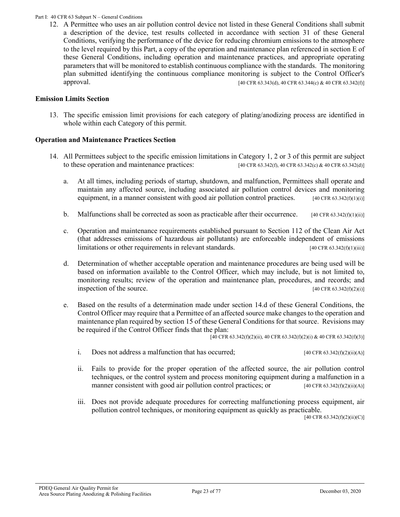12. A Permittee who uses an air pollution control device not listed in these General Conditions shall submit a description of the device, test results collected in accordance with section 31 of these General Conditions, verifying the performance of the device for reducing chromium emissions to the atmosphere to the level required by this Part, a copy of the operation and maintenance plan referenced in section E of these General Conditions, including operation and maintenance practices, and appropriate operating parameters that will be monitored to establish continuous compliance with the standards. The monitoring plan submitted identifying the continuous compliance monitoring is subject to the Control Officer's approval. [40 CFR 63.343(d), 40 CFR 63.344(c) & 40 CFR 63.342(f)]

#### **Emission Limits Section**

13. The specific emission limit provisions for each category of plating/anodizing process are identified in whole within each Category of this permit.

### **Operation and Maintenance Practices Section**

- 14. All Permittees subject to the specific emission limitations in Category 1, 2 or 3 of this permit are subject to these operation and maintenance practices: [40 CFR 63.342(f), 40 CFR 63.342(c) & 40 CFR 63.342(d)]
	- a. At all times, including periods of startup, shutdown, and malfunction, Permittees shall operate and maintain any affected source, including associated air pollution control devices and monitoring equipment, in a manner consistent with good air pollution control practices.  $[40 \text{ CFR } 63.342 \text{ (f)}(1)(i)]$
	- b. Malfunctions shall be corrected as soon as practicable after their occurrence.  $[40 \text{ CFR } 63.342 \text{ (f)}(1) \text{ (ii)}]$
	- c. Operation and maintenance requirements established pursuant to Section 112 of the Clean Air Act (that addresses emissions of hazardous air pollutants) are enforceable independent of emissions limitations or other requirements in relevant standards. [40 CFR 63.342(f)(1)(iii)]
	- d. Determination of whether acceptable operation and maintenance procedures are being used will be based on information available to the Control Officer, which may include, but is not limited to, monitoring results; review of the operation and maintenance plan, procedures, and records; and inspection of the source.  $[40 \text{ CFR } 63.342 \text{ (f)}(2) \text{ (i)}]$
	- e. Based on the results of a determination made under section 14.d of these General Conditions, the Control Officer may require that a Permittee of an affected source make changes to the operation and maintenance plan required by section 15 of these General Conditions for that source. Revisions may be required if the Control Officer finds that the plan:

 $[40 \text{ CFR } 63.342 \text{ (f)} \text{ (2)} \text{ (ii)}, 40 \text{ CFR } 63.342 \text{ (f)} \text{ (2)} \text{ (i)} \& 40 \text{ CFR } 63.342 \text{ (f)} \text{ (3)}]$ 

- i. Does not address a malfunction that has occurred;  $[40 \text{ CFR } 63.342 \text{ (f)}(2) \text{ (ii)}(A)]$
- ii. Fails to provide for the proper operation of the affected source, the air pollution control techniques, or the control system and process monitoring equipment during a malfunction in a manner consistent with good air pollution control practices; or  $[40 \text{ CFR } 63.342 \text{ (f)}(2) \text{ (ii)}(A)]$
- iii. Does not provide adequate procedures for correcting malfunctioning process equipment, air pollution control techniques, or monitoring equipment as quickly as practicable.

[40 CFR 63.342(f)(2)(ii)(C)]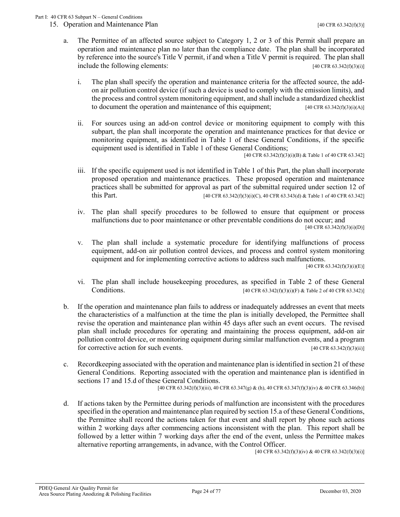- 15. Operation and Maintenance Plan [40 CFR 63.342(f)(3)]
	- a. The Permittee of an affected source subject to Category 1, 2 or 3 of this Permit shall prepare an operation and maintenance plan no later than the compliance date. The plan shall be incorporated by reference into the source's Title V permit, if and when a Title V permit is required. The plan shall include the following elements:  $[40 \text{ CFR } 63.342 \text{ (f)}(3)(i)]$ 
		- i. The plan shall specify the operation and maintenance criteria for the affected source, the addon air pollution control device (if such a device is used to comply with the emission limits), and the process and control system monitoring equipment, and shall include a standardized checklist to document the operation and maintenance of this equipment;  $[40 \text{ CFR } 63.342 \text{ (f)}(3) \text{ (i)}(A)]$
		- ii. For sources using an add-on control device or monitoring equipment to comply with this subpart, the plan shall incorporate the operation and maintenance practices for that device or monitoring equipment, as identified in Table 1 of these General Conditions, if the specific equipment used is identified in Table 1 of these General Conditions;

[40 CFR 63.342(f)(3)(i)(B) & Table 1 of 40 CFR 63.342]

- iii. If the specific equipment used is not identified in Table 1 of this Part, the plan shall incorporate proposed operation and maintenance practices. These proposed operation and maintenance practices shall be submitted for approval as part of the submittal required under section 12 of this Part. [40 CFR 63.342(f)(3)(i)(C), 40 CFR 63.343(d) & Table 1 of 40 CFR 63.342]
- iv. The plan shall specify procedures to be followed to ensure that equipment or process malfunctions due to poor maintenance or other preventable conditions do not occur; and [40 CFR 63.342(f)(3)(i)(D)]
- v. The plan shall include a systematic procedure for identifying malfunctions of process equipment, add-on air pollution control devices, and process and control system monitoring equipment and for implementing corrective actions to address such malfunctions. [40 CFR 63.342(f)(3)(i)(E)]

- vi. The plan shall include housekeeping procedures, as specified in Table 2 of these General **Conditions.** [40 CFR 63.342(f)(3)(i)(F) & Table 2 of 40 CFR 63.342)]
- b. If the operation and maintenance plan fails to address or inadequately addresses an event that meets the characteristics of a malfunction at the time the plan is initially developed, the Permittee shall revise the operation and maintenance plan within 45 days after such an event occurs. The revised plan shall include procedures for operating and maintaining the process equipment, add-on air pollution control device, or monitoring equipment during similar malfunction events, and a program for corrective action for such events. [40 CFR 63.342(f)(3)(ii)]
- c. Recordkeeping associated with the operation and maintenance plan is identified in section 21 of these General Conditions. Reporting associated with the operation and maintenance plan is identified in sections 17 and 15.d of these General Conditions.

[40 CFR 63.342(f)(3)(iii), 40 CFR 63.347(g) & (h), 40 CFR 63.347(f)(3)(iv) & 40 CFR 63.346(b)]

d. If actions taken by the Permittee during periods of malfunction are inconsistent with the procedures specified in the operation and maintenance plan required by section 15.a of these General Conditions, the Permittee shall record the actions taken for that event and shall report by phone such actions within 2 working days after commencing actions inconsistent with the plan. This report shall be followed by a letter within 7 working days after the end of the event, unless the Permittee makes alternative reporting arrangements, in advance, with the Control Officer.

 $[40 \text{ CFR } 63.342 \text{ (f)} \text{)(3)} \text{ (iv)} \& 40 \text{ CFR } 63.342 \text{ (f)} \text{((3)} \text{)(i)}]$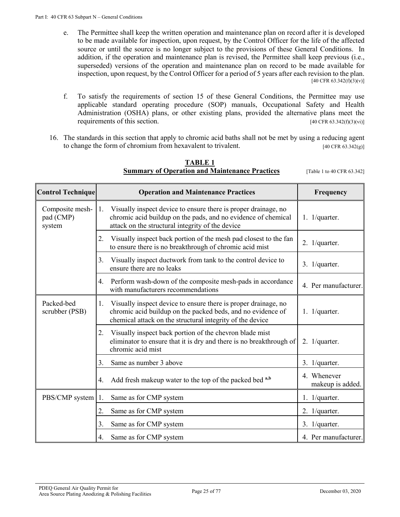- e. The Permittee shall keep the written operation and maintenance plan on record after it is developed to be made available for inspection, upon request, by the Control Officer for the life of the affected source or until the source is no longer subject to the provisions of these General Conditions. In addition, if the operation and maintenance plan is revised, the Permittee shall keep previous (i.e., superseded) versions of the operation and maintenance plan on record to be made available for inspection, upon request, by the Control Officer for a period of 5 years after each revision to the plan.  $[40 \text{ CFR } 63.342(f)(3)(v)]$
- f. To satisfy the requirements of section 15 of these General Conditions, the Permittee may use applicable standard operating procedure (SOP) manuals, Occupational Safety and Health Administration (OSHA) plans, or other existing plans, provided the alternative plans meet the requirements of this section.  $[40 \text{ CFR } 63.342 \text{ (f)}(3) \text{ (vi)}]$
- 16. The standards in this section that apply to chromic acid baths shall not be met by using a reducing agent to change the form of chromium from hexavalent to trivalent. [40 CFR 63.342(g)]

| <b>Control Technique</b>               |    | <b>Operation and Maintenance Practices</b>                                                                                                                                                 | Frequency                       |
|----------------------------------------|----|--------------------------------------------------------------------------------------------------------------------------------------------------------------------------------------------|---------------------------------|
| Composite mesh-<br>pad (CMP)<br>system | 1. | Visually inspect device to ensure there is proper drainage, no<br>chromic acid buildup on the pads, and no evidence of chemical<br>attack on the structural integrity of the device        | 1. $1$ /quarter.                |
|                                        | 2. | Visually inspect back portion of the mesh pad closest to the fan<br>to ensure there is no breakthrough of chromic acid mist                                                                | 2. 1/quarter.                   |
|                                        | 3. | Visually inspect ductwork from tank to the control device to<br>ensure there are no leaks                                                                                                  | 3. $1$ /quarter.                |
|                                        |    | 4. Perform wash-down of the composite mesh-pads in accordance<br>with manufacturers recommendations                                                                                        | 4. Per manufacturer.            |
| Packed-bed<br>scrubber (PSB)           | 1. | Visually inspect device to ensure there is proper drainage, no<br>chromic acid buildup on the packed beds, and no evidence of<br>chemical attack on the structural integrity of the device | 1. $1$ /quarter.                |
|                                        | 2. | Visually inspect back portion of the chevron blade mist<br>eliminator to ensure that it is dry and there is no breakthrough of<br>chromic acid mist                                        | 2. $1$ /quarter.                |
|                                        | 3. | Same as number 3 above                                                                                                                                                                     | 3. 1/quarter.                   |
|                                        | 4. | Add fresh makeup water to the top of the packed bed a,b                                                                                                                                    | 4. Whenever<br>makeup is added. |
| $\text{PBS/CMP}$ system   1.           |    | Same as for CMP system                                                                                                                                                                     | 1. $1$ /quarter.                |
|                                        | 2. | Same as for CMP system                                                                                                                                                                     | 2. 1/quarter.                   |
|                                        | 3. | Same as for CMP system                                                                                                                                                                     | 3. 1/quarter.                   |
|                                        | 4. | Same as for CMP system                                                                                                                                                                     | 4. Per manufacturer.            |

#### **TABLE 1 Summary of Operation and Maintenance Practices** [Table 1 to 40 CFR 63.342]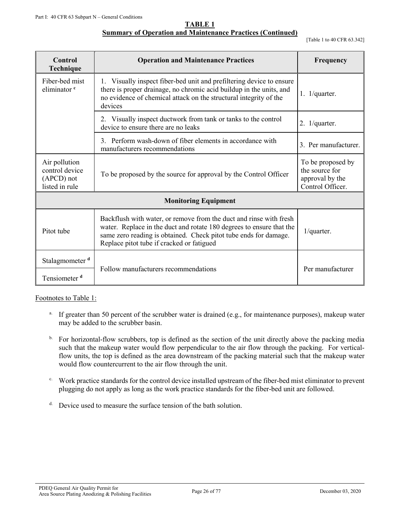**TABLE 1 Summary of Operation and Maintenance Practices (Continued)**

| Control<br>Technique                                            | <b>Operation and Maintenance Practices</b>                                                                                                                                                                                                                  | Frequency            |
|-----------------------------------------------------------------|-------------------------------------------------------------------------------------------------------------------------------------------------------------------------------------------------------------------------------------------------------------|----------------------|
| Fiber-bed mist<br>eliminator <sup>e</sup>                       | 1. Visually inspect fiber-bed unit and prefiltering device to ensure<br>there is proper drainage, no chromic acid buildup in the units, and<br>no evidence of chemical attack on the structural integrity of the<br>devices                                 |                      |
|                                                                 | 2. Visually inspect ductwork from tank or tanks to the control<br>device to ensure there are no leaks                                                                                                                                                       | 2. 1/quarter.        |
|                                                                 | 3. Perform wash-down of fiber elements in accordance with<br>manufacturers recommendations                                                                                                                                                                  | 3. Per manufacturer. |
| Air pollution<br>control device<br>(APCD) not<br>listed in rule | To be proposed by the source for approval by the Control Officer                                                                                                                                                                                            |                      |
| <b>Monitoring Equipment</b>                                     |                                                                                                                                                                                                                                                             |                      |
| Pitot tube                                                      | Backflush with water, or remove from the duct and rinse with fresh<br>water. Replace in the duct and rotate 180 degrees to ensure that the<br>same zero reading is obtained. Check pitot tube ends for damage.<br>Replace pitot tube if cracked or fatigued | $1$ /quarter.        |
| Stalagmometer <sup>d</sup>                                      |                                                                                                                                                                                                                                                             |                      |
| Tensiometer <sup>d</sup>                                        | Follow manufacturers recommendations                                                                                                                                                                                                                        | Per manufacturer     |

Footnotes to Table 1:

- <sup>a.</sup> If greater than 50 percent of the scrubber water is drained (e.g., for maintenance purposes), makeup water may be added to the scrubber basin.
- b. For horizontal-flow scrubbers, top is defined as the section of the unit directly above the packing media such that the makeup water would flow perpendicular to the air flow through the packing. For verticalflow units, the top is defined as the area downstream of the packing material such that the makeup water would flow countercurrent to the air flow through the unit.
- <sup>c.</sup> Work practice standards for the control device installed upstream of the fiber-bed mist eliminator to prevent plugging do not apply as long as the work practice standards for the fiber-bed unit are followed.
- <sup>d.</sup> Device used to measure the surface tension of the bath solution.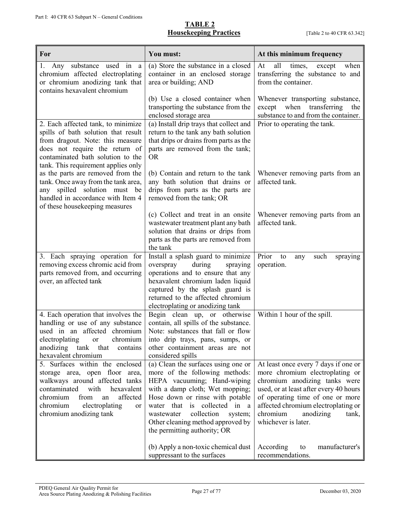| For                                                                                                                                                                                                                                            | You must:                                                                                                                                                                                                                                                                                                              | At this minimum frequency                                                                                                                                                                                                                                                              |  |
|------------------------------------------------------------------------------------------------------------------------------------------------------------------------------------------------------------------------------------------------|------------------------------------------------------------------------------------------------------------------------------------------------------------------------------------------------------------------------------------------------------------------------------------------------------------------------|----------------------------------------------------------------------------------------------------------------------------------------------------------------------------------------------------------------------------------------------------------------------------------------|--|
| Any substance used in<br>1.<br>a<br>chromium affected electroplating<br>or chromium anodizing tank that<br>contains hexavalent chromium                                                                                                        | (a) Store the substance in a closed<br>container in an enclosed storage<br>area or building; AND                                                                                                                                                                                                                       | all<br>At<br>times,<br>except<br>when<br>transferring the substance to and<br>from the container.                                                                                                                                                                                      |  |
|                                                                                                                                                                                                                                                | (b) Use a closed container when<br>transporting the substance from the<br>enclosed storage area                                                                                                                                                                                                                        | Whenever transporting substance,<br>transferring<br>except<br>when<br>the<br>substance to and from the container.                                                                                                                                                                      |  |
| 2. Each affected tank, to minimize<br>spills of bath solution that result<br>from dragout. Note: this measure<br>does not require the return of<br>contaminated bath solution to the<br>tank. This requirement applies only                    | (a) Install drip trays that collect and<br>return to the tank any bath solution<br>that drips or drains from parts as the<br>parts are removed from the tank;<br><b>OR</b>                                                                                                                                             | Prior to operating the tank.                                                                                                                                                                                                                                                           |  |
| as the parts are removed from the<br>tank. Once away from the tank area,<br>any spilled solution must be<br>handled in accordance with Item 4<br>of these housekeeping measures                                                                | (b) Contain and return to the tank<br>any bath solution that drains or<br>drips from parts as the parts are<br>removed from the tank; OR                                                                                                                                                                               | Whenever removing parts from an<br>affected tank.                                                                                                                                                                                                                                      |  |
|                                                                                                                                                                                                                                                | (c) Collect and treat in an onsite<br>wastewater treatment plant any bath<br>solution that drains or drips from<br>parts as the parts are removed from<br>the tank                                                                                                                                                     | Whenever removing parts from an<br>affected tank.                                                                                                                                                                                                                                      |  |
| 3. Each spraying operation for<br>removing excess chromic acid from<br>parts removed from, and occurring<br>over, an affected tank                                                                                                             | Install a splash guard to minimize<br>overspray<br>during<br>spraying<br>operations and to ensure that any<br>hexavalent chromium laden liquid<br>captured by the splash guard is<br>returned to the affected chromium<br>electroplating or anodizing tank                                                             | Prior<br>to<br>such<br>spraying<br>any<br>operation.                                                                                                                                                                                                                                   |  |
| 4. Each operation that involves the<br>handling or use of any substance<br>used in an affected chromium<br>electroplating<br>chromium<br>or<br>that<br>anodizing<br>tank<br>contains<br>hexavalent chromium                                    | Begin clean up, or otherwise<br>contain, all spills of the substance.<br>Note: substances that fall or flow<br>into drip trays, pans, sumps, or<br>other containment areas are not<br>considered spills                                                                                                                | Within 1 hour of the spill.                                                                                                                                                                                                                                                            |  |
| 5. Surfaces within the enclosed<br>storage area, open floor area,<br>walkways around affected tanks<br>contaminated<br>with<br>hexavalent<br>chromium<br>affected<br>from<br>an<br>chromium<br>electroplating<br>or<br>chromium anodizing tank | (a) Clean the surfaces using one or<br>more of the following methods:<br>HEPA vacuuming; Hand-wiping<br>with a damp cloth; Wet mopping;<br>Hose down or rinse with potable<br>water that is collected in a<br>collection<br>wastewater<br>system;<br>Other cleaning method approved by<br>the permitting authority; OR | At least once every 7 days if one or<br>more chromium electroplating or<br>chromium anodizing tanks were<br>used, or at least after every 40 hours<br>of operating time of one or more<br>affected chromium electroplating or<br>chromium<br>anodizing<br>tank,<br>whichever is later. |  |
|                                                                                                                                                                                                                                                | (b) Apply a non-toxic chemical dust<br>suppressant to the surfaces                                                                                                                                                                                                                                                     | According<br>manufacturer's<br>to<br>recommendations.                                                                                                                                                                                                                                  |  |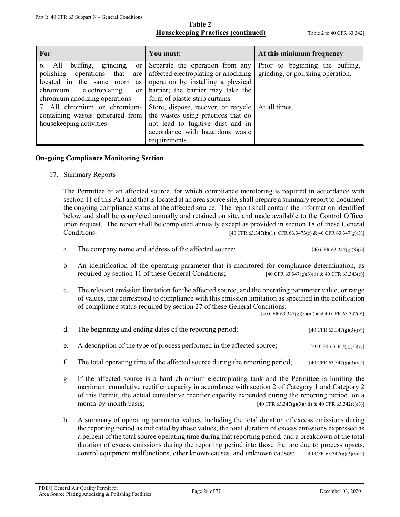**Table 2 Housekeeping Practices (continued)** [Table 2 to 40 CFR 63.342]

| For                                                                                                                                                                           | You must:                                                                                                                                                                            | At this minimum frequency                                            |
|-------------------------------------------------------------------------------------------------------------------------------------------------------------------------------|--------------------------------------------------------------------------------------------------------------------------------------------------------------------------------------|----------------------------------------------------------------------|
| 6. All buffing, grinding,<br>or  <br>polishing operations that<br>are 1<br>located in the same room<br>as<br>chromium electroplating<br>or  <br>chromium anodizing operations | Separate the operation from any<br>affected electroplating or anodizing<br>operation by installing a physical<br>barrier; the barrier may take the<br>form of plastic strip curtains | Prior to beginning the buffing,<br>grinding, or polishing operation. |
| 7. All chromium or chromium-<br>containing wastes generated from<br>housekeeping activities                                                                                   | Store, dispose, recover, or recycle<br>the wastes using practices that do<br>not lead to fugitive dust and in<br>accordance with hazardous waste<br>requirements                     | At all times.                                                        |

#### **On-going Compliance Monitoring Section**

17. Summary Reports

The Permittee of an affected source, for which compliance monitoring is required in accordance with section 11 of this Part and that is located at an area source site, shall prepare a summary report to document the ongoing compliance status of the affected source. The report shall contain the information identified below and shall be completed annually and retained on site, and made available to the Control Officer upon request. The report shall be completed annually except as provided in section 18 of these General Conditions. [40 CFR 63.347(h)(1), CFR 63.3473(c) & 40 CFR 63.347(g)(3)]

- a. The company name and address of the affected source;  $[40 \text{ CFR } 63.347(g)(3)(i)]$
- b. An identification of the operating parameter that is monitored for compliance determination, as required by section 11 of these General Conditions;  $[40 \text{ CFR } 63.347(g)(3)(ii) \& 40 \text{ CFR } 63.343(c)]$
- c. The relevant emission limitation for the affected source, and the operating parameter value, or range of values, that correspond to compliance with this emission limitation as specified in the notification of compliance status required by section 27 of these General Conditions;

[40 CFR 63.347(g)(3)(iii) and 40 CFR 63.347(e)]

|    | The beginning and ending dates of the reporting period;                      | [40 CFR 63.347(g)(3)(iv)]            |
|----|------------------------------------------------------------------------------|--------------------------------------|
| e. | A description of the type of process performed in the affected source;       | [40 CFR 63.347(g)(3)(y)]             |
|    | The total operating time of the affected source during the reporting period; | $[40 \text{ CFR } 63.347(g)(3)(vi)]$ |

- g. If the affected source is a hard chromium electroplating tank and the Permittee is limiting the maximum cumulative rectifier capacity in accordance with section 2 of Category 1 and Category 2 of this Permit, the actual cumulative rectifier capacity expended during the reporting period, on a month-by-month basis;  $[40 \text{ CFR } 63.347(g)(3)(\text{vii}) \& 40 \text{ CFR } 63.342(c)(3)]$
- h. A summary of operating parameter values, including the total duration of excess emissions during the reporting period as indicated by those values, the total duration of excess emissions expressed as a percent of the total source operating time during that reporting period, and a breakdown of the total duration of excess emissions during the reporting period into those that are due to process upsets, control equipment malfunctions, other known causes, and unknown causes;  $[40 \text{ CFR } 63.347 \text{ (g)}(3) \text{ (viii)}]$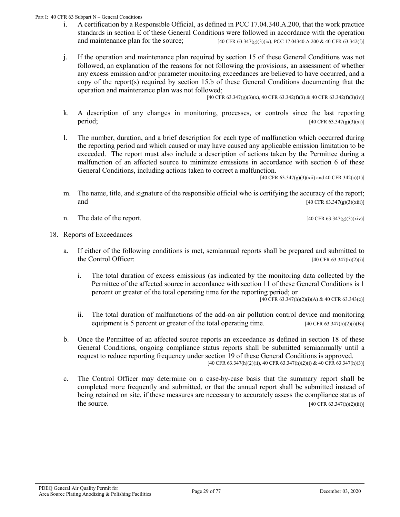- i. A certification by a Responsible Official, as defined in PCC 17.04.340.A.200, that the work practice standards in section E of these General Conditions were followed in accordance with the operation and maintenance plan for the source;  $[40 \text{ CFR } 63.347 \text{ (g)}(3) \text{ (ix)}, \text{PCC } 17.04340 \text{ A}.200 \& 40 \text{ CFR } 63.342 \text{ (f)}]$
- j. If the operation and maintenance plan required by section 15 of these General Conditions was not followed, an explanation of the reasons for not following the provisions, an assessment of whether any excess emission and/or parameter monitoring exceedances are believed to have occurred, and a copy of the report(s) required by section 15.b of these General Conditions documenting that the operation and maintenance plan was not followed;

[40 CFR 63.347(g)(3)(x), 40 CFR 63.342(f)(3) & 40 CFR 63.342(f)(3)(iv)]

- k. A description of any changes in monitoring, processes, or controls since the last reporting period;  $[40 \text{ CFR } 63.347(g)(3)(xi)]$
- l. The number, duration, and a brief description for each type of malfunction which occurred during the reporting period and which caused or may have caused any applicable emission limitation to be exceeded. The report must also include a description of actions taken by the Permittee during a malfunction of an affected source to minimize emissions in accordance with section 6 of these General Conditions, including actions taken to correct a malfunction.

[40 CFR 63.347(g)(3)(xii) and 40 CFR 342(a)(1)]

m. The name, title, and signature of the responsible official who is certifying the accuracy of the report; and  $[40 \text{ CFR } 63.347(g)(3)(xiii)]$ 

- n. The date of the report. [40 CFR 63.347(g)(3)(xiv)]
- 18. Reports of Exceedances
	- a. If either of the following conditions is met, semiannual reports shall be prepared and submitted to the Control Officer:  $[40 \text{ CFR } 63.347 \text{ (h)}(2)(i)]$ 
		- i. The total duration of excess emissions (as indicated by the monitoring data collected by the Permittee of the affected source in accordance with section 11 of these General Conditions is 1 percent or greater of the total operating time for the reporting period; or

 $[40 \text{ CFR } 63.347 \text{ (h)} (2) \text{ (i)} (A) \& 40 \text{ CFR } 63.343 \text{ (c)}]$ 

- ii. The total duration of malfunctions of the add-on air pollution control device and monitoring equipment is 5 percent or greater of the total operating time. [40 CFR 63.347(h)(2)(i)(B)]
- b. Once the Permittee of an affected source reports an exceedance as defined in section 18 of these General Conditions, ongoing compliance status reports shall be submitted semiannually until a request to reduce reporting frequency under section 19 of these General Conditions is approved.

[40 CFR 63.347(h)(2)(ii), 40 CFR 63.347(h)(2)(i) & 40 CFR 63.347(h)(3)]

c. The Control Officer may determine on a case-by-case basis that the summary report shall be completed more frequently and submitted, or that the annual report shall be submitted instead of being retained on site, if these measures are necessary to accurately assess the compliance status of the source.  $[40 \text{ CFR } 63.347 \text{ (h)}(2) \text{ (iii)}]$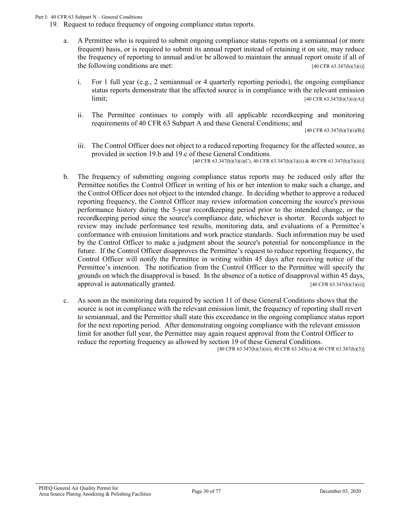19. Request to reduce frequency of ongoing compliance status reports.

- a. A Permittee who is required to submit ongoing compliance status reports on a semiannual (or more frequent) basis, or is required to submit its annual report instead of retaining it on site, may reduce the frequency of reporting to annual and/or be allowed to maintain the annual report onsite if all of the following conditions are met:  $[40 \text{ CFR } 63.347 \text{ (h)}(3)(i)]$ 
	- i. For 1 full year (e.g., 2 semiannual or 4 quarterly reporting periods), the ongoing compliance status reports demonstrate that the affected source is in compliance with the relevant emission  $\lim_{\lambda \to 0}$  [40 CFR 63.347(h)(3)(i)(A)]
	- ii. The Permittee continues to comply with all applicable recordkeeping and monitoring requirements of 40 CFR 63 Subpart A and these General Conditions; and

 $[40 \text{ CFR } 63.347 \text{ (h)} (3) \text{ (i)} \text{ (B)}]$ 

iii. The Control Officer does not object to a reduced reporting frequency for the affected source, as provided in section 19.b and 19.c of these General Conditions.

[40 CFR 63.347(h)(3)(i)(C), 40 CFR 63.347(h)(3)(ii) & 40 CFR 63.347(h)(3)(iii)]

- b. The frequency of submitting ongoing compliance status reports may be reduced only after the Permittee notifies the Control Officer in writing of his or her intention to make such a change, and the Control Officer does not object to the intended change. In deciding whether to approve a reduced reporting frequency, the Control Officer may review information concerning the source's previous performance history during the 5-year recordkeeping period prior to the intended change, or the recordkeeping period since the source's compliance date, whichever is shorter. Records subject to review may include performance test results, monitoring data, and evaluations of a Permittee's conformance with emission limitations and work practice standards. Such information may be used by the Control Officer to make a judgment about the source's potential for noncompliance in the future. If the Control Officer disapproves the Permittee's request to reduce reporting frequency, the Control Officer will notify the Permittee in writing within 45 days after receiving notice of the Permittee's intention. The notification from the Control Officer to the Permittee will specify the grounds on which the disapproval is based. In the absence of a notice of disapproval within 45 days, approval is automatically granted.  $[40 \text{ CFR } 63.347 \text{ (h)}(3) \text{ (ii)}]$
- c. As soon as the monitoring data required by section 11 of these General Conditions shows that the source is not in compliance with the relevant emission limit, the frequency of reporting shall revert to semiannual, and the Permittee shall state this exceedance in the ongoing compliance status report for the next reporting period. After demonstrating ongoing compliance with the relevant emission limit for another full year, the Permittee may again request approval from the Control Officer to reduce the reporting frequency as allowed by section 19 of these General Conditions.

[40 CFR 63.347(h)(3)(iii), 40 CFR 63.343(c) & 40 CFR 63.347(h)(3)]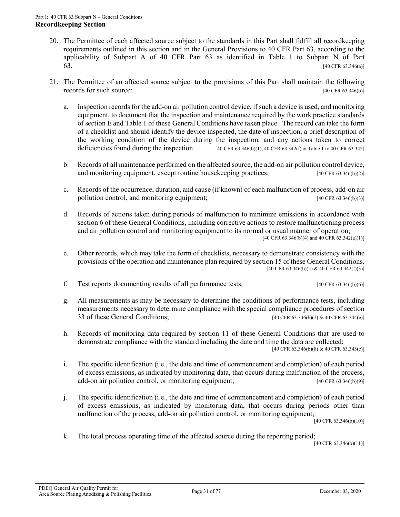- 20. The Permittee of each affected source subject to the standards in this Part shall fulfill all recordkeeping requirements outlined in this section and in the General Provisions to 40 CFR Part 63, according to the applicability of Subpart A of 40 CFR Part 63 as identified in Table 1 to Subpart N of Part  $(40 \text{ CFR } 63.346(a))$
- 21. The Permittee of an affected source subject to the provisions of this Part shall maintain the following records for such source: [40 CFR 63.346(b)]
	- a. Inspection records for the add-on air pollution control device, if such a device is used, and monitoring equipment, to document that the inspection and maintenance required by the work practice standards of section E and Table 1 of these General Conditions have taken place. The record can take the form of a checklist and should identify the device inspected, the date of inspection, a brief description of the working condition of the device during the inspection, and any actions taken to correct deficiencies found during the inspection.  $[40 \text{ CFR } 63.346(b)(1), 40 \text{ CFR } 63.342(f) \& \text{Table 1 to 40 CFR } 63.342]$
	- b. Records of all maintenance performed on the affected source, the add-on air pollution control device, and monitoring equipment, except routine housekeeping practices; [40 CFR 63.346(b)(2)]
	- c. Records of the occurrence, duration, and cause (if known) of each malfunction of process, add-on air pollution control, and monitoring equipment; [40 CFR 63.346(b)(3)]
	- d. Records of actions taken during periods of malfunction to minimize emissions in accordance with section 6 of these General Conditions, including corrective actions to restore malfunctioning process and air pollution control and monitoring equipment to its normal or usual manner of operation; [40 CFR 63.346(b)(4) and 40 CFR 63.342(a)(1)]
	- e. Other records, which may take the form of checklists, necessary to demonstrate consistency with the provisions of the operation and maintenance plan required by section 15 of these General Conditions. [40 CFR 63.346(b)(5) & 40 CFR 63.342(f)(3)]
	- f. Test reports documenting results of all performance tests;  $[40 \text{ CFR } 63.346(b)(6)]$
	- g. All measurements as may be necessary to determine the conditions of performance tests, including measurements necessary to determine compliance with the special compliance procedures of section 33 of these General Conditions: [40 CFR 63.346(b)(7) & 40 CFR 63.344(e)]
	- h. Records of monitoring data required by section 11 of these General Conditions that are used to demonstrate compliance with the standard including the date and time the data are collected; [40 CFR 63.346(b)(8) & 40 CFR 63.343(c)]

- i. The specific identification (i.e., the date and time of commencement and completion) of each period of excess emissions, as indicated by monitoring data, that occurs during malfunction of the process, add-on air pollution control, or monitoring equipment; [40 CFR 63.346(b)(9)]
- j. The specific identification (i.e., the date and time of commencement and completion) of each period of excess emissions, as indicated by monitoring data, that occurs during periods other than malfunction of the process, add-on air pollution control, or monitoring equipment;

[40 CFR 63.346(b)(10)]

k. The total process operating time of the affected source during the reporting period;

[40 CFR 63.346(b)(11)]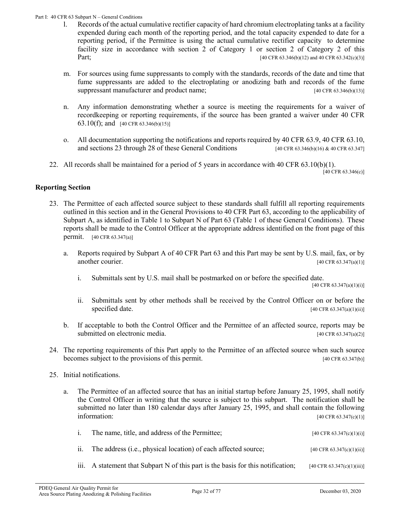- l. Records of the actual cumulative rectifier capacity of hard chromium electroplating tanks at a facility expended during each month of the reporting period, and the total capacity expended to date for a reporting period, if the Permittee is using the actual cumulative rectifier capacity to determine facility size in accordance with section 2 of Category 1 or section 2 of Category 2 of this Part;  $[40 \text{ CFR } 63.346(b)(12) \text{ and } 40 \text{ CFR } 63.342(c)(3)]$
- m. For sources using fume suppressants to comply with the standards, records of the date and time that fume suppressants are added to the electroplating or anodizing bath and records of the fume suppressant manufacturer and product name;<br>
[40 CFR 63.346(b)(13)]
- n. Any information demonstrating whether a source is meeting the requirements for a waiver of recordkeeping or reporting requirements, if the source has been granted a waiver under 40 CFR 63.10(f); and  $[40 \text{ CFR } 63.346(b)(15)]$
- o. All documentation supporting the notifications and reports required by 40 CFR 63.9, 40 CFR 63.10, and sections 23 through 28 of these General Conditions [40 CFR 63.346(b)(16) & 40 CFR 63.347]
- 22. All records shall be maintained for a period of 5 years in accordance with 40 CFR 63.10(b)(1).

 $[40 \text{ CFR } 63.346(c)]$ 

### **Reporting Section**

- 23. The Permittee of each affected source subject to these standards shall fulfill all reporting requirements outlined in this section and in the General Provisions to 40 CFR Part 63, according to the applicability of Subpart A, as identified in Table 1 to Subpart N of Part 63 (Table 1 of these General Conditions). These reports shall be made to the Control Officer at the appropriate address identified on the front page of this permit. [40 CFR 63.347(a)]
	- a. Reports required by Subpart A of 40 CFR Part 63 and this Part may be sent by U.S. mail, fax, or by another courier. [40 CFR 63.347(a)(1)]
		- i. Submittals sent by U.S. mail shall be postmarked on or before the specified date.

[40 CFR 63.347(a)(1)(i)]

- ii. Submittals sent by other methods shall be received by the Control Officer on or before the specified date.  $[40 \text{ CFR } 63.347(a)(1)(ii)]$
- b. If acceptable to both the Control Officer and the Permittee of an affected source, reports may be submitted on electronic media. [40 CFR 63.347(a)(2)]
- 24. The reporting requirements of this Part apply to the Permittee of an affected source when such source becomes subject to the provisions of this permit. [40 CFR 63.347(b)]
- 25. Initial notifications.
	- a. The Permittee of an affected source that has an initial startup before January 25, 1995, shall notify the Control Officer in writing that the source is subject to this subpart. The notification shall be submitted no later than 180 calendar days after January 25, 1995, and shall contain the following information:  $[40 \text{ CFR } 63.347 \text{ (c)}(1)]$

|     | The name, title, and address of the Permittee;                                   | [40 CFR 63.347(c)(1)(i)]              |
|-----|----------------------------------------------------------------------------------|---------------------------------------|
| 11. | The address (i.e., physical location) of each affected source;                   | $[40 \text{ CFR } 63.347(c)(1)(ii)]$  |
|     | iii. A statement that Subpart N of this part is the basis for this notification; | $[40 \text{ CFR } 63.347(c)(1)(iii)]$ |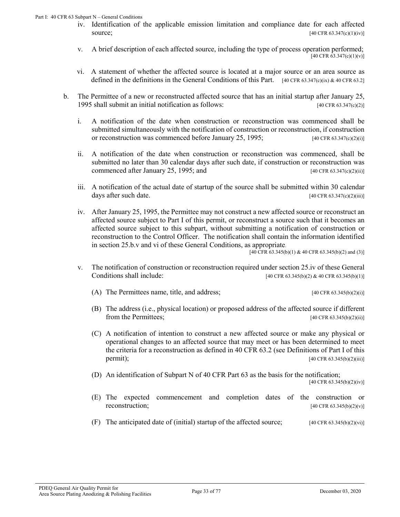- iv. Identification of the applicable emission limitation and compliance date for each affected source;  $[40 \text{ CFR } 63.347(c)(1)(iv)]$
- v. A brief description of each affected source, including the type of process operation performed;  $[40 \text{ CFR } 63.347 \text{(c)}(1) \text{(v)}]$
- vi. A statement of whether the affected source is located at a major source or an area source as defined in the definitions in the General Conditions of this Part. [40 CFR 63.347(c)(ix) & 40 CFR 63.2]
- b. The Permittee of a new or reconstructed affected source that has an initial startup after January 25, 1995 shall submit an initial notification as follows: [40 CFR 63.347(c)(2)]
	- i. A notification of the date when construction or reconstruction was commenced shall be submitted simultaneously with the notification of construction or reconstruction, if construction or reconstruction was commenced before January 25, 1995;  $[40 \text{ CFR } 63.347 \text{ (c)}(2)(i)]$
	- ii. A notification of the date when construction or reconstruction was commenced, shall be submitted no later than 30 calendar days after such date, if construction or reconstruction was commenced after January 25, 1995; and  $[40 \text{ CFR } 63.347 \text{ (c)}(2)(ii)]$
	- iii. A notification of the actual date of startup of the source shall be submitted within 30 calendar days after such date.  $[40 \text{ CFR } 63.347 \text{ (c)}(2) \text{ (iii)}]$
	- iv. After January 25, 1995, the Permittee may not construct a new affected source or reconstruct an affected source subject to Part I of this permit, or reconstruct a source such that it becomes an affected source subject to this subpart, without submitting a notification of construction or reconstruction to the Control Officer. The notification shall contain the information identified in section 25.b.v and vi of these General Conditions, as appropriate.

 $[40 \text{ CFR } 63.345 \text{ (b)}(1) \& 40 \text{ CFR } 63.345 \text{ (b)}(2) \text{ and } (3)]$ 

- v. The notification of construction or reconstruction required under section 25.iv of these General Conditions shall include:  $[40 \text{ CFR } 63.345(b)(2) \& 40 \text{ CFR } 63.345(b)(1)]$ 
	- (A) The Permittees name, title, and address;  $[40 \text{ CFR } 63.345(b)(2)(i)]$
	- (B) The address (i.e., physical location) or proposed address of the affected source if different from the Permittees;  $[40 \text{ CFR } 63.345(b)(2)(ii)]$
	- (C) A notification of intention to construct a new affected source or make any physical or operational changes to an affected source that may meet or has been determined to meet the criteria for a reconstruction as defined in 40 CFR 63.2 (see Definitions of Part I of this **permit);**  $[40 \text{ CFR } 63.345(b)(2)(iii)]$
	- (D) An identification of Subpart N of 40 CFR Part 63 as the basis for the notification;

[40 CFR 63.345(b)(2)(iv)]

- (E) The expected commencement and completion dates of the construction or reconstruction;  $[40 \text{ CFR } 63.345(b)(2)(v)]$
- (F) The anticipated date of (initial) startup of the affected source;  $[40 \text{ CFR } 63.345(b)(2)(vi)]$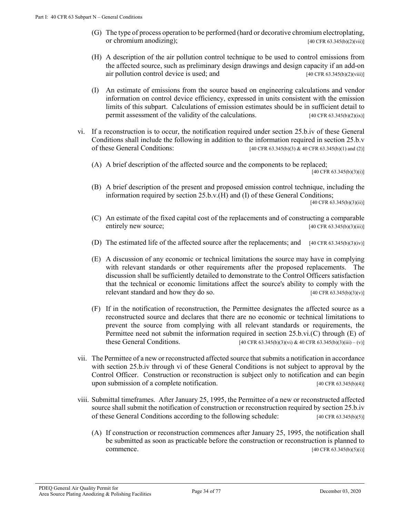- (G) The type of process operation to be performed (hard or decorative chromium electroplating, or chromium anodizing);  $[40 \text{ CFR } 63.345(b)(2)(\text{vii})]$
- (H) A description of the air pollution control technique to be used to control emissions from the affected source, such as preliminary design drawings and design capacity if an add-on air pollution control device is used; and  $[40 \text{ CFR } 63.345(b)(2)(viii)]$
- (I) An estimate of emissions from the source based on engineering calculations and vendor information on control device efficiency, expressed in units consistent with the emission limits of this subpart. Calculations of emission estimates should be in sufficient detail to permit assessment of the validity of the calculations. [40 CFR 63.345(b)(2)(ix)]
- vi. If a reconstruction is to occur, the notification required under section 25.b.iv of these General Conditions shall include the following in addition to the information required in section 25.b.v of these General Conditions:  $[40 \text{ CFR } 63.345(b)(3) \& 40 \text{ CFR } 63.345(b)(1) \text{ and } (2)]$ 
	- (A) A brief description of the affected source and the components to be replaced;

[40 CFR 63.345(b)(3)(i)]

- (B) A brief description of the present and proposed emission control technique, including the information required by section 25.b.v.(H) and (I) of these General Conditions; [40 CFR 63.345(b)(3)(ii)]
- (C) An estimate of the fixed capital cost of the replacements and of constructing a comparable entirely new source; [40 CFR 63.345(b)(3)(iii)]
- (D) The estimated life of the affected source after the replacements; and  $[40 \text{ CFR } 63.345(b)(3)(iv)]$
- (E) A discussion of any economic or technical limitations the source may have in complying with relevant standards or other requirements after the proposed replacements. The discussion shall be sufficiently detailed to demonstrate to the Control Officers satisfaction that the technical or economic limitations affect the source's ability to comply with the relevant standard and how they do so.  $[40 \text{ CFR } 63.345(\text{b})(3)(\text{v})]$
- (F) If in the notification of reconstruction, the Permittee designates the affected source as a reconstructed source and declares that there are no economic or technical limitations to prevent the source from complying with all relevant standards or requirements, the Permittee need not submit the information required in section 25.b.vi.(C) through (E) of these General Conditions. [40 CFR 63.345(b)(3)(vi) & 40 CFR 63.345(b)(3)(iii) – (v)]
- vii. The Permittee of a new or reconstructed affected source that submits a notification in accordance with section 25.b.iv through vi of these General Conditions is not subject to approval by the Control Officer. Construction or reconstruction is subject only to notification and can begin upon submission of a complete notification.  $[40 \text{ CFR } 63.345 \text{ (b)}(4)]$
- viii. Submittal timeframes. After January 25, 1995, the Permittee of a new or reconstructed affected source shall submit the notification of construction or reconstruction required by section 25.b.iv of these General Conditions according to the following schedule: [40 CFR 63.345(b)(5)]
	- (A) If construction or reconstruction commences after January 25, 1995, the notification shall be submitted as soon as practicable before the construction or reconstruction is planned to **commence.** [40 CFR 63.345(b)(5)(i)]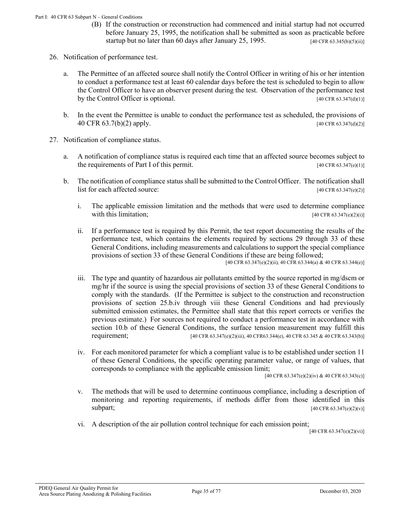- (B) If the construction or reconstruction had commenced and initial startup had not occurred before January 25, 1995, the notification shall be submitted as soon as practicable before startup but no later than 60 days after January 25, 1995. [40 CFR 63.345(b)(5)(ii)]
- 26. Notification of performance test.
	- a. The Permittee of an affected source shall notify the Control Officer in writing of his or her intention to conduct a performance test at least 60 calendar days before the test is scheduled to begin to allow the Control Officer to have an observer present during the test. Observation of the performance test by the Control Officer is optional.  $[40 \text{ CFR } 63.347(d)(1)]$
	- b. In the event the Permittee is unable to conduct the performance test as scheduled, the provisions of 40 CFR 63.7(b)(2) apply. [40 CFR 63.347(d)(2)]
- 27. Notification of compliance status.
	- a. A notification of compliance status is required each time that an affected source becomes subject to the requirements of Part I of this permit.  $[40 \text{ CFR } 63.347\text{ (e)}(1)]$
	- b. The notification of compliance status shall be submitted to the Control Officer. The notification shall list for each affected source: [40 CFR 63.347(e)(2)]
		- i. The applicable emission limitation and the methods that were used to determine compliance with this limitation;  $[40 \text{ CFR } 63.347\text{ (e)}(2)(i)]$
		- ii. If a performance test is required by this Permit, the test report documenting the results of the performance test, which contains the elements required by sections 29 through 33 of these General Conditions, including measurements and calculations to support the special compliance provisions of section 33 of these General Conditions if these are being followed;

[40 CFR 63.347(e)(2)(ii), 40 CFR 63.344(a) & 40 CFR 63.344(e)]

- iii. The type and quantity of hazardous air pollutants emitted by the source reported in mg/dscm or mg/hr if the source is using the special provisions of section 33 of these General Conditions to comply with the standards. (If the Permittee is subject to the construction and reconstruction provisions of section 25.b.iv through viii these General Conditions and had previously submitted emission estimates, the Permittee shall state that this report corrects or verifies the previous estimate.) For sources not required to conduct a performance test in accordance with section 10.b of these General Conditions, the surface tension measurement may fulfill this requirement;  $[40 \text{ CFR } 63.347 \text{ (e)} (2) \text{ (iii)}$ ,  $40 \text{ CFR } 63.344 \text{ (e)}$ ,  $40 \text{ CFR } 63.345 \& 40 \text{ CFR } 63.343 \text{ (b)}]$
- iv. For each monitored parameter for which a compliant value is to be established under section 11 of these General Conditions, the specific operating parameter value, or range of values, that corresponds to compliance with the applicable emission limit;

[40 CFR 63.347(e)(2)(iv) & 40 CFR 63.343(c)]

- v. The methods that will be used to determine continuous compliance, including a description of monitoring and reporting requirements, if methods differ from those identified in this  $\text{subpart};$  [40 CFR 63.347(e)(2)(v)]
- vi. A description of the air pollution control technique for each emission point;

[40 CFR 63.347(e)(2)(vi)]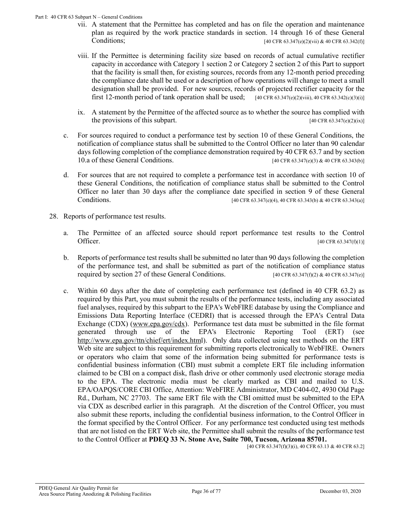- vii. A statement that the Permittee has completed and has on file the operation and maintenance plan as required by the work practice standards in section. 14 through 16 of these General Conditions; [40 CFR 63.347(e)(2)(vii) & 40 CFR 63.342(f)]
- viii. If the Permittee is determining facility size based on records of actual cumulative rectifier capacity in accordance with Category 1 section 2 or Category 2 section 2 of this Part to support that the facility is small then, for existing sources, records from any 12-month period preceding the compliance date shall be used or a description of how operations will change to meet a small designation shall be provided. For new sources, records of projected rectifier capacity for the first 12-month period of tank operation shall be used;  $[40 \text{ CFR } 63.347 \text{ (e)}(2) \text{ (viii)}$ , 40 CFR 63.342(c)(3)(i)]
- ix. A statement by the Permittee of the affected source as to whether the source has complied with the provisions of this subpart.  $[40 \text{ CFR } 63.347 \text{ (e)} \text{ (2)} \text{ (ix)}]$
- c. For sources required to conduct a performance test by section 10 of these General Conditions, the notification of compliance status shall be submitted to the Control Officer no later than 90 calendar days following completion of the compliance demonstration required by 40 CFR 63.7 and by section 10.a of these General Conditions. [40 CFR 63.347(e)(3) & 40 CFR 63.343(b)]
- d. For sources that are not required to complete a performance test in accordance with section 10 of these General Conditions, the notification of compliance status shall be submitted to the Control Officer no later than 30 days after the compliance date specified in section 9 of these General Conditions.  $[40 \text{ CFR } 63.347(e)(4), 40 \text{ CFR } 63.343(b) \& 40 \text{ CFR } 63.343(a)]$
- 28. Reports of performance test results.
	- a. The Permittee of an affected source should report performance test results to the Control  $\text{Office:}$  [40 CFR 63.347(f)(1)]
	- b. Reports of performance test results shall be submitted no later than 90 days following the completion of the performance test, and shall be submitted as part of the notification of compliance status required by section 27 of these General Conditions. [40 CFR 63.347(f)(2) & 40 CFR 63.347(e)]
	- c. Within 60 days after the date of completing each performance test (defined in 40 CFR 63.2) as required by this Part, you must submit the results of the performance tests, including any associated fuel analyses, required by this subpart to the EPA's WebFIRE database by using the Compliance and Emissions Data Reporting Interface (CEDRI) that is accessed through the EPA's Central Data Exchange (CDX) [\(www.epa.gov/cdx\)](file://Central/Centralfs/DEQ/_Shared%20Data/Air/0%20-%20Stationary%20Sources/Permits/PDEQ%20General%20Permits/Electroplating%20and%20Anodizing%20Subpart%20N/Draft%20Permit%20Docs/www.epa.gov/cdx). Performance test data must be submitted in the file format generated through use of the EPA's Electronic Reporting Tool (ERT) (se[e](file:///%5C%5Ccentral%5CCentralfs%5CDEQ%5C_Shared%20Data%5CAir%5C0%20-%20Stationary%20Sources%5CPermits%5CPDEQ%20General%20Permits%5CElectroplating%20and%20Anodizing%20Subpart%20N%5CDraft%20Permit%20Docs%5CWithin%2060%20days%20after%20the%20date%20of%20completing%20each%20performance%20test%20(defined%20in%20%C2%A763.2)%20as%20required%20by%20this%20subpart,%20you%20must%20submit%20the%20results%20of%20the%20performance%20tests,%20including%20any%20associated%20fuel%20analyses,%20required%20by%20this%20subpart%20to%20the%20EPA) [http://www.epa.gov/ttn/chief/ert/index.html](file:///%5C%5Ccentral%5CCentralfs%5CDEQ%5C_Shared%20Data%5CAir%5C0%20-%20Stationary%20Sources%5CPermits%5CPDEQ%20General%20Permits%5CElectroplating%20and%20Anodizing%20Subpart%20N%5CDraft%20Permit%20Docs%5CWithin%2060%20days%20after%20the%20date%20of%20completing%20each%20performance%20test%20(defined%20in%20%C2%A763.2)%20as%20required%20by%20this%20subpart,%20you%20must%20submit%20the%20results%20of%20the%20performance%20tests,%20including%20any%20associated%20fuel%20analyses,%20required%20by%20this%20subpart%20to%20the%20EPA)). Only data collected using test methods on the ERT Web site are subject to this requirement for submitting reports electronically to WebFIRE. Owners or operators who claim that some of the information being submitted for performance tests is confidential business information (CBI) must submit a complete ERT file including information claimed to be CBI on a compact disk, flash drive or other commonly used electronic storage media to the EPA. The electronic media must be clearly marked as CBI and mailed to U.S. EPA/OAPQS/CORE CBI Office, Attention: WebFIRE Administrator, MD C404-02, 4930 Old Page Rd., Durham, NC 27703. The same ERT file with the CBI omitted must be submitted to the EPA via CDX as described earlier in this paragraph. At the discretion of the Control Officer, you must also submit these reports, including the confidential business information, to the Control Officer in the format specified by the Control Officer. For any performance test conducted using test methods that are not listed on the ERT Web site, the Permittee shall submit the results of the performance test to the Control Officer at **PDEQ 33 N. Stone Ave, Suite 700, Tucson, Arizona 85701.**

[40 CFR 63.347(f)(3)(i), 40 CFR 63.13 & 40 CFR 63.2]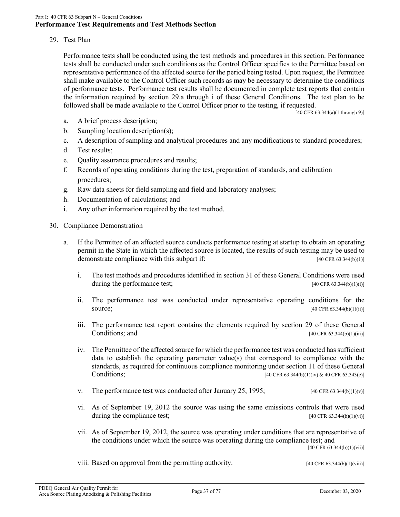29. Test Plan

Performance tests shall be conducted using the test methods and procedures in this section. Performance tests shall be conducted under such conditions as the Control Officer specifies to the Permittee based on representative performance of the affected source for the period being tested. Upon request, the Permittee shall make available to the Control Officer such records as may be necessary to determine the conditions of performance tests. Performance test results shall be documented in complete test reports that contain the information required by section 29.a through i of these General Conditions. The test plan to be followed shall be made available to the Control Officer prior to the testing, if requested.

 $[40 \text{ CFR } 63.344(a)(1 \text{ through } 9)]$ 

- a. A brief process description;
- b. Sampling location description(s);
- c. A description of sampling and analytical procedures and any modifications to standard procedures;
- d. Test results;
- e. Quality assurance procedures and results;
- f. Records of operating conditions during the test, preparation of standards, and calibration procedures;
- g. Raw data sheets for field sampling and field and laboratory analyses;
- h. Documentation of calculations; and
- i. Any other information required by the test method.
- 30. Compliance Demonstration
	- a. If the Permittee of an affected source conducts performance testing at startup to obtain an operating permit in the State in which the affected source is located, the results of such testing may be used to demonstrate compliance with this subpart if: [40 CFR 63.344(b)(1)]
		- i. The test methods and procedures identified in section 31 of these General Conditions were used during the performance test;  $[40 \text{ CFR } 63.344(b)(1)(i)]$
		- ii. The performance test was conducted under representative operating conditions for the source; [40 CFR 63.344(b)(1)(ii)]
		- iii. The performance test report contains the elements required by section 29 of these General Conditions; and [40 CFR 63.344(b)(1)(iii)]
		- iv. The Permittee of the affected source for which the performance test was conducted has sufficient data to establish the operating parameter value(s) that correspond to compliance with the standards, as required for continuous compliance monitoring under section 11 of these General Conditions;  $[40 \text{ CFR } 63.344(b)(1)(iv) \& 40 \text{ CFR } 63.343(c)]$
		- v. The performance test was conducted after January 25, 1995; [40 CFR 63.344(b)(1)(v)]
		- vi. As of September 19, 2012 the source was using the same emissions controls that were used during the compliance test;  $[40 \text{ CFR } 63.344(b)(1)(vi)]$
		- vii. As of September 19, 2012, the source was operating under conditions that are representative of the conditions under which the source was operating during the compliance test; and

[40 CFR 63.344(b)(1)(vii)]

viii. Based on approval from the permitting authority. [40 CFR 63.344(b)(1)(viii)]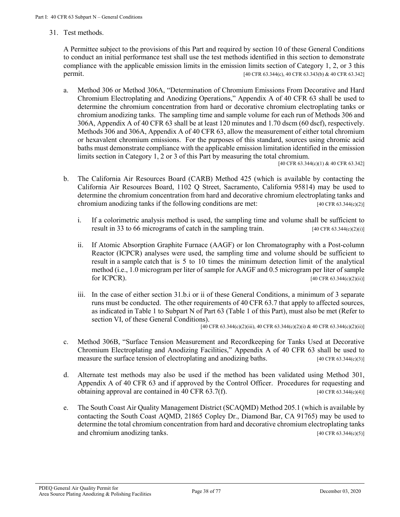31. Test methods.

A Permittee subject to the provisions of this Part and required by section 10 of these General Conditions to conduct an initial performance test shall use the test methods identified in this section to demonstrate compliance with the applicable emission limits in the emission limits section of Category 1, 2, or 3 this permit. [40 CFR 63.344(c), 40 CFR 63.343(b) & 40 CFR 63.342]

a. Method 306 or Method 306A, "Determination of Chromium Emissions From Decorative and Hard Chromium Electroplating and Anodizing Operations," Appendix A of 40 CFR 63 shall be used to determine the chromium concentration from hard or decorative chromium electroplating tanks or chromium anodizing tanks. The sampling time and sample volume for each run of Methods 306 and 306A, Appendix A of 40 CFR 63 shall be at least 120 minutes and 1.70 dscm (60 dscf), respectively. Methods 306 and 306A, Appendix A of 40 CFR 63, allow the measurement of either total chromium or hexavalent chromium emissions. For the purposes of this standard, sources using chromic acid baths must demonstrate compliance with the applicable emission limitation identified in the emission limits section in Category 1, 2 or 3 of this Part by measuring the total chromium.

[40 CFR 63.344(c)(1) & 40 CFR 63.342]

- b. The California Air Resources Board (CARB) Method 425 (which is available by contacting the California Air Resources Board, 1102 Q Street, Sacramento, California 95814) may be used to determine the chromium concentration from hard and decorative chromium electroplating tanks and chromium anodizing tanks if the following conditions are met:  $[40 \text{ CFR } 63.344(c)(2)]$ 
	- i. If a colorimetric analysis method is used, the sampling time and volume shall be sufficient to result in 33 to 66 micrograms of catch in the sampling train. [40 CFR 63.344(c)(2)(i)]
	- ii. If Atomic Absorption Graphite Furnace (AAGF) or Ion Chromatography with a Post-column Reactor (ICPCR) analyses were used, the sampling time and volume should be sufficient to result in a sample catch that is 5 to 10 times the minimum detection limit of the analytical method (i.e., 1.0 microgram per liter of sample for AAGF and 0.5 microgram per liter of sample for ICPCR). [40 CFR 63.344(c)(2)(ii)]
	- iii. In the case of either section 31.b.i or ii of these General Conditions, a minimum of 3 separate runs must be conducted. The other requirements of 40 CFR 63.7 that apply to affected sources, as indicated in Table 1 to Subpart N of Part 63 (Table 1 of this Part), must also be met (Refer to section VI, of these General Conditions).

 $[40 \text{ CFR } 63.344 \text{(c)} \text{(2)}$ (iii), 40 CFR 63.344(c)(2)(i) & 40 CFR 63.344(c)(2)(ii)]

- c. Method 306B, "Surface Tension Measurement and Recordkeeping for Tanks Used at Decorative Chromium Electroplating and Anodizing Facilities," Appendix A of 40 CFR 63 shall be used to measure the surface tension of electroplating and anodizing baths.  $[40 \text{ CFR } 63.344(c)(3)]$
- d. Alternate test methods may also be used if the method has been validated using Method 301, Appendix A of 40 CFR 63 and if approved by the Control Officer. Procedures for requesting and obtaining approval are contained in 40 CFR  $63.7(f)$ . [40 CFR  $63.344(c)(4)$ ]
- e. The South Coast Air Quality Management District (SCAQMD) Method 205.1 (which is available by contacting the South Coast AQMD, 21865 Copley Dr., Diamond Bar, CA 91765) may be used to determine the total chromium concentration from hard and decorative chromium electroplating tanks and chromium anodizing tanks.  $[40 \text{ CFR } 63.344(c)(5)]$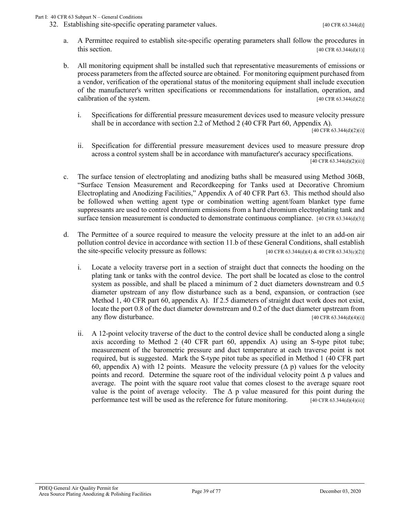32. Establishing site-specific operating parameter values. [40 CFR 63.344(d)]

- a. A Permittee required to establish site-specific operating parameters shall follow the procedures in this section.  $[40 \text{ CFR } 63.344 \text{ d})(1)]$
- b. All monitoring equipment shall be installed such that representative measurements of emissions or process parameters from the affected source are obtained. For monitoring equipment purchased from a vendor, verification of the operational status of the monitoring equipment shall include execution of the manufacturer's written specifications or recommendations for installation, operation, and calibration of the system.  $[40 \text{ CFR } 63.344 \text{ (d)}(2)]$ 
	- i. Specifications for differential pressure measurement devices used to measure velocity pressure shall be in accordance with section 2.2 of Method 2 (40 CFR Part 60, Appendix A).  $[40 \text{ CFR } 63.344(d)(2)(i)]$
	- ii. Specification for differential pressure measurement devices used to measure pressure drop across a control system shall be in accordance with manufacturer's accuracy specifications.  $[40 \text{ CFR } 63.344(d)(2)(ii)]$
- c. The surface tension of electroplating and anodizing baths shall be measured using Method 306B, "Surface Tension Measurement and Recordkeeping for Tanks used at Decorative Chromium Electroplating and Anodizing Facilities," Appendix A of 40 CFR Part 63. This method should also be followed when wetting agent type or combination wetting agent/foam blanket type fume suppressants are used to control chromium emissions from a hard chromium electroplating tank and surface tension measurement is conducted to demonstrate continuous compliance. [40 CFR 63.344(d)(3)]
- d. The Permittee of a source required to measure the velocity pressure at the inlet to an add-on air pollution control device in accordance with section 11.b of these General Conditions, shall establish the site-specific velocity pressure as follows:  $[40 \text{ CFR } 63.344 \text{ (d)}(4) \& 40 \text{ CFR } 63.343 \text{ (c)}(2)]$ 
	- i. Locate a velocity traverse port in a section of straight duct that connects the hooding on the plating tank or tanks with the control device. The port shall be located as close to the control system as possible, and shall be placed a minimum of 2 duct diameters downstream and 0.5 diameter upstream of any flow disturbance such as a bend, expansion, or contraction (see Method 1, 40 CFR part 60, appendix A). If 2.5 diameters of straight duct work does not exist, locate the port 0.8 of the duct diameter downstream and 0.2 of the duct diameter upstream from any flow disturbance.  $[40 \text{ CFR } 63.344 \text{ (d)} \times (4)(i)]$
	- ii. A 12-point velocity traverse of the duct to the control device shall be conducted along a single axis according to Method 2 (40 CFR part 60, appendix A) using an S-type pitot tube; measurement of the barometric pressure and duct temperature at each traverse point is not required, but is suggested. Mark the S-type pitot tube as specified in Method 1 (40 CFR part 60, appendix A) with 12 points. Measure the velocity pressure  $(\Delta p)$  values for the velocity points and record. Determine the square root of the individual velocity point  $\Delta$  p values and average. The point with the square root value that comes closest to the average square root value is the point of average velocity. The  $\Delta$  p value measured for this point during the performance test will be used as the reference for future monitoring. [40 CFR 63.344(d)(4)(ii)]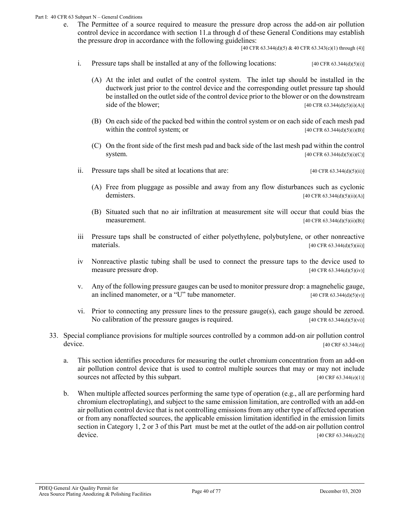e. The Permittee of a source required to measure the pressure drop across the add-on air pollution control device in accordance with section 11.a through d of these General Conditions may establish the pressure drop in accordance with the following guidelines:

 $[40 \text{ CFR } 63.344 \text{ (d)}(5) \& 40 \text{ CFR } 63.343 \text{ (c)}(1) \text{ through (4)}]$ 

- i. Pressure taps shall be installed at any of the following locations:  $[40 \text{ CFR } 63.344 \text{ (d)}(5) \text{ (i)}]$ 
	- (A) At the inlet and outlet of the control system. The inlet tap should be installed in the ductwork just prior to the control device and the corresponding outlet pressure tap should be installed on the outlet side of the control device prior to the blower or on the downstream side of the blower;  $[40 \text{ CFR } 63.344(d)(5)(i)(A)]$
	- (B) On each side of the packed bed within the control system or on each side of each mesh pad within the control system; or  $[40 \text{ CFR } 63.344(d)(5)(i)(B)]$
	- (C) On the front side of the first mesh pad and back side of the last mesh pad within the control system. [40 CFR 63.344(d)(5)(i)(C)]
- ii. Pressure taps shall be sited at locations that are:  $[40 \text{ CFR } 63.344 \text{ (d)}(5) \text{ (ii)}]$ 
	- (A) Free from pluggage as possible and away from any flow disturbances such as cyclonic demisters.  $[40 \text{ CFR } 63.344 \text{ (d)}(5) \text{ (ii)}(A)]$
	- (B) Situated such that no air infiltration at measurement site will occur that could bias the measurement.  $[40 \text{ CFR } 63.344(d)(5)(ii)(B)]$
- iii Pressure taps shall be constructed of either polyethylene, polybutylene, or other nonreactive  $\mu$  materials. [40 CFR 63.344(d)(5)(iii)]
- iv Nonreactive plastic tubing shall be used to connect the pressure taps to the device used to measure pressure drop. [40 CFR 63.344(d)(5)(iv)]
- v. Any of the following pressure gauges can be used to monitor pressure drop: a magnehelic gauge, an inclined manometer, or a "U" tube manometer.  $[40 \text{ CFR } 63.344 \text{ (d)}(5) \text{ (v)}]$
- vi. Prior to connecting any pressure lines to the pressure gauge $(s)$ , each gauge should be zeroed. No calibration of the pressure gauges is required.  $[40 \text{ CFR } 63.344 \text{ (d)}(5) \text{ (vi)}]$
- 33. Special compliance provisions for multiple sources controlled by a common add-on air pollution control device. [40 CRF 63.344(e)]
	- a. This section identifies procedures for measuring the outlet chromium concentration from an add-on air pollution control device that is used to control multiple sources that may or may not include sources not affected by this subpart. [40 CRF 63.344(e)(1)]
	- b. When multiple affected sources performing the same type of operation (e.g., all are performing hard chromium electroplating), and subject to the same emission limitation, are controlled with an add-on air pollution control device that is not controlling emissions from any other type of affected operation or from any nonaffected sources, the applicable emission limitation identified in the emission limits section in Category 1, 2 or 3 of this Part must be met at the outlet of the add-on air pollution control device.  $[40 \text{ CRF } 63.344(e)(2)]$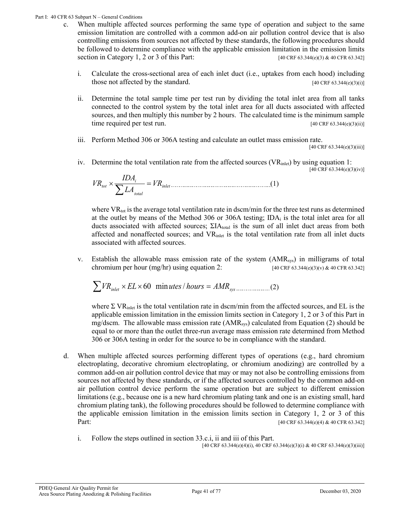- c. When multiple affected sources performing the same type of operation and subject to the same emission limitation are controlled with a common add-on air pollution control device that is also controlling emissions from sources not affected by these standards, the following procedures should be followed to determine compliance with the applicable emission limitation in the emission limits section in Category 1, 2 or 3 of this Part:  $[40 \text{ CRF } 63.344(e)(3) \& 40 \text{ CRF } 63.342]$ 
	- i. Calculate the cross-sectional area of each inlet duct (i.e., uptakes from each hood) including those not affected by the standard.  $[40 \text{ CRF } 63.344(e)(3)(i)]$
	- ii. Determine the total sample time per test run by dividing the total inlet area from all tanks connected to the control system by the total inlet area for all ducts associated with affected sources, and then multiply this number by 2 hours. The calculated time is the minimum sample time required per test run. [40 CRF 63.344(e)(3)(ii)]
	- iii. Perform Method 306 or 306A testing and calculate an outlet mass emission rate.

[40 CRF 63.344(e)(3)(iii)]

iv. Determine the total ventilation rate from the affected sources  $(VR<sub>inlet</sub>)$  by using equation 1: [40 CRF 63.344(e)(3)(iv)]

$$
VR_{tot} \times \frac{IDA_i}{\sum LA_{total}} = VR_{inlet} \tag{1}
$$

where  $VR_{tot}$  is the average total ventilation rate in dscm/min for the three test runs as determined at the outlet by means of the Method 306 or 306A testing; IDAi is the total inlet area for all ducts associated with affected sources; ΣΙΑ<sub>total</sub> is the sum of all inlet duct areas from both affected and nonaffected sources; and  $VR<sub>inlet</sub>$  is the total ventilation rate from all inlet ducts associated with affected sources.

v. Establish the allowable mass emission rate of the system (AMR<sub>sys</sub>) in milligrams of total chromium per hour (mg/hr) using equation 2:  $[40 \text{ CRF } 63.344 \text{ (e)}(3) \text{ (v)} \& 40 \text{ CFR } 63.342]$ 

*inlet AMRsys* ∑*VR* <sup>×</sup> *EL* <sup>×</sup> <sup>60</sup> min *utes*/ *hours* <sup>=</sup> (2)

where  $\Sigma$  VR<sub>inlet</sub> is the total ventilation rate in dscm/min from the affected sources, and EL is the applicable emission limitation in the emission limits section in Category 1, 2 or 3 of this Part in mg/dscm. The allowable mass emission rate  $(AMR<sub>sys</sub>)$  calculated from Equation (2) should be equal to or more than the outlet three-run average mass emission rate determined from Method 306 or 306A testing in order for the source to be in compliance with the standard.

- d. When multiple affected sources performing different types of operations (e.g., hard chromium electroplating, decorative chromium electroplating, or chromium anodizing) are controlled by a common add-on air pollution control device that may or may not also be controlling emissions from sources not affected by these standards, or if the affected sources controlled by the common add-on air pollution control device perform the same operation but are subject to different emission limitations (e.g., because one is a new hard chromium plating tank and one is an existing small, hard chromium plating tank), the following procedures should be followed to determine compliance with the applicable emission limitation in the emission limits section in Category 1, 2 or 3 of this Part:  $[40 \text{ CRF } 63.344(e)(4) \& 40 \text{ CRF } 63.341(e)(4)$ 
	- i. Follow the steps outlined in section 33.c.i, ii and iii of this Part.

[40 CRF 63.344(e)(4)(i), 40 CRF 63.344(e)(3)(i) & 40 CRF 63.344(e)(3)(iii)]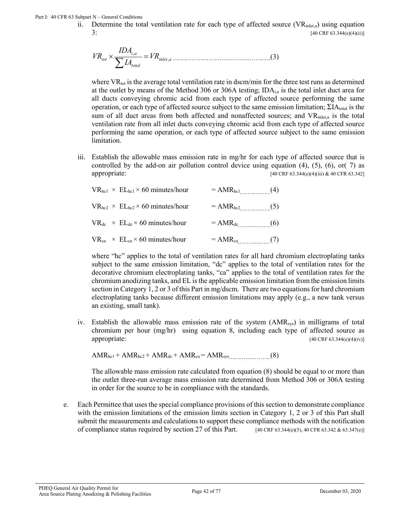ii. Determine the total ventilation rate for each type of affected source (VR<sub>inlet,a</sub>) using equation 3:  $[40 \text{ CRF } 63.344(e)(4)(ii)]$ 

*inlet a total i a tot VR IA IDA VR* , , × = ∑ (3)

where  $VR_{tot}$  is the average total ventilation rate in dscm/min for the three test runs as determined at the outlet by means of the Method 306 or 306A testing; IDAi,a is the total inlet duct area for all ducts conveying chromic acid from each type of affected source performing the same operation, or each type of affected source subject to the same emission limitation;  $\Sigma I A_{total}$  is the sum of all duct areas from both affected and nonaffected sources; and  $VR_{inlet,a}$  is the total ventilation rate from all inlet ducts conveying chromic acid from each type of affected source performing the same operation, or each type of affected source subject to the same emission limitation.

iii. Establish the allowable mass emission rate in mg/hr for each type of affected source that is controlled by the add-on air pollution control device using equation  $(4)$ ,  $(5)$ ,  $(6)$ , or $(7)$  as appropriate: [40 CRF 63.344(e)(4)(iii) & 40 CFR 63.342]

|  | $VR_{hel} \times EL_{hel} \times 60$ minutes/hour | $= AMR_{hc1}$ (4) |  |
|--|---------------------------------------------------|-------------------|--|
|  | $VR_{hc2} \times EL_{hc2} \times 60$ minutes/hour | $= AMR_{hc2}$ (5) |  |
|  | $VR_{dc} \times EL_{dc} \times 60$ minutes/hour   | $= AMR_{dc}$ (6)  |  |
|  | $VR_{ca} \times EL_{ca} \times 60$ minutes/hour   | $= AMR_{ca}$ (7)  |  |

where "hc" applies to the total of ventilation rates for all hard chromium electroplating tanks subject to the same emission limitation, "dc" applies to the total of ventilation rates for the decorative chromium electroplating tanks, "ca" applies to the total of ventilation rates for the chromium anodizing tanks, and EL is the applicable emission limitation from the emission limits section in Category 1, 2 or 3 of this Part in mg/dscm. There are two equations for hard chromium electroplating tanks because different emission limitations may apply (e.g., a new tank versus an existing, small tank).

iv. Establish the allowable mass emission rate of the system  $(AMR<sub>sys</sub>)$  in milligrams of total chromium per hour (mg/hr) using equation 8, including each type of affected source as appropriate:  $[40 \text{ CRF } 63.344 \text{ (e)} \text{ (4)} \text{ (iv)}]$ 

 $AMR_{hc1} + AMR_{hc2} + AMR_{dc} + AMR_{ca} = AMR_{sys}$  (8)

The allowable mass emission rate calculated from equation (8) should be equal to or more than the outlet three-run average mass emission rate determined from Method 306 or 306A testing in order for the source to be in compliance with the standards.

e. Each Permittee that uses the special compliance provisions of this section to demonstrate compliance with the emission limitations of the emission limits section in Category 1, 2 or 3 of this Part shall submit the measurements and calculations to support these compliance methods with the notification of compliance status required by section 27 of this Part.  $[40 \text{ CRF } 63.344 \text{ (e)}(5), 40 \text{ CFR } 63.342 \& 63.347 \text{ (e)}]$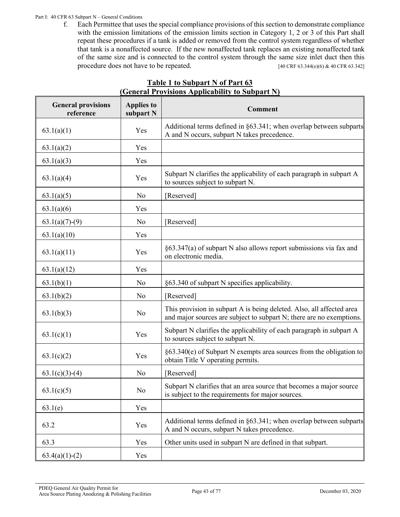f. Each Permittee that uses the special compliance provisions of this section to demonstrate compliance with the emission limitations of the emission limits section in Category 1, 2 or 3 of this Part shall repeat these procedures if a tank is added or removed from the control system regardless of whether that tank is a nonaffected source. If the new nonaffected tank replaces an existing nonaffected tank of the same size and is connected to the control system through the same size inlet duct then this procedure does not have to be repeated.  $[40 \text{ CRF } 63.344(e)(6) \& 40 \text{ CFR } 63.342]$ 

| <b>General provisions</b><br>reference | <b>Applies to</b><br>subpart N | <b>Comment</b>                                                                                                                                |
|----------------------------------------|--------------------------------|-----------------------------------------------------------------------------------------------------------------------------------------------|
| 63.1(a)(1)                             | Yes                            | Additional terms defined in §63.341; when overlap between subparts<br>A and N occurs, subpart N takes precedence.                             |
| 63.1(a)(2)                             | Yes                            |                                                                                                                                               |
| 63.1(a)(3)                             | Yes                            |                                                                                                                                               |
| 63.1(a)(4)                             | Yes                            | Subpart N clarifies the applicability of each paragraph in subpart A<br>to sources subject to subpart N.                                      |
| 63.1(a)(5)                             | No                             | [Reserved]                                                                                                                                    |
| 63.1(a)(6)                             | Yes                            |                                                                                                                                               |
| $63.1(a)(7)-(9)$                       | No                             | [Reserved]                                                                                                                                    |
| 63.1(a)(10)                            | Yes                            |                                                                                                                                               |
| 63.1(a)(11)                            | Yes                            | $\S63.347(a)$ of subpart N also allows report submissions via fax and<br>on electronic media.                                                 |
| 63.1(a)(12)                            | Yes                            |                                                                                                                                               |
| 63.1(b)(1)                             | No                             | §63.340 of subpart N specifies applicability.                                                                                                 |
| 63.1(b)(2)                             | No                             | [Reserved]                                                                                                                                    |
| 63.1(b)(3)                             | No                             | This provision in subpart A is being deleted. Also, all affected area<br>and major sources are subject to subpart N; there are no exemptions. |
| 63.1(c)(1)                             | Yes                            | Subpart N clarifies the applicability of each paragraph in subpart A<br>to sources subject to subpart N.                                      |
| 63.1(c)(2)                             | Yes                            | $§63.340(e)$ of Subpart N exempts area sources from the obligation to<br>obtain Title V operating permits.                                    |
| $63.1(c)(3)-(4)$                       | No                             | [Reserved]                                                                                                                                    |
| 63.1(c)(5)                             | No                             | Subpart N clarifies that an area source that becomes a major source<br>is subject to the requirements for major sources.                      |
| 63.1(e)                                | Yes                            |                                                                                                                                               |
| 63.2                                   | Yes                            | Additional terms defined in §63.341; when overlap between subparts<br>A and N occurs, subpart N takes precedence.                             |
| 63.3                                   | Yes                            | Other units used in subpart N are defined in that subpart.                                                                                    |
| $63.4(a)(1)-(2)$                       | Yes                            |                                                                                                                                               |

## **Table 1 to Subpart N of Part 63 (General Provisions Applicability to Subpart N)**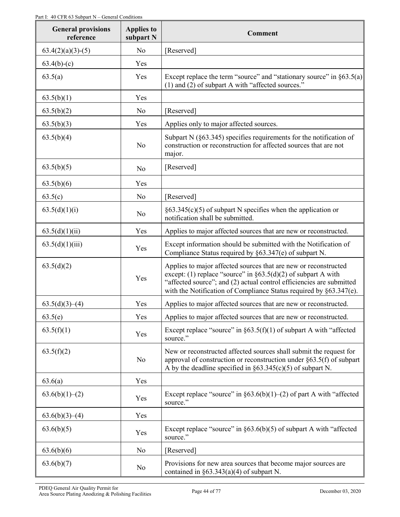| <b>General provisions</b><br>reference | <b>Applies to</b><br>subpart N | <b>Comment</b>                                                                                                                                                                                                                                                                     |
|----------------------------------------|--------------------------------|------------------------------------------------------------------------------------------------------------------------------------------------------------------------------------------------------------------------------------------------------------------------------------|
| $63.4(2)(a)(3)-(5)$                    | N <sub>o</sub>                 | [Reserved]                                                                                                                                                                                                                                                                         |
| $63.4(b)-(c)$                          | Yes                            |                                                                                                                                                                                                                                                                                    |
| 63.5(a)                                | Yes                            | Except replace the term "source" and "stationary source" in $\S 63.5(a)$<br>(1) and (2) of subpart A with "affected sources."                                                                                                                                                      |
| 63.5(b)(1)                             | Yes                            |                                                                                                                                                                                                                                                                                    |
| 63.5(b)(2)                             | No                             | [Reserved]                                                                                                                                                                                                                                                                         |
| 63.5(b)(3)                             | Yes                            | Applies only to major affected sources.                                                                                                                                                                                                                                            |
| 63.5(b)(4)                             | No                             | Subpart N $(\S63.345)$ specifies requirements for the notification of<br>construction or reconstruction for affected sources that are not<br>major.                                                                                                                                |
| 63.5(b)(5)                             | No                             | [Reserved]                                                                                                                                                                                                                                                                         |
| 63.5(b)(6)                             | Yes                            |                                                                                                                                                                                                                                                                                    |
| 63.5(c)                                | No                             | [Reserved]                                                                                                                                                                                                                                                                         |
| 63.5(d)(1)(i)                          | No                             | $\S 63.345(c)(5)$ of subpart N specifies when the application or<br>notification shall be submitted.                                                                                                                                                                               |
| 63.5(d)(1)(ii)                         | Yes                            | Applies to major affected sources that are new or reconstructed.                                                                                                                                                                                                                   |
| 63.5(d)(1)(iii)                        | Yes                            | Except information should be submitted with the Notification of<br>Compliance Status required by §63.347(e) of subpart N.                                                                                                                                                          |
| 63.5(d)(2)                             | Yes                            | Applies to major affected sources that are new or reconstructed<br>except: (1) replace "source" in $\S 63.5(d)(2)$ of subpart A with<br>"affected source"; and (2) actual control efficiencies are submitted<br>with the Notification of Compliance Status required by §63.347(e). |
| 63.5(d)(3)–(4)                         | Yes                            | Applies to major affected sources that are new or reconstructed.                                                                                                                                                                                                                   |
| 63.5(e)                                | Yes                            | Applies to major affected sources that are new or reconstructed.                                                                                                                                                                                                                   |
| 63.5(f)(1)                             | Yes                            | Except replace "source" in $\S 63.5(f)(1)$ of subpart A with "affected<br>source."                                                                                                                                                                                                 |
| 63.5(f)(2)                             | N <sub>o</sub>                 | New or reconstructed affected sources shall submit the request for<br>approval of construction or reconstruction under $§63.5(f)$ of subpart<br>A by the deadline specified in $\S 63.345(c)(5)$ of subpart N.                                                                     |
| 63.6(a)                                | Yes                            |                                                                                                                                                                                                                                                                                    |
| 63.6(b)(1)–(2)                         | Yes                            | Except replace "source" in $\S 63.6(b)(1)$ – (2) of part A with "affected<br>source."                                                                                                                                                                                              |
| 63.6(b)(3)–(4)                         | Yes                            |                                                                                                                                                                                                                                                                                    |
| 63.6(b)(5)                             | Yes                            | Except replace "source" in $\S 63.6(b)(5)$ of subpart A with "affected"<br>source."                                                                                                                                                                                                |
| 63.6(b)(6)                             | No                             | [Reserved]                                                                                                                                                                                                                                                                         |
| 63.6(b)(7)                             | No                             | Provisions for new area sources that become major sources are<br>contained in $\S 63.343(a)(4)$ of subpart N.                                                                                                                                                                      |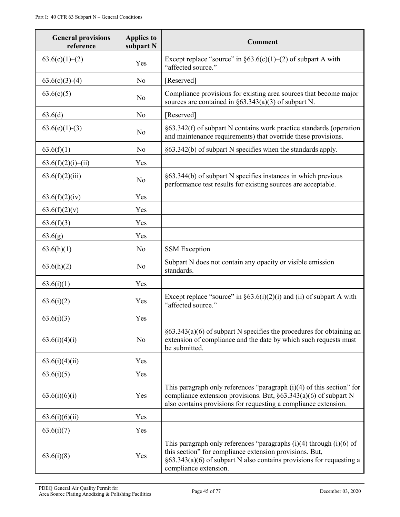| <b>General provisions</b><br>reference | <b>Applies to</b><br>subpart N | <b>Comment</b>                                                                                                                                                                                                                         |
|----------------------------------------|--------------------------------|----------------------------------------------------------------------------------------------------------------------------------------------------------------------------------------------------------------------------------------|
| 63.6(c)(1)–(2)                         | Yes                            | Except replace "source" in $\S 63.6(c)(1)$ –(2) of subpart A with<br>"affected source."                                                                                                                                                |
| $63.6(c)(3)-(4)$                       | No                             | [Reserved]                                                                                                                                                                                                                             |
| 63.6(c)(5)                             | No                             | Compliance provisions for existing area sources that become major<br>sources are contained in $\S 63.343(a)(3)$ of subpart N.                                                                                                          |
| 63.6(d)                                | No                             | [Reserved]                                                                                                                                                                                                                             |
| $63.6(e)(1)-(3)$                       | No                             | $§63.342(f)$ of subpart N contains work practice standards (operation<br>and maintenance requirements) that override these provisions.                                                                                                 |
| 63.6(f)(1)                             | No                             | §63.342(b) of subpart N specifies when the standards apply.                                                                                                                                                                            |
| 63.6(f)(2)(i)–(ii)                     | Yes                            |                                                                                                                                                                                                                                        |
| 63.6(f)(2)(iii)                        | No                             | $§63.344(b)$ of subpart N specifies instances in which previous<br>performance test results for existing sources are acceptable.                                                                                                       |
| 63.6(f)(2)(iv)                         | Yes                            |                                                                                                                                                                                                                                        |
| 63.6(f)(2)(v)                          | Yes                            |                                                                                                                                                                                                                                        |
| 63.6(f)(3)                             | Yes                            |                                                                                                                                                                                                                                        |
| 63.6(g)                                | Yes                            |                                                                                                                                                                                                                                        |
| 63.6(h)(1)                             | No                             | <b>SSM</b> Exception                                                                                                                                                                                                                   |
| 63.6(h)(2)                             | No                             | Subpart N does not contain any opacity or visible emission<br>standards.                                                                                                                                                               |
| 63.6(i)(1)                             | Yes                            |                                                                                                                                                                                                                                        |
| 63.6(i)(2)                             | Yes                            | Except replace "source" in $\S 63.6(i)(2)(i)$ and (ii) of subpart A with<br>"affected source."                                                                                                                                         |
| 63.6(i)(3)                             | Yes                            |                                                                                                                                                                                                                                        |
| 63.6(i)(4)(i)                          | No                             | $\S63.343(a)(6)$ of subpart N specifies the procedures for obtaining an<br>extension of compliance and the date by which such requests must<br>be submitted.                                                                           |
| 63.6(i)(4)(ii)                         | Yes                            |                                                                                                                                                                                                                                        |
| 63.6(i)(5)                             | Yes                            |                                                                                                                                                                                                                                        |
| 63.6(i)(6)(i)                          | Yes                            | This paragraph only references "paragraph (i)(4) of this section" for<br>compliance extension provisions. But, $\S 63.343(a)(6)$ of subpart N<br>also contains provisions for requesting a compliance extension.                       |
| 63.6(i)(6)(ii)                         | Yes                            |                                                                                                                                                                                                                                        |
| 63.6(i)(7)                             | Yes                            |                                                                                                                                                                                                                                        |
| 63.6(i)(8)                             | Yes                            | This paragraph only references "paragraphs $(i)(4)$ through $(i)(6)$ of<br>this section" for compliance extension provisions. But,<br>$\S63.343(a)(6)$ of subpart N also contains provisions for requesting a<br>compliance extension. |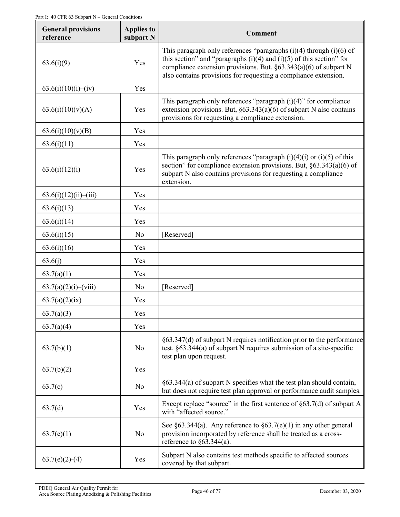| <b>General provisions</b><br>reference | <b>Applies to</b><br>subpart N | <b>Comment</b>                                                                                                                                                                                                                                                                                 |
|----------------------------------------|--------------------------------|------------------------------------------------------------------------------------------------------------------------------------------------------------------------------------------------------------------------------------------------------------------------------------------------|
| 63.6(i)(9)                             | Yes                            | This paragraph only references "paragraphs $(i)(4)$ through $(i)(6)$ of<br>this section" and "paragraphs $(i)(4)$ and $(i)(5)$ of this section" for<br>compliance extension provisions. But, $\S 63.343(a)(6)$ of subpart N<br>also contains provisions for requesting a compliance extension. |
| 63.6(i)(10)(i)–(iv)                    | Yes                            |                                                                                                                                                                                                                                                                                                |
| 63.6(i)(10)(v)(A)                      | Yes                            | This paragraph only references "paragraph $(i)(4)$ " for compliance<br>extension provisions. But, $\S 63.343(a)(6)$ of subpart N also contains<br>provisions for requesting a compliance extension.                                                                                            |
| 63.6(i)(10)(v)(B)                      | Yes                            |                                                                                                                                                                                                                                                                                                |
| 63.6(i)(11)                            | Yes                            |                                                                                                                                                                                                                                                                                                |
| 63.6(i)(12)(i)                         | Yes                            | This paragraph only references "paragraph $(i)(4)(i)$ or $(i)(5)$ of this<br>section" for compliance extension provisions. But, $\S 63.343(a)(6)$ of<br>subpart N also contains provisions for requesting a compliance<br>extension.                                                           |
| $63.6(i)(12)(ii) - (iii)$              | Yes                            |                                                                                                                                                                                                                                                                                                |
| 63.6(i)(13)                            | Yes                            |                                                                                                                                                                                                                                                                                                |
| 63.6(i)(14)                            | Yes                            |                                                                                                                                                                                                                                                                                                |
| 63.6(i)(15)                            | No                             | [Reserved]                                                                                                                                                                                                                                                                                     |
| 63.6(i)(16)                            | Yes                            |                                                                                                                                                                                                                                                                                                |
| 63.6(j)                                | Yes                            |                                                                                                                                                                                                                                                                                                |
| 63.7(a)(1)                             | Yes                            |                                                                                                                                                                                                                                                                                                |
| 63.7(a)(2)(i)–(viii)                   | No                             | [Reserved]                                                                                                                                                                                                                                                                                     |
| 63.7(a)(2)(ix)                         | Yes                            |                                                                                                                                                                                                                                                                                                |
| 63.7(a)(3)                             | Yes                            |                                                                                                                                                                                                                                                                                                |
| 63.7(a)(4)                             | Yes                            |                                                                                                                                                                                                                                                                                                |
| 63.7(b)(1)                             | No                             | §63.347(d) of subpart N requires notification prior to the performance<br>test. $\S 63.344(a)$ of subpart N requires submission of a site-specific<br>test plan upon request.                                                                                                                  |
| 63.7(b)(2)                             | Yes                            |                                                                                                                                                                                                                                                                                                |
| 63.7(c)                                | No                             | §63.344(a) of subpart N specifies what the test plan should contain,<br>but does not require test plan approval or performance audit samples.                                                                                                                                                  |
| 63.7(d)                                | Yes                            | Except replace "source" in the first sentence of $\S 63.7(d)$ of subpart A<br>with "affected source."                                                                                                                                                                                          |
| 63.7(e)(1)                             | No                             | See §63.344(a). Any reference to §63.7(e)(1) in any other general<br>provision incorporated by reference shall be treated as a cross-<br>reference to $\S 63.344(a)$ .                                                                                                                         |
| $63.7(e)(2)-(4)$                       | Yes                            | Subpart N also contains test methods specific to affected sources<br>covered by that subpart.                                                                                                                                                                                                  |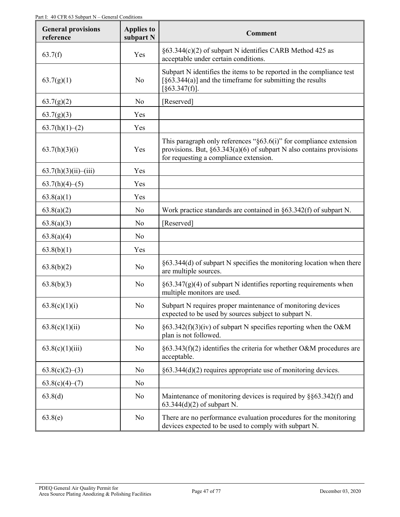| <b>General provisions</b><br>reference | <b>Applies to</b><br>subpart N | <b>Comment</b>                                                                                                                                                                                 |
|----------------------------------------|--------------------------------|------------------------------------------------------------------------------------------------------------------------------------------------------------------------------------------------|
| 63.7(f)                                | Yes                            | §63.344(c)(2) of subpart N identifies CARB Method 425 as<br>acceptable under certain conditions.                                                                                               |
| 63.7(g)(1)                             | No                             | Subpart N identifies the items to be reported in the compliance test<br>$\lceil \S 63.344(a) \rceil$ and the time frame for submitting the results<br>$\S 63.347(f)$ .                         |
| 63.7(g)(2)                             | N <sub>o</sub>                 | [Reserved]                                                                                                                                                                                     |
| 63.7(g)(3)                             | Yes                            |                                                                                                                                                                                                |
| 63.7(h)(1)–(2)                         | Yes                            |                                                                                                                                                                                                |
| 63.7(h)(3)(i)                          | Yes                            | This paragraph only references " $\S 63.6(i)$ " for compliance extension<br>provisions. But, $\S 63.343(a)(6)$ of subpart N also contains provisions<br>for requesting a compliance extension. |
| 63.7(h)(3)(ii)–(iii)                   | Yes                            |                                                                                                                                                                                                |
| 63.7(h)(4)–(5)                         | Yes                            |                                                                                                                                                                                                |
| 63.8(a)(1)                             | Yes                            |                                                                                                                                                                                                |
| 63.8(a)(2)                             | No                             | Work practice standards are contained in $\S 63.342(f)$ of subpart N.                                                                                                                          |
| 63.8(a)(3)                             | N <sub>o</sub>                 | [Reserved]                                                                                                                                                                                     |
| 63.8(a)(4)                             | N <sub>o</sub>                 |                                                                                                                                                                                                |
| 63.8(b)(1)                             | Yes                            |                                                                                                                                                                                                |
| 63.8(b)(2)                             | N <sub>o</sub>                 | §63.344(d) of subpart N specifies the monitoring location when there<br>are multiple sources.                                                                                                  |
| 63.8(b)(3)                             | No                             | $\S63.347(g)(4)$ of subpart N identifies reporting requirements when<br>multiple monitors are used.                                                                                            |
| 63.8(c)(1)(i)                          | No                             | Subpart N requires proper maintenance of monitoring devices<br>expected to be used by sources subject to subpart N.                                                                            |
| 63.8(c)(1)(ii)                         | N <sub>o</sub>                 | $\S63.342(f)(3)(iv)$ of subpart N specifies reporting when the O&M<br>plan is not followed.                                                                                                    |
| 63.8(c)(1)(iii)                        | N <sub>o</sub>                 | $\S63.343(f)(2)$ identifies the criteria for whether O&M procedures are<br>acceptable.                                                                                                         |
| 63.8(c)(2)–(3)                         | N <sub>o</sub>                 | $§63.344(d)(2)$ requires appropriate use of monitoring devices.                                                                                                                                |
| 63.8(c)(4)–(7)                         | No                             |                                                                                                                                                                                                |
| 63.8(d)                                | No                             | Maintenance of monitoring devices is required by $\S$ $\S$ 63.342(f) and<br>$63.344(d)(2)$ of subpart N.                                                                                       |
| 63.8(e)                                | N <sub>o</sub>                 | There are no performance evaluation procedures for the monitoring<br>devices expected to be used to comply with subpart N.                                                                     |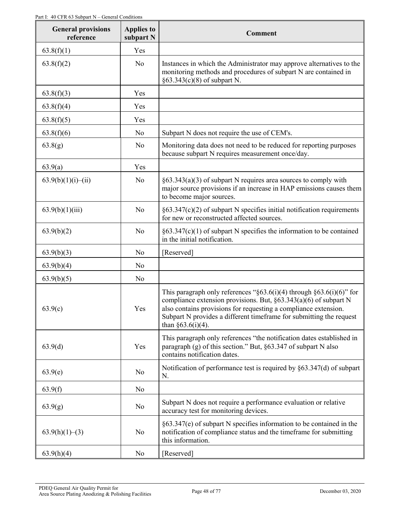| <b>General provisions</b><br>reference | <b>Applies to</b><br>subpart N | <b>Comment</b>                                                                                                                                                                                                                                                                                                             |
|----------------------------------------|--------------------------------|----------------------------------------------------------------------------------------------------------------------------------------------------------------------------------------------------------------------------------------------------------------------------------------------------------------------------|
| 63.8(f)(1)                             | Yes                            |                                                                                                                                                                                                                                                                                                                            |
| 63.8(f)(2)                             | No                             | Instances in which the Administrator may approve alternatives to the<br>monitoring methods and procedures of subpart N are contained in<br>§63.343(c)(8) of subpart N.                                                                                                                                                     |
| 63.8(f)(3)                             | Yes                            |                                                                                                                                                                                                                                                                                                                            |
| 63.8(f)(4)                             | Yes                            |                                                                                                                                                                                                                                                                                                                            |
| 63.8(f)(5)                             | Yes                            |                                                                                                                                                                                                                                                                                                                            |
| 63.8(f)(6)                             | No                             | Subpart N does not require the use of CEM's.                                                                                                                                                                                                                                                                               |
| 63.8(g)                                | N <sub>o</sub>                 | Monitoring data does not need to be reduced for reporting purposes<br>because subpart N requires measurement once/day.                                                                                                                                                                                                     |
| 63.9(a)                                | Yes                            |                                                                                                                                                                                                                                                                                                                            |
| 63.9(b)(1)(i)–(ii)                     | No                             | $\S63.343(a)(3)$ of subpart N requires area sources to comply with<br>major source provisions if an increase in HAP emissions causes them<br>to become major sources.                                                                                                                                                      |
| 63.9(b)(1)(iii)                        | No                             | §63.347(c)(2) of subpart N specifies initial notification requirements<br>for new or reconstructed affected sources.                                                                                                                                                                                                       |
| 63.9(b)(2)                             | N <sub>o</sub>                 | $\S63.347(c)(1)$ of subpart N specifies the information to be contained<br>in the initial notification.                                                                                                                                                                                                                    |
| 63.9(b)(3)                             | No                             | [Reserved]                                                                                                                                                                                                                                                                                                                 |
| 63.9(b)(4)                             | No                             |                                                                                                                                                                                                                                                                                                                            |
| 63.9(b)(5)                             | No                             |                                                                                                                                                                                                                                                                                                                            |
| 63.9(c)                                | Yes                            | This paragraph only references " $\S 63.6(i)(4)$ through $\S 63.6(i)(6)$ " for<br>compliance extension provisions. But, $\S 63.343(a)(6)$ of subpart N<br>also contains provisions for requesting a compliance extension.<br>Subpart N provides a different timeframe for submitting the request<br>than $\S 63.6(i)(4)$ . |
| 63.9(d)                                | Yes                            | This paragraph only references "the notification dates established in<br>paragraph (g) of this section." But, §63.347 of subpart N also<br>contains notification dates.                                                                                                                                                    |
| 63.9(e)                                | No                             | Notification of performance test is required by $\S 63.347(d)$ of subpart<br>N.                                                                                                                                                                                                                                            |
| 63.9(f)                                | No                             |                                                                                                                                                                                                                                                                                                                            |
| 63.9(g)                                | No                             | Subpart N does not require a performance evaluation or relative<br>accuracy test for monitoring devices.                                                                                                                                                                                                                   |
| 63.9(h)(1)–(3)                         | No                             | $§63.347(e)$ of subpart N specifies information to be contained in the<br>notification of compliance status and the timeframe for submitting<br>this information.                                                                                                                                                          |
| 63.9(h)(4)                             | No                             | [Reserved]                                                                                                                                                                                                                                                                                                                 |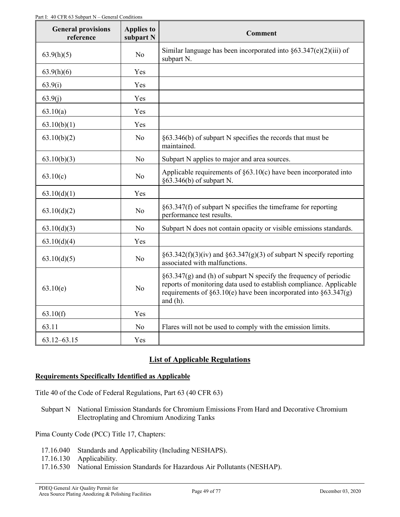| <b>General provisions</b><br>reference | <b>Applies to</b><br>subpart N | <b>Comment</b>                                                                                                                                                                                                                         |
|----------------------------------------|--------------------------------|----------------------------------------------------------------------------------------------------------------------------------------------------------------------------------------------------------------------------------------|
| 63.9(h)(5)                             | N <sub>o</sub>                 | Similar language has been incorporated into $\S 63.347(e)(2)(iii)$ of<br>subpart N.                                                                                                                                                    |
| 63.9(h)(6)                             | Yes                            |                                                                                                                                                                                                                                        |
| 63.9(i)                                | Yes                            |                                                                                                                                                                                                                                        |
| 63.9(j)                                | Yes                            |                                                                                                                                                                                                                                        |
| 63.10(a)                               | Yes                            |                                                                                                                                                                                                                                        |
| 63.10(b)(1)                            | Yes                            |                                                                                                                                                                                                                                        |
| 63.10(b)(2)                            | No                             | $\S63.346(b)$ of subpart N specifies the records that must be<br>maintained.                                                                                                                                                           |
| 63.10(b)(3)                            | No                             | Subpart N applies to major and area sources.                                                                                                                                                                                           |
| 63.10(c)                               | N <sub>o</sub>                 | Applicable requirements of $\S63.10(c)$ have been incorporated into<br>§63.346(b) of subpart N.                                                                                                                                        |
| 63.10(d)(1)                            | Yes                            |                                                                                                                                                                                                                                        |
| 63.10(d)(2)                            | No                             | §63.347(f) of subpart N specifies the timeframe for reporting<br>performance test results.                                                                                                                                             |
| 63.10(d)(3)                            | No                             | Subpart N does not contain opacity or visible emissions standards.                                                                                                                                                                     |
| 63.10(d)(4)                            | Yes                            |                                                                                                                                                                                                                                        |
| 63.10(d)(5)                            | N <sub>o</sub>                 | $\S63.342(f)(3)(iv)$ and $\S63.347(g)(3)$ of subpart N specify reporting<br>associated with malfunctions.                                                                                                                              |
| 63.10(e)                               | N <sub>o</sub>                 | $\S63.347(g)$ and (h) of subpart N specify the frequency of periodic<br>reports of monitoring data used to establish compliance. Applicable<br>requirements of $\S 63.10(e)$ have been incorporated into $\S 63.347(g)$<br>and $(h)$ . |
| 63.10(f)                               | Yes                            |                                                                                                                                                                                                                                        |
| 63.11                                  | N <sub>o</sub>                 | Flares will not be used to comply with the emission limits.                                                                                                                                                                            |
| $63.12 - 63.15$                        | Yes                            |                                                                                                                                                                                                                                        |

# **List of Applicable Regulations**

## **Requirements Specifically Identified as Applicable**

Title 40 of the Code of Federal Regulations, Part 63 (40 CFR 63)

Subpart N National Emission Standards for Chromium Emissions From Hard and Decorative Chromium Electroplating and Chromium Anodizing Tanks

Pima County Code (PCC) Title 17, Chapters:

- 17.16.040 Standards and Applicability (Including NESHAPS).
- 17.16.130 Applicability.
- 17.16.530 National Emission Standards for Hazardous Air Pollutants (NESHAP).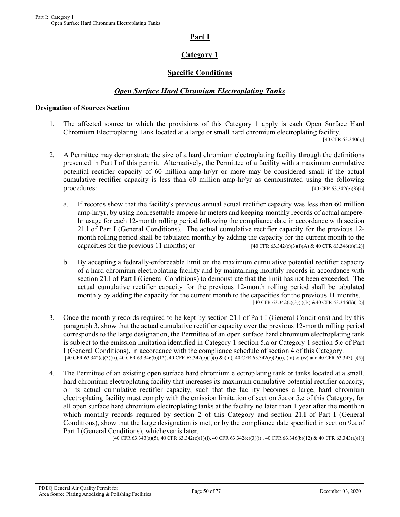## **Part I**

# **Category 1**

# **Specific Conditions**

## *Open Surface Hard Chromium Electroplating Tanks*

#### **Designation of Sources Section**

1. The affected source to which the provisions of this Category 1 apply is each Open Surface Hard Chromium Electroplating Tank located at a large or small hard chromium electroplating facility.

 $[40 \text{ CFR } 63.340(a)]$ 

- 2. A Permittee may demonstrate the size of a hard chromium electroplating facility through the definitions presented in Part I of this permit. Alternatively, the Permittee of a facility with a maximum cumulative potential rectifier capacity of 60 million amp-hr/yr or more may be considered small if the actual cumulative rectifier capacity is less than 60 million amp-hr/yr as demonstrated using the following procedures:  $[40 \text{ CFR } 63.342 \text{ (c)}(3)(i)]$ 
	- a. If records show that the facility's previous annual actual rectifier capacity was less than 60 million amp-hr/yr, by using nonresettable ampere-hr meters and keeping monthly records of actual amperehr usage for each 12-month rolling period following the compliance date in accordance with section 21.l of Part I (General Conditions). The actual cumulative rectifier capacity for the previous 12 month rolling period shall be tabulated monthly by adding the capacity for the current month to the capacities for the previous 11 months; or  $[40 \text{ CFR } 63.342 \text{ (c)}(3) \text{ (i)}(\text{A)} \& 40 \text{ CFR } 63.346 \text{ (b)}(12)]$
	- b. By accepting a federally-enforceable limit on the maximum cumulative potential rectifier capacity of a hard chromium electroplating facility and by maintaining monthly records in accordance with section 21.l of Part I (General Conditions) to demonstrate that the limit has not been exceeded. The actual cumulative rectifier capacity for the previous 12-month rolling period shall be tabulated monthly by adding the capacity for the current month to the capacities for the previous 11 months.  $[4\overline{0}$  CFR 63.342(c)(3)(i)(B) &40 CFR 63.346(b)(12)]
- 3. Once the monthly records required to be kept by section 21.l of Part I (General Conditions) and by this paragraph 3, show that the actual cumulative rectifier capacity over the previous 12-month rolling period corresponds to the large designation, the Permittee of an open surface hard chromium electroplating tank is subject to the emission limitation identified in Category 1 section 5.a or Category 1 section 5.c of Part I (General Conditions), in accordance with the compliance schedule of section 4 of this Category. [40 CFR 63.342(c)(3)(ii), 40 CFR 63.346(b)(12), 40 CFR 63.342(c)(1)(i) & (iii), 40 CFR 63.342(c)(2)(i), (iii) & (iv) and 40 CFR 63.343(a)(5)]
- 4. The Permittee of an existing open surface hard chromium electroplating tank or tanks located at a small, hard chromium electroplating facility that increases its maximum cumulative potential rectifier capacity, or its actual cumulative rectifier capacity, such that the facility becomes a large, hard chromium electroplating facility must comply with the emission limitation of section 5.a or 5.c of this Category, for all open surface hard chromium electroplating tanks at the facility no later than 1 year after the month in which monthly records required by section 2 of this Category and section 21.l of Part I (General Conditions), show that the large designation is met, or by the compliance date specified in section 9.a of Part I (General Conditions), whichever is later.

[40 CFR 63.343(a)(5), 40 CFR 63.342(c)(1)(i), 40 CFR 63.342(c)(3)(i) , 40 CFR 63.346(b)(12) & 40 CFR 63.343(a)(1)]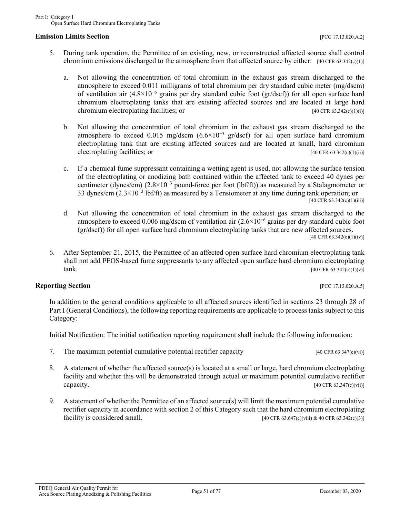#### **Emission Limits Section** [PCC 17.13.020.A.2]

- 5. During tank operation, the Permittee of an existing, new, or reconstructed affected source shall control chromium emissions discharged to the atmosphere from that affected source by either: [40 CFR 63.342(c)(1)]
	- a. Not allowing the concentration of total chromium in the exhaust gas stream discharged to the atmosphere to exceed 0.011 milligrams of total chromium per dry standard cubic meter (mg/dscm) of ventilation air (4.8×10−6 grains per dry standard cubic foot (gr/dscf)) for all open surface hard chromium electroplating tanks that are existing affected sources and are located at large hard chromium electroplating facilities; or  $[40 \text{ CFR } 63.342(c)(1)(i)]$
	- b. Not allowing the concentration of total chromium in the exhaust gas stream discharged to the atmosphere to exceed 0.015 mg/dscm  $(6.6\times10^{-5}$  gr/dscf) for all open surface hard chromium electroplating tank that are existing affected sources and are located at small, hard chromium electroplating facilities; or  $[40 \text{ CFR } 63.342 \text{ (c)}(1) \text{ (ii)}]$
	- c. If a chemical fume suppressant containing a wetting agent is used, not allowing the surface tension of the electroplating or anodizing bath contained within the affected tank to exceed 40 dynes per centimeter (dynes/cm) (2.8×10−3 pound-force per foot (lbf/ft)) as measured by a Stalagmometer or 33 dynes/cm  $(2.3\times10^{-3}$  lbf/ft) as measured by a Tensiometer at any time during tank operation; or  $[40 \text{ CFR } 63.342(c)(1)(iii)]$
	- d. Not allowing the concentration of total chromium in the exhaust gas stream discharged to the atmosphere to exceed 0.006 mg/dscm of ventilation air (2.6×10−6 grains per dry standard cubic foot (gr/dscf)) for all open surface hard chromium electroplating tanks that are new affected sources. [40 CFR 63.342(c)(1)(iv)]
- 6. After September 21, 2015, the Permittee of an affected open surface hard chromium electroplating tank shall not add PFOS-based fume suppressants to any affected open surface hard chromium electroplating  $tanh.$  [40 CFR 63.342(c)(1)(v)]

### **Reporting Section** [PCC 17.13.020.A.5]

In addition to the general conditions applicable to all affected sources identified in sections 23 through 28 of Part I (General Conditions), the following reporting requirements are applicable to process tanks subject to this Category:

Initial Notification: The initial notification reporting requirement shall include the following information:

- 7. The maximum potential cumulative potential rectifier capacity  $[40 \text{ CFR } 63.347 \text{(c)(vi)}]$
- 8. A statement of whether the affected source(s) is located at a small or large, hard chromium electroplating facility and whether this will be demonstrated through actual or maximum potential cumulative rectifier capacity.  $[40 \text{ CFR } 63.347 \text{ (c)(vii)}]$
- 9. A statement of whether the Permittee of an affected source(s) will limit the maximum potential cumulative rectifier capacity in accordance with section 2 of this Category such that the hard chromium electroplating facility is considered small.  $[40 \text{ CFR } 63.647(c)(\text{viii}) \& 40 \text{ CFR } 63.342(c)(3)]$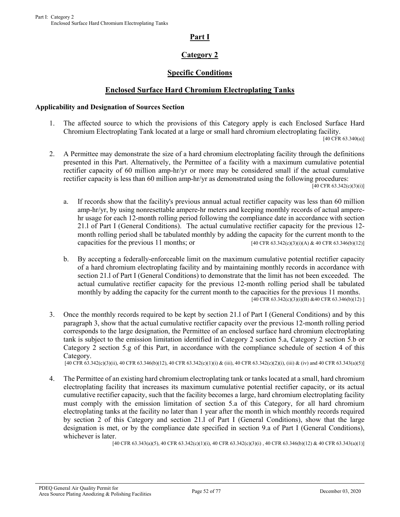## **Part I**

# **Category 2**

# **Specific Conditions**

# **Enclosed Surface Hard Chromium Electroplating Tanks**

### **Applicability and Designation of Sources Section**

1. The affected source to which the provisions of this Category apply is each Enclosed Surface Hard Chromium Electroplating Tank located at a large or small hard chromium electroplating facility.

[40 CFR 63.340(a)]

2. A Permittee may demonstrate the size of a hard chromium electroplating facility through the definitions presented in this Part. Alternatively, the Permittee of a facility with a maximum cumulative potential rectifier capacity of 60 million amp-hr/yr or more may be considered small if the actual cumulative rectifier capacity is less than 60 million amp-hr/yr as demonstrated using the following procedures:  $[40 \text{ CFR } 63.342(c)(3)(i)]$ 

a. If records show that the facility's previous annual actual rectifier capacity was less than 60 million amp-hr/yr, by using nonresettable ampere-hr meters and keeping monthly records of actual amperehr usage for each 12-month rolling period following the compliance date in accordance with section 21.l of Part I (General Conditions). The actual cumulative rectifier capacity for the previous 12-

- month rolling period shall be tabulated monthly by adding the capacity for the current month to the capacities for the previous 11 months; or  $[40 \text{ CFR } 63.342 \text{ (c)}(3) \text{ (i)}(A) \& 40 \text{ CFR } 63.346 \text{ (b)}(12)]$
- b. By accepting a federally-enforceable limit on the maximum cumulative potential rectifier capacity of a hard chromium electroplating facility and by maintaining monthly records in accordance with section 21.l of Part I (General Conditions) to demonstrate that the limit has not been exceeded. The actual cumulative rectifier capacity for the previous 12-month rolling period shall be tabulated monthly by adding the capacity for the current month to the capacities for the previous 11 months.  $[40 \text{ CFR } 63.342 \text{(c)}(3) \text{(i)}(B) \& 40 \text{ CFR } 63.346 \text{(b)}(12)]$
- 3. Once the monthly records required to be kept by section 21.l of Part I (General Conditions) and by this paragraph 3, show that the actual cumulative rectifier capacity over the previous 12-month rolling period corresponds to the large designation, the Permittee of an enclosed surface hard chromium electroplating tank is subject to the emission limitation identified in Category 2 section 5.a, Category 2 section 5.b or Category 2 section 5.g of this Part, in accordance with the compliance schedule of section 4 of this Category.

[40 CFR 63.342(c)(3)(ii), 40 CFR 63.346(b)(12), 40 CFR 63.342(c)(1)(i) & (iii), 40 CFR 63.342(c)(2)(i), (iii) & (iv) and 40 CFR 63.343(a)(5)]

4. The Permittee of an existing hard chromium electroplating tank or tanks located at a small, hard chromium electroplating facility that increases its maximum cumulative potential rectifier capacity, or its actual cumulative rectifier capacity, such that the facility becomes a large, hard chromium electroplating facility must comply with the emission limitation of section 5.a of this Category, for all hard chromium electroplating tanks at the facility no later than 1 year after the month in which monthly records required by section 2 of this Category and section 21.l of Part I (General Conditions), show that the large designation is met, or by the compliance date specified in section 9.a of Part I (General Conditions), whichever is later.

[40 CFR 63.343(a)(5), 40 CFR 63.342(c)(1)(i), 40 CFR 63.342(c)(3)(i) , 40 CFR 63.346(b)(12) & 40 CFR 63.343(a)(1)]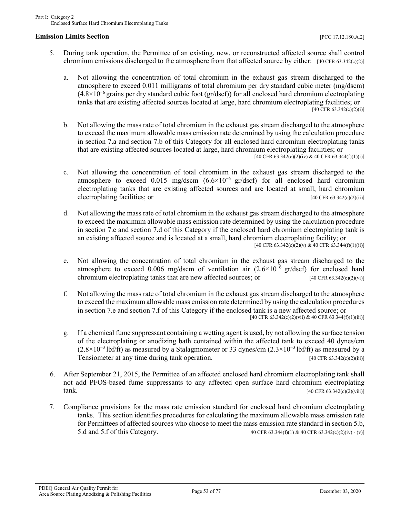- 5. During tank operation, the Permittee of an existing, new, or reconstructed affected source shall control chromium emissions discharged to the atmosphere from that affected source by either: [40 CFR 63.342(c)(2)]
	- a. Not allowing the concentration of total chromium in the exhaust gas stream discharged to the atmosphere to exceed 0.011 milligrams of total chromium per dry standard cubic meter (mg/dscm) (4.8×10−6 grains per dry standard cubic foot (gr/dscf)) for all enclosed hard chromium electroplating tanks that are existing affected sources located at large, hard chromium electroplating facilities; or  $[40 \text{ CFR } 63.342 \text{(c)}(2) \text{(i)}]$
	- b. Not allowing the mass rate of total chromium in the exhaust gas stream discharged to the atmosphere to exceed the maximum allowable mass emission rate determined by using the calculation procedure in section 7.a and section 7.b of this Category for all enclosed hard chromium electroplating tanks that are existing affected sources located at large, hard chromium electroplating facilities; or [40 CFR 63.342(c)(2)(iv) & 40 CFR 63.344(f)(1)(i)]
	- c. Not allowing the concentration of total chromium in the exhaust gas stream discharged to the atmosphere to exceed 0.015 mg/dscm  $(6.6\times10^{-6} \text{ gr/dsc})$  for all enclosed hard chromium electroplating tanks that are existing affected sources and are located at small, hard chromium electroplating facilities; or  $[40 \text{ CFR } 63.342 \text{ (c)}(2) \text{ (ii)}]$
	- d. Not allowing the mass rate of total chromium in the exhaust gas stream discharged to the atmosphere to exceed the maximum allowable mass emission rate determined by using the calculation procedure in section 7.c and section 7.d of this Category if the enclosed hard chromium electroplating tank is an existing affected source and is located at a small, hard chromium electroplating facility; or  $[40 \text{ CFR } 63.342 \text{(c)} \cdot \text{(2)} \cdot \text{(v)} \& 40 \text{ CFR } 63.344 \text{(f)} \cdot \text{(1)} \cdot \text{(ii)}]$
	- e. Not allowing the concentration of total chromium in the exhaust gas stream discharged to the atmosphere to exceed 0.006 mg/dscm of ventilation air (2.6×10−6 gr/dscf) for enclosed hard chromium electroplating tanks that are new affected sources; or  $[40 \text{ CFR } 63.342 \text{ (c)}(2)\text{ (vi)}]$
	- f. Not allowing the mass rate of total chromium in the exhaust gas stream discharged to the atmosphere to exceed the maximum allowable mass emission rate determined by using the calculation procedures in section 7.e and section 7.f of this Category if the enclosed tank is a new affected source; or [40 CFR 63.342(c)(2)(vii) & 40 CFR 63.344(f)(1)(iii)]
	- g. If a chemical fume suppressant containing a wetting agent is used, by not allowing the surface tension of the electroplating or anodizing bath contained within the affected tank to exceed 40 dynes/cm  $(2.8\times10^{-3} \text{ lbf/ft})$  as measured by a Stalagmometer or 33 dynes/cm  $(2.3\times10^{-3} \text{ lbf/ft})$  as measured by a Tensiometer at any time during tank operation. [40 CFR 63.342(c)(2)(iii)]
- 6. After September 21, 2015, the Permittee of an affected enclosed hard chromium electroplating tank shall not add PFOS-based fume suppressants to any affected open surface hard chromium electroplating tank. [40 CFR 63.342(c)(2)(viii)]
- 7. Compliance provisions for the mass rate emission standard for enclosed hard chromium electroplating tanks. This section identifies procedures for calculating the maximum allowable mass emission rate for Permittees of affected sources who choose to meet the mass emission rate standard in section 5.b, 5.d and 5.f of this Category. 40 CFR 63.344(f)(1) & 40 CFR 63.342(c)(2)(iv) - (v)]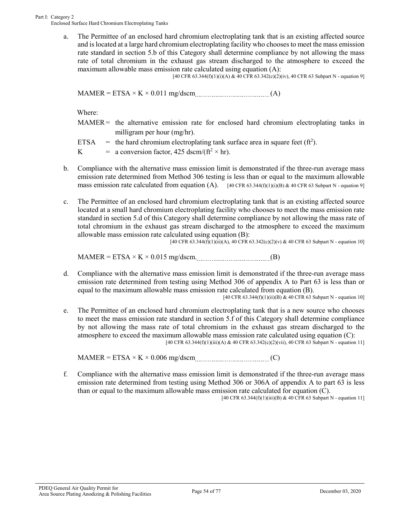#### Part I: Category 2 Enclosed Surface Hard Chromium Electroplating Tanks

a. The Permittee of an enclosed hard chromium electroplating tank that is an existing affected source and is located at a large hard chromium electroplating facility who chooses to meet the mass emission rate standard in section 5.b of this Category shall determine compliance by not allowing the mass rate of total chromium in the exhaust gas stream discharged to the atmosphere to exceed the maximum allowable mass emission rate calculated using equation (A):

[40 CFR 63.344(f)(1)(i)(A) & 40 CFR 63.342(c)(2)(iv), 40 CFR 63 Subpart N - equation 9]

 $MAMER = ETSA \times K \times 0.011 mg/dscm$  (A)

Where:

MAMER= the alternative emission rate for enclosed hard chromium electroplating tanks in milligram per hour (mg/hr).

ETSA  $=$  the hard chromium electroplating tank surface area in square feet (ft<sup>2</sup>).

K = a conversion factor,  $425 \text{ dscm} / (ft^2 \times hr)$ .

- b. Compliance with the alternative mass emission limit is demonstrated if the three-run average mass emission rate determined from Method 306 testing is less than or equal to the maximum allowable mass emission rate calculated from equation  $(A)$ . [40 CFR 63.344(f)(1)(i)(B) & 40 CFR 63 Subpart N - equation 9]
- c. The Permittee of an enclosed hard chromium electroplating tank that is an existing affected source located at a small hard chromium electroplating facility who chooses to meet the mass emission rate standard in section 5.d of this Category shall determine compliance by not allowing the mass rate of total chromium in the exhaust gas stream discharged to the atmosphere to exceed the maximum allowable mass emission rate calculated using equation (B):

 $[40 \text{ CFR } 63.344 \text{(f)}(1) \text{(ii)}(A), 40 \text{ CFR } 63.342 \text{(c)}(2) \text{(v)} \& 40 \text{ CFR } 63 \text{ Subpart N - equation } 10]$ 

MAMER = ETSA × K × 0.015 mg/dscm. (B)

d. Compliance with the alternative mass emission limit is demonstrated if the three-run average mass emission rate determined from testing using Method 306 of appendix A to Part 63 is less than or equal to the maximum allowable mass emission rate calculated from equation (B).

 $[40 \text{ CFR } 63.344(f)(1)(ii)(B) \& 40 \text{ CFR } 63 \text{ Subpart N - equation } 10]$ 

e. The Permittee of an enclosed hard chromium electroplating tank that is a new source who chooses to meet the mass emission rate standard in section 5.f of this Category shall determine compliance by not allowing the mass rate of total chromium in the exhaust gas stream discharged to the atmosphere to exceed the maximum allowable mass emission rate calculated using equation (C): [40 CFR 63.344(f)(1)(iii)(A) & 40 CFR 63.342(c)(2)(vii), 40 CFR 63 Subpart N - equation 11]

MAMER = ETSA × K × 0.006 mg/dscm (C)

f. Compliance with the alternative mass emission limit is demonstrated if the three-run average mass emission rate determined from testing using Method 306 or 306A of appendix A to part 63 is less than or equal to the maximum allowable mass emission rate calculated for equation (C).

[40 CFR 63.344(f)(1)(iii)(B) & 40 CFR 63 Subpart N - equation 11]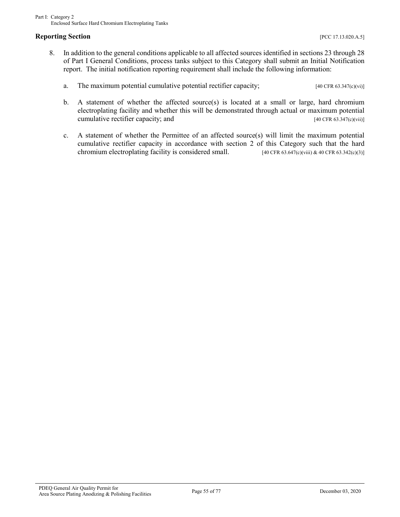## **Reporting Section** [PCC 17.13.020.A.5]

- 8. In addition to the general conditions applicable to all affected sources identified in sections 23 through 28 of Part I General Conditions, process tanks subject to this Category shall submit an Initial Notification report. The initial notification reporting requirement shall include the following information:
	- a. The maximum potential cumulative potential rectifier capacity;  $[40 \text{ CFR } 63.347 \text{(c)(vi)}]$
	- b. A statement of whether the affected source(s) is located at a small or large, hard chromium electroplating facility and whether this will be demonstrated through actual or maximum potential cumulative rectifier capacity; and  $[40 \text{ CFR } 63.347(\text{c})(\text{vii})]$
	- c. A statement of whether the Permittee of an affected source(s) will limit the maximum potential cumulative rectifier capacity in accordance with section 2 of this Category such that the hard chromium electroplating facility is considered small. [40 CFR 63.647(c)(viii) & 40 CFR 63.342(c)(3)]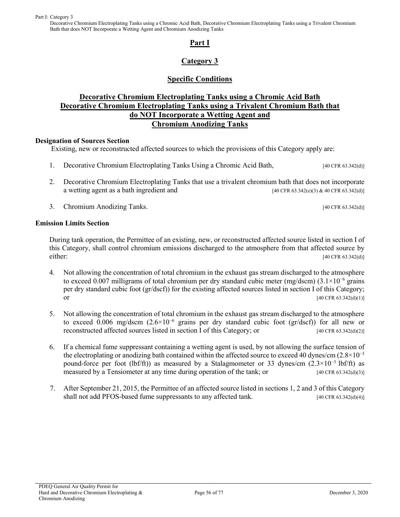Part I: Category 3

Decorative Chromium Electroplating Tanks using a Chromic Acid Bath, Decorative Chromium Electroplating Tanks using a Trivalent Chromium Bath that does NOT Incorporate a Wetting Agent and Chromium Anodizing Tanks

# **Part I**

# **Category 3**

# **Specific Conditions**

## **Decorative Chromium Electroplating Tanks using a Chromic Acid Bath Decorative Chromium Electroplating Tanks using a Trivalent Chromium Bath that do NOT Incorporate a Wetting Agent and Chromium Anodizing Tanks**

### **Designation of Sources Section**

Existing, new or reconstructed affected sources to which the provisions of this Category apply are:

- 1. Decorative Chromium Electroplating Tanks Using a Chromic Acid Bath, [40 CFR 63.342(d)]
- 2. Decorative Chromium Electroplating Tanks that use a trivalent chromium bath that does not incorporate a wetting agent as a bath ingredient and  $[40 \text{ CFR } 63.342(e)(3) \& 40 \text{ CFR } 63.342(d)]$
- 3. Chromium Anodizing Tanks. [40 CFR 63.342(d)]

### **Emission Limits Section**

During tank operation, the Permittee of an existing, new, or reconstructed affected source listed in section I of this Category, shall control chromium emissions discharged to the atmosphere from that affected source by either: [40 CFR 63.342(d)]

- 4. Not allowing the concentration of total chromium in the exhaust gas stream discharged to the atmosphere to exceed 0.007 milligrams of total chromium per dry standard cubic meter (mg/dscm) (3.1×10−6 grains per dry standard cubic foot (gr/dscf)) for the existing affected sources listed in section I of this Category; or  $[40 \text{ CFR } 63.342 \text{ (d)}(1)]$
- 5. Not allowing the concentration of total chromium in the exhaust gas stream discharged to the atmosphere to exceed 0.006 mg/dscm (2.6×10−6 grains per dry standard cubic foot (gr/dscf)) for all new or reconstructed affected sources listed in section I of this Category; or [40 CFR 63.342(d)(2)]
- 6. If a chemical fume suppressant containing a wetting agent is used, by not allowing the surface tension of the electroplating or anodizing bath contained within the affected source to exceed 40 dynes/cm (2.8×10−3 pound-force per foot (lbf/ft)) as measured by a Stalagmometer or 33 dynes/cm (2.3×10−3 lbf/ft) as measured by a Tensiometer at any time during operation of the tank; or  $[40 \text{ CFR } 63.342 \text{ (d)}(3)]$
- 7. After September 21, 2015, the Permittee of an affected source listed in sections 1, 2 and 3 of this Category shall not add PFOS-based fume suppressants to any affected tank. [40 CFR 63.342(d)(4)]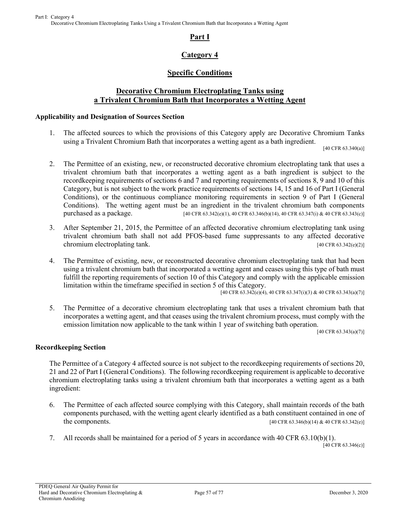# **Part I**

# **Category 4**

# **Specific Conditions**

## **Decorative Chromium Electroplating Tanks using a Trivalent Chromium Bath that Incorporates a Wetting Agent**

## **Applicability and Designation of Sources Section**

1. The affected sources to which the provisions of this Category apply are Decorative Chromium Tanks using a Trivalent Chromium Bath that incorporates a wetting agent as a bath ingredient.

[40 CFR 63.340(a)]

- 2. The Permittee of an existing, new, or reconstructed decorative chromium electroplating tank that uses a trivalent chromium bath that incorporates a wetting agent as a bath ingredient is subject to the recordkeeping requirements of sections 6 and 7 and reporting requirements of sections 8, 9 and 10 of this Category, but is not subject to the work practice requirements of sections 14, 15 and 16 of Part I (General Conditions), or the continuous compliance monitoring requirements in section 9 of Part I (General Conditions). The wetting agent must be an ingredient in the trivalent chromium bath components purchased as a package. [40 CFR 63.342(e)(1), 40 CFR 63.346(b)(14), 40 CFR 63.347(i) & 40 CFR 63.343(e)]
- 3. After September 21, 2015, the Permittee of an affected decorative chromium electroplating tank using trivalent chromium bath shall not add PFOS-based fume suppressants to any affected decorative chromium electroplating tank. [40 CFR 63.342(e)(2)]
- 4. The Permittee of existing, new, or reconstructed decorative chromium electroplating tank that had been using a trivalent chromium bath that incorporated a wetting agent and ceases using this type of bath must fulfill the reporting requirements of section 10 of this Category and comply with the applicable emission limitation within the timeframe specified in section 5 of this Category.

 $[40 \text{ CFR } 63.342(e)(4), 40 \text{ CFR } 63.347(i)(3) \& 40 \text{ CFR } 63.343(a)(7)]$ 

5. The Permittee of a decorative chromium electroplating tank that uses a trivalent chromium bath that incorporates a wetting agent, and that ceases using the trivalent chromium process, must comply with the emission limitation now applicable to the tank within 1 year of switching bath operation.

[40 CFR 63.343(a)(7)]

## **Recordkeeping Section**

The Permittee of a Category 4 affected source is not subject to the recordkeeping requirements of sections 20, 21 and 22 of Part I (General Conditions). The following recordkeeping requirement is applicable to decorative chromium electroplating tanks using a trivalent chromium bath that incorporates a wetting agent as a bath ingredient:

- 6. The Permittee of each affected source complying with this Category, shall maintain records of the bath components purchased, with the wetting agent clearly identified as a bath constituent contained in one of the components.  $[40 \text{ CFR } 63.346(b)(14) \& 40 \text{ CFR } 63.342(e)]$
- 7. All records shall be maintained for a period of 5 years in accordance with 40 CFR 63.10(b)(1).

 $[40 \text{ CFR } 63.346(c)]$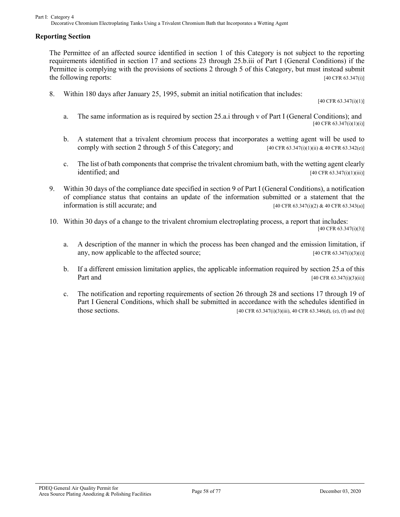## **Reporting Section**

The Permittee of an affected source identified in section 1 of this Category is not subject to the reporting requirements identified in section 17 and sections 23 through 25.b.iii of Part I (General Conditions) if the Permittee is complying with the provisions of sections 2 through 5 of this Category, but must instead submit the following reports: [40 CFR 63.347(i)]

8. Within 180 days after January 25, 1995, submit an initial notification that includes:

[40 CFR 63.347(i)(1)]

- a. The same information as is required by section 25.a.i through v of Part I (General Conditions); and  $[40 \text{ CFR } 63.347(i)(1)(i)]$
- b. A statement that a trivalent chromium process that incorporates a wetting agent will be used to comply with section 2 through 5 of this Category; and [40 CFR 63.347(i)(1)(ii) & 40 CFR 63.342(e)]
- c. The list of bath components that comprise the trivalent chromium bath, with the wetting agent clearly  $\text{identified; and}$  [40 CFR 63.347(i)(1)(iii)]
- 9. Within 30 days of the compliance date specified in section 9 of Part I (General Conditions), a notification of compliance status that contains an update of the information submitted or a statement that the information is still accurate; and  $[40 \text{ CFR } 63.347 \text{ (i)}(2) \& 40 \text{ CFR } 63.343 \text{ (a)}]$
- 10. Within 30 days of a change to the trivalent chromium electroplating process, a report that includes: [40 CFR 63.347(i)(3)]
	- a. A description of the manner in which the process has been changed and the emission limitation, if any, now applicable to the affected source;  $[40 \text{ CFR } 63.347 \text{ (i)}(3) \text{ (i)}]$
	- b. If a different emission limitation applies, the applicable information required by section 25.a of this Part and [40 CFR 63.347(i)(3)(ii)]
	- c. The notification and reporting requirements of section 26 through 28 and sections 17 through 19 of Part I General Conditions, which shall be submitted in accordance with the schedules identified in those sections. [40 CFR 63.347(i)(3)(iii), 40 CFR 63.346(d), (e), (f) and (h)]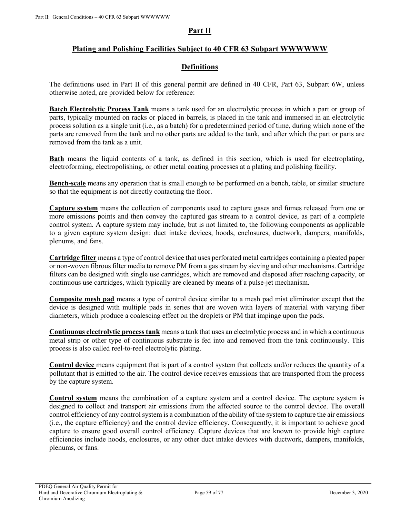# **Part II**

# **Plating and Polishing Facilities Subject to 40 CFR 63 Subpart WWWWWW**

# **Definitions**

The definitions used in Part II of this general permit are defined in 40 CFR, Part 63, Subpart 6W, unless otherwise noted, are provided below for reference:

**Batch Electrolytic Process Tank** means a tank used for an electrolytic process in which a part or group of parts, typically mounted on racks or placed in barrels, is placed in the tank and immersed in an electrolytic process solution as a single unit (i.e., as a batch) for a predetermined period of time, during which none of the parts are removed from the tank and no other parts are added to the tank, and after which the part or parts are removed from the tank as a unit.

**Bath** means the liquid contents of a tank, as defined in this section, which is used for electroplating, electroforming, electropolishing, or other metal coating processes at a plating and polishing facility.

**Bench-scale** means any operation that is small enough to be performed on a bench, table, or similar structure so that the equipment is not directly contacting the floor.

**Capture system** means the collection of components used to capture gases and fumes released from one or more emissions points and then convey the captured gas stream to a control device, as part of a complete control system. A capture system may include, but is not limited to, the following components as applicable to a given capture system design: duct intake devices, hoods, enclosures, ductwork, dampers, manifolds, plenums, and fans.

**Cartridge filter** means a type of control device that uses perforated metal cartridges containing a pleated paper or non-woven fibrous filter media to remove PM from a gas stream by sieving and other mechanisms. Cartridge filters can be designed with single use cartridges, which are removed and disposed after reaching capacity, or continuous use cartridges, which typically are cleaned by means of a pulse-jet mechanism.

**Composite mesh pad** means a type of control device similar to a mesh pad mist eliminator except that the device is designed with multiple pads in series that are woven with layers of material with varying fiber diameters, which produce a coalescing effect on the droplets or PM that impinge upon the pads.

**Continuous electrolytic process tank** means a tank that uses an electrolytic process and in which a continuous metal strip or other type of continuous substrate is fed into and removed from the tank continuously. This process is also called reel-to-reel electrolytic plating.

**Control device** means equipment that is part of a control system that collects and/or reduces the quantity of a pollutant that is emitted to the air. The control device receives emissions that are transported from the process by the capture system.

**Control system** means the combination of a capture system and a control device. The capture system is designed to collect and transport air emissions from the affected source to the control device. The overall control efficiency of any control system is a combination of the ability of the system to capture the air emissions (i.e., the capture efficiency) and the control device efficiency. Consequently, it is important to achieve good capture to ensure good overall control efficiency. Capture devices that are known to provide high capture efficiencies include hoods, enclosures, or any other duct intake devices with ductwork, dampers, manifolds, plenums, or fans.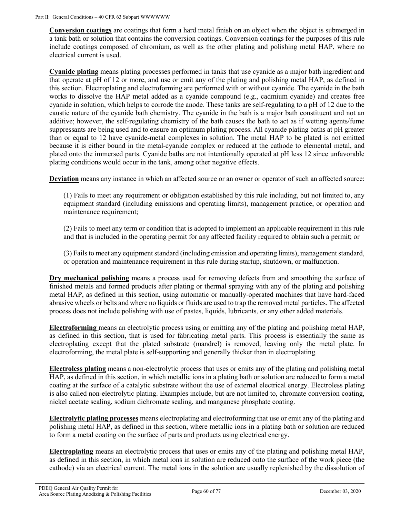**Conversion coatings** are coatings that form a hard metal finish on an object when the object is submerged in a tank bath or solution that contains the conversion coatings. Conversion coatings for the purposes of this rule include coatings composed of chromium, as well as the other plating and polishing metal HAP, where no electrical current is used.

**Cyanide plating** means plating processes performed in tanks that use cyanide as a major bath ingredient and that operate at pH of 12 or more, and use or emit any of the plating and polishing metal HAP, as defined in this section. Electroplating and electroforming are performed with or without cyanide. The cyanide in the bath works to dissolve the HAP metal added as a cyanide compound (e.g., cadmium cyanide) and creates free cyanide in solution, which helps to corrode the anode. These tanks are self-regulating to a pH of 12 due to the caustic nature of the cyanide bath chemistry. The cyanide in the bath is a major bath constituent and not an additive; however, the self-regulating chemistry of the bath causes the bath to act as if wetting agents/fume suppressants are being used and to ensure an optimum plating process. All cyanide plating baths at pH greater than or equal to 12 have cyanide-metal complexes in solution. The metal HAP to be plated is not emitted because it is either bound in the metal-cyanide complex or reduced at the cathode to elemental metal, and plated onto the immersed parts. Cyanide baths are not intentionally operated at pH less 12 since unfavorable plating conditions would occur in the tank, among other negative effects.

**Deviation** means any instance in which an affected source or an owner or operator of such an affected source:

(1) Fails to meet any requirement or obligation established by this rule including, but not limited to, any equipment standard (including emissions and operating limits), management practice, or operation and maintenance requirement;

(2) Fails to meet any term or condition that is adopted to implement an applicable requirement in this rule and that is included in the operating permit for any affected facility required to obtain such a permit; or

(3) Fails to meet any equipment standard (including emission and operating limits), management standard, or operation and maintenance requirement in this rule during startup, shutdown, or malfunction.

**Dry mechanical polishing** means a process used for removing defects from and smoothing the surface of finished metals and formed products after plating or thermal spraying with any of the plating and polishing metal HAP, as defined in this section, using automatic or manually-operated machines that have hard-faced abrasive wheels or belts and where no liquids or fluids are used to trap the removed metal particles. The affected process does not include polishing with use of pastes, liquids, lubricants, or any other added materials.

**Electroforming** means an electrolytic process using or emitting any of the plating and polishing metal HAP, as defined in this section, that is used for fabricating metal parts. This process is essentially the same as electroplating except that the plated substrate (mandrel) is removed, leaving only the metal plate. In electroforming, the metal plate is self-supporting and generally thicker than in electroplating.

**Electroless plating** means a non-electrolytic process that uses or emits any of the plating and polishing metal HAP, as defined in this section, in which metallic ions in a plating bath or solution are reduced to form a metal coating at the surface of a catalytic substrate without the use of external electrical energy. Electroless plating is also called non-electrolytic plating. Examples include, but are not limited to, chromate conversion coating, nickel acetate sealing, sodium dichromate sealing, and manganese phosphate coating.

**Electrolytic plating processes** means electroplating and electroforming that use or emit any of the plating and polishing metal HAP, as defined in this section, where metallic ions in a plating bath or solution are reduced to form a metal coating on the surface of parts and products using electrical energy.

**Electroplating** means an electrolytic process that uses or emits any of the plating and polishing metal HAP, as defined in this section, in which metal ions in solution are reduced onto the surface of the work piece (the cathode) via an electrical current. The metal ions in the solution are usually replenished by the dissolution of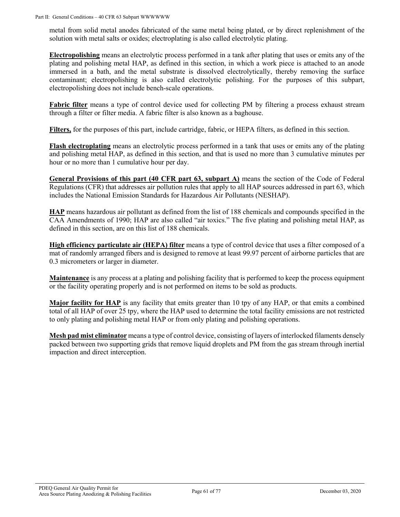metal from solid metal anodes fabricated of the same metal being plated, or by direct replenishment of the solution with metal salts or oxides; electroplating is also called electrolytic plating.

**Electropolishing** means an electrolytic process performed in a tank after plating that uses or emits any of the plating and polishing metal HAP, as defined in this section, in which a work piece is attached to an anode immersed in a bath, and the metal substrate is dissolved electrolytically, thereby removing the surface contaminant; electropolishing is also called electrolytic polishing. For the purposes of this subpart, electropolishing does not include bench-scale operations.

**Fabric filter** means a type of control device used for collecting PM by filtering a process exhaust stream through a filter or filter media. A fabric filter is also known as a baghouse.

**Filters,** for the purposes of this part, include cartridge, fabric, or HEPA filters, as defined in this section.

**Flash electroplating** means an electrolytic process performed in a tank that uses or emits any of the plating and polishing metal HAP, as defined in this section, and that is used no more than 3 cumulative minutes per hour or no more than 1 cumulative hour per day.

**General Provisions of this part (40 CFR part 63, subpart A)** means the section of the Code of Federal Regulations (CFR) that addresses air pollution rules that apply to all HAP sources addressed in part 63, which includes the National Emission Standards for Hazardous Air Pollutants (NESHAP).

**HAP** means hazardous air pollutant as defined from the list of 188 chemicals and compounds specified in the CAA Amendments of 1990; HAP are also called "air toxics." The five plating and polishing metal HAP, as defined in this section, are on this list of 188 chemicals.

**High efficiency particulate air (HEPA) filter** means a type of control device that uses a filter composed of a mat of randomly arranged fibers and is designed to remove at least 99.97 percent of airborne particles that are 0.3 micrometers or larger in diameter.

**Maintenance** is any process at a plating and polishing facility that is performed to keep the process equipment or the facility operating properly and is not performed on items to be sold as products.

**Major facility for HAP** is any facility that emits greater than 10 tpy of any HAP, or that emits a combined total of all HAP of over 25 tpy, where the HAP used to determine the total facility emissions are not restricted to only plating and polishing metal HAP or from only plating and polishing operations.

**Mesh pad mist eliminator** means a type of control device, consisting of layers of interlocked filaments densely packed between two supporting grids that remove liquid droplets and PM from the gas stream through inertial impaction and direct interception.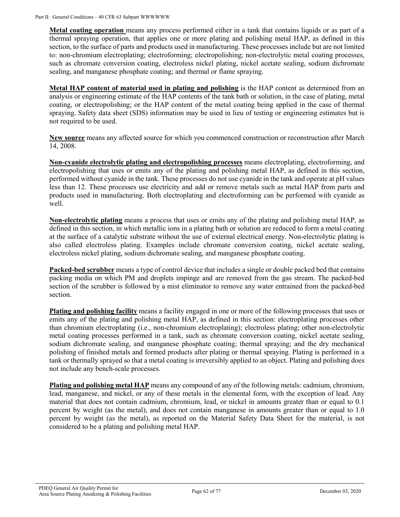**Metal coating operation** means any process performed either in a tank that contains liquids or as part of a thermal spraying operation, that applies one or more plating and polishing metal HAP, as defined in this section, to the surface of parts and products used in manufacturing. These processes include but are not limited to: non-chromium electroplating; electroforming; electropolishing; non-electrolytic metal coating processes, such as chromate conversion coating, electroless nickel plating, nickel acetate sealing, sodium dichromate sealing, and manganese phosphate coating; and thermal or flame spraying.

**Metal HAP content of material used in plating and polishing** is the HAP content as determined from an analysis or engineering estimate of the HAP contents of the tank bath or solution, in the case of plating, metal coating, or electropolishing; or the HAP content of the metal coating being applied in the case of thermal spraying. Safety data sheet (SDS) information may be used in lieu of testing or engineering estimates but is not required to be used.

**New source** means any affected source for which you commenced construction or reconstruction after March 14, 2008.

**Non-cyanide electrolytic plating and electropolishing processes** means electroplating, electroforming, and electropolishing that uses or emits any of the plating and polishing metal HAP, as defined in this section, performed without cyanide in the tank. These processes do not use cyanide in the tank and operate at pH values less than 12. These processes use electricity and add or remove metals such as metal HAP from parts and products used in manufacturing. Both electroplating and electroforming can be performed with cyanide as well.

**Non-electrolytic plating** means a process that uses or emits any of the plating and polishing metal HAP, as defined in this section, in which metallic ions in a plating bath or solution are reduced to form a metal coating at the surface of a catalytic substrate without the use of external electrical energy. Non-electrolytic plating is also called electroless plating. Examples include chromate conversion coating, nickel acetate sealing, electroless nickel plating, sodium dichromate sealing, and manganese phosphate coating.

**Packed-bed scrubber** means a type of control device that includes a single or double packed bed that contains packing media on which PM and droplets impinge and are removed from the gas stream. The packed-bed section of the scrubber is followed by a mist eliminator to remove any water entrained from the packed-bed section.

**Plating and polishing facility** means a facility engaged in one or more of the following processes that uses or emits any of the plating and polishing metal HAP, as defined in this section: electroplating processes other than chromium electroplating (i.e., non-chromium electroplating); electroless plating; other non-electrolytic metal coating processes performed in a tank, such as chromate conversion coating, nickel acetate sealing, sodium dichromate sealing, and manganese phosphate coating; thermal spraying; and the dry mechanical polishing of finished metals and formed products after plating or thermal spraying. Plating is performed in a tank or thermally sprayed so that a metal coating is irreversibly applied to an object. Plating and polishing does not include any bench-scale processes.

**Plating and polishing metal HAP** means any compound of any of the following metals: cadmium, chromium, lead, manganese, and nickel, or any of these metals in the elemental form, with the exception of lead. Any material that does not contain cadmium, chromium, lead, or nickel in amounts greater than or equal to 0.1 percent by weight (as the metal), and does not contain manganese in amounts greater than or equal to 1.0 percent by weight (as the metal), as reported on the Material Safety Data Sheet for the material, is not considered to be a plating and polishing metal HAP.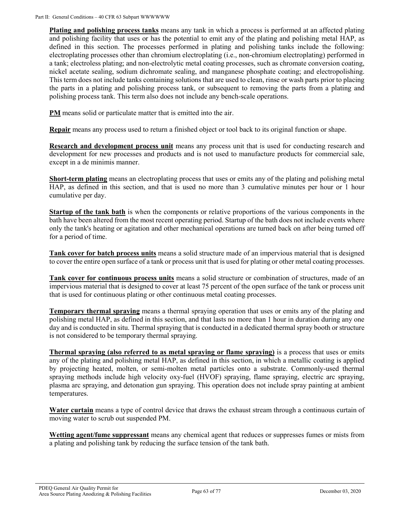**Plating and polishing process tanks** means any tank in which a process is performed at an affected plating and polishing facility that uses or has the potential to emit any of the plating and polishing metal HAP, as defined in this section. The processes performed in plating and polishing tanks include the following: electroplating processes other than chromium electroplating (i.e., non-chromium electroplating) performed in a tank; electroless plating; and non-electrolytic metal coating processes, such as chromate conversion coating, nickel acetate sealing, sodium dichromate sealing, and manganese phosphate coating; and electropolishing. This term does not include tanks containing solutions that are used to clean, rinse or wash parts prior to placing the parts in a plating and polishing process tank, or subsequent to removing the parts from a plating and polishing process tank. This term also does not include any bench-scale operations.

**PM** means solid or particulate matter that is emitted into the air.

**Repair** means any process used to return a finished object or tool back to its original function or shape.

**Research and development process unit** means any process unit that is used for conducting research and development for new processes and products and is not used to manufacture products for commercial sale, except in a de minimis manner.

**Short-term plating** means an electroplating process that uses or emits any of the plating and polishing metal HAP, as defined in this section, and that is used no more than 3 cumulative minutes per hour or 1 hour cumulative per day.

**Startup of the tank bath** is when the components or relative proportions of the various components in the bath have been altered from the most recent operating period. Startup of the bath does not include events where only the tank's heating or agitation and other mechanical operations are turned back on after being turned off for a period of time.

**Tank cover for batch process units** means a solid structure made of an impervious material that is designed to cover the entire open surface of a tank or process unit that is used for plating or other metal coating processes.

**Tank cover for continuous process units** means a solid structure or combination of structures, made of an impervious material that is designed to cover at least 75 percent of the open surface of the tank or process unit that is used for continuous plating or other continuous metal coating processes.

**Temporary thermal spraying** means a thermal spraying operation that uses or emits any of the plating and polishing metal HAP, as defined in this section, and that lasts no more than 1 hour in duration during any one day and is conducted in situ. Thermal spraying that is conducted in a dedicated thermal spray booth or structure is not considered to be temporary thermal spraying.

**Thermal spraying (also referred to as metal spraying or flame spraying)** is a process that uses or emits any of the plating and polishing metal HAP, as defined in this section, in which a metallic coating is applied by projecting heated, molten, or semi-molten metal particles onto a substrate. Commonly-used thermal spraying methods include high velocity oxy-fuel (HVOF) spraying, flame spraying, electric arc spraying, plasma arc spraying, and detonation gun spraying. This operation does not include spray painting at ambient temperatures.

**Water curtain** means a type of control device that draws the exhaust stream through a continuous curtain of moving water to scrub out suspended PM.

**Wetting agent/fume suppressant** means any chemical agent that reduces or suppresses fumes or mists from a plating and polishing tank by reducing the surface tension of the tank bath.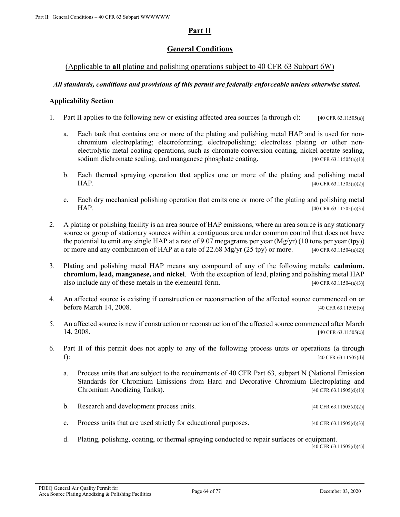## **Part II**

# **General Conditions**

## (Applicable to **all** plating and polishing operations subject to 40 CFR 63 Subpart 6W)

#### *All standards, conditions and provisions of this permit are federally enforceable unless otherwise stated.*

#### **Applicability Section**

- 1. Part II applies to the following new or existing affected area sources (a through c): [40 CFR 63.11505(a)]
	- a. Each tank that contains one or more of the plating and polishing metal HAP and is used for nonchromium electroplating; electroforming; electropolishing; electroless plating or other nonelectrolytic metal coating operations, such as chromate conversion coating, nickel acetate sealing, sodium dichromate sealing, and manganese phosphate coating. [40 CFR 63.11505(a)(1)]
	- b. Each thermal spraying operation that applies one or more of the plating and polishing metal HAP.  $[40 \text{ CFR } 63.11505(a)(2)]$
	- c. Each dry mechanical polishing operation that emits one or more of the plating and polishing metal  $HAP.$  [40 CFR 63.11505(a)(3)]
- 2. A plating or polishing facility is an area source of HAP emissions, where an area source is any stationary source or group of stationary sources within a contiguous area under common control that does not have the potential to emit any single HAP at a rate of 9.07 megagrams per year  $(Mg/yr)$  (10 tons per year (tpy)) or more and any combination of HAP at a rate of 22.68 Mg/yr (25 tpy) or more. [40 CFR 63.11504(a)(2)]
- 3. Plating and polishing metal HAP means any compound of any of the following metals: **cadmium, chromium, lead, manganese, and nickel**. With the exception of lead, plating and polishing metal HAP also include any of these metals in the elemental form. [40 CFR 63.11504(a)(3)]
- 4. An affected source is existing if construction or reconstruction of the affected source commenced on or before March 14, 2008. [40 CFR 63.11505(b)]
- 5. An affected source is new if construction or reconstruction of the affected source commenced after March 14, 2008. [40 CFR 63.11505(c)]
- 6. Part II of this permit does not apply to any of the following process units or operations (a through f):  $[40 \text{ CFR } 63.11505(d)]$ 
	- a. Process units that are subject to the requirements of 40 CFR Part 63, subpart N (National Emission Standards for Chromium Emissions from Hard and Decorative Chromium Electroplating and Chromium Anodizing Tanks). [40 CFR 63.11505(d)(1)]
	- b. Research and development process units. [40 CFR 63.11505(d)(2)]
	- c. Process units that are used strictly for educational purposes.  $[40 \text{ CFR } 63.11505 \text{ (d)}(3)]$
	- d. Plating, polishing, coating, or thermal spraying conducted to repair surfaces or equipment. [40 CFR 63.11505(d)(4)]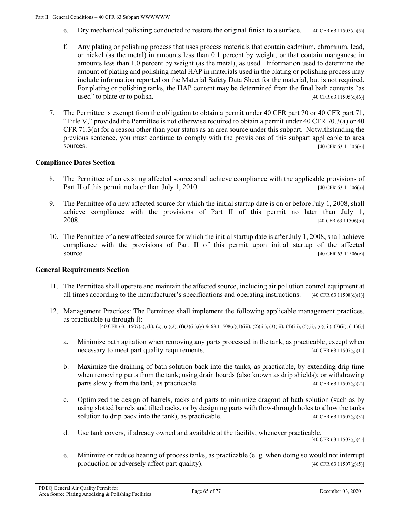- e. Dry mechanical polishing conducted to restore the original finish to a surface.  $[40 \text{ CFR } 63.11505 \text{ (d)}(5)]$
- f. Any plating or polishing process that uses process materials that contain cadmium, chromium, lead, or nickel (as the metal) in amounts less than 0.1 percent by weight, or that contain manganese in amounts less than 1.0 percent by weight (as the metal), as used. Information used to determine the amount of plating and polishing metal HAP in materials used in the plating or polishing process may include information reported on the Material Safety Data Sheet for the material, but is not required. For plating or polishing tanks, the HAP content may be determined from the final bath contents "as used" to plate or to polish.  $[40 \text{ CFR } 63.11505(d)(6)]$
- 7. The Permittee is exempt from the obligation to obtain a permit under 40 CFR part 70 or 40 CFR part 71, "Title V," provided the Permittee is not otherwise required to obtain a permit under 40 CFR 70.3(a) or 40 CFR 71.3(a) for a reason other than your status as an area source under this subpart. Notwithstanding the previous sentence, you must continue to comply with the provisions of this subpart applicable to area sources. [40 CFR 63.11505(e)]

## **Compliance Dates Section**

- 8. The Permittee of an existing affected source shall achieve compliance with the applicable provisions of Part II of this permit no later than July 1, 2010.  $[40 \text{ CFR } 63.11506(a)]$
- 9. The Permittee of a new affected source for which the initial startup date is on or before July 1, 2008, shall achieve compliance with the provisions of Part II of this permit no later than July 1,  $2008.$  [40 CFR 63.11506(b)]
- 10. The Permittee of a new affected source for which the initial startup date is after July 1, 2008, shall achieve compliance with the provisions of Part II of this permit upon initial startup of the affected source. [40 CFR 63.11506(c)]

## **General Requirements Section**

- 11. The Permittee shall operate and maintain the affected source, including air pollution control equipment at all times according to the manufacturer's specifications and operating instructions. [40 CFR 63.11508(d)(1)]
- 12. Management Practices: The Permittee shall implement the following applicable management practices, as practicable (a through l): [40 CFR 63.11507(a), (b), (c), (d)(2), (f)(3)(ii),(g) & 63.11508(c)(1)(iii), (2)(iii), (3)(iii), (4)(iii), (5)(ii), (6)(iii), (7)(ii), (11)(i)]
	- a. Minimize bath agitation when removing any parts processed in the tank, as practicable, except when necessary to meet part quality requirements. [40 CFR 63.11507(g)(1)]
	- b. Maximize the draining of bath solution back into the tanks, as practicable, by extending drip time when removing parts from the tank; using drain boards (also known as drip shields); or withdrawing parts slowly from the tank, as practicable. [40 CFR 63.11507(g)(2)]
	- c. Optimized the design of barrels, racks and parts to minimize dragout of bath solution (such as by using slotted barrels and tilted racks, or by designing parts with flow-through holes to allow the tanks solution to drip back into the tank), as practicable.  $[40 \text{ CFR } 63.11507(g)(3)]$
	- d. Use tank covers, if already owned and available at the facility, whenever practicable.

[40 CFR 63.11507(g)(4)]

e. Minimize or reduce heating of process tanks, as practicable (e. g. when doing so would not interrupt production or adversely affect part quality). [40 CFR 63.11507(g)(5)]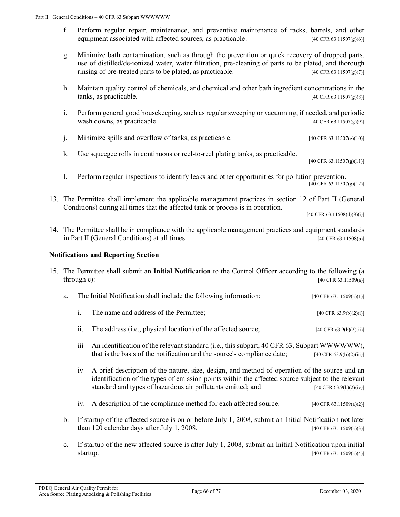- f. Perform regular repair, maintenance, and preventive maintenance of racks, barrels, and other equipment associated with affected sources, as practicable. [40 CFR 63.11507(g)(6)]
- g. Minimize bath contamination, such as through the prevention or quick recovery of dropped parts, use of distilled/de-ionized water, water filtration, pre-cleaning of parts to be plated, and thorough rinsing of pre-treated parts to be plated, as practicable.  $[40 \text{ CFR } 63.11507(g)(7)]$
- h. Maintain quality control of chemicals, and chemical and other bath ingredient concentrations in the tanks, as practicable.  $[40 \text{ CFR } 63.11507(g)(8)]$
- i. Perform general good housekeeping, such as regular sweeping or vacuuming, if needed, and periodic wash downs, as practicable.  $[40 \text{ CFR } 63.11507(g)(9)]$
- j. Minimize spills and overflow of tanks, as practicable. [40 CFR 63.11507(g)(10)]
- k. Use squeegee rolls in continuous or reel-to-reel plating tanks, as practicable.
- l. Perform regular inspections to identify leaks and other opportunities for pollution prevention. [40 CFR 63.11507(g)(12)]
- 13. The Permittee shall implement the applicable management practices in section 12 of Part II (General Conditions) during all times that the affected tank or process is in operation.

[40 CFR 63.11508(d)(8)(i)]

[40 CFR 63.11507(g)(11)]

14. The Permittee shall be in compliance with the applicable management practices and equipment standards in Part II (General Conditions) at all times. [40 CFR 63.11508(b)]

#### **Notifications and Reporting Section**

| 15. The Permittee shall submit an Initial Notification to the Control Officer according to the following (a<br>$through c)$ :<br>[40 CFR 63.11509(a)] |     |                                                                                                                                                                                                                                                                   |                                     |
|-------------------------------------------------------------------------------------------------------------------------------------------------------|-----|-------------------------------------------------------------------------------------------------------------------------------------------------------------------------------------------------------------------------------------------------------------------|-------------------------------------|
| a.                                                                                                                                                    |     | The Initial Notification shall include the following information:                                                                                                                                                                                                 | [40 CFR 63.11509(a)(1)]             |
|                                                                                                                                                       | i.  | The name and address of the Permittee;                                                                                                                                                                                                                            | [40 CFR 63.9(b)(2)(i)]              |
|                                                                                                                                                       | 11. | The address (i.e., physical location) of the affected source;                                                                                                                                                                                                     | $[40 \text{ CFR } 63.9(b)(2)(ii)]$  |
|                                                                                                                                                       | 111 | An identification of the relevant standard (i.e., this subpart, 40 CFR 63, Subpart WWWWW),<br>that is the basis of the notification and the source's compliance date;                                                                                             | $[40 \text{ CFR } 63.9(b)(2)(iii)]$ |
|                                                                                                                                                       | iv  | A brief description of the nature, size, design, and method of operation of the source and an<br>identification of the types of emission points within the affected source subject to the relevant<br>standard and types of hazardous air pollutants emitted; and | [40 CFR 63.9(b)(2)(iv)]             |
|                                                                                                                                                       |     | iv. A description of the compliance method for each affected source.                                                                                                                                                                                              | [40 CFR 63.11509(a)(2)]             |
| b.                                                                                                                                                    |     | If startup of the affected source is on or before July 1, 2008, submit an Initial Notification not later<br>than 120 calendar days after July 1, 2008.                                                                                                            | [40 CFR 63.11509(a)(3)]             |

c. If startup of the new affected source is after July 1, 2008, submit an Initial Notification upon initial startup. [40 CFR 63.11509(a)(4)]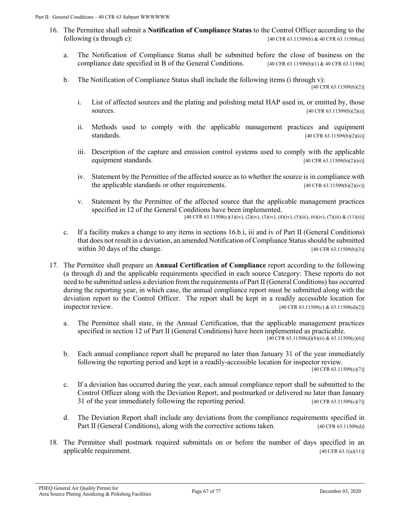- 16. The Permittee shall submit a **Notification of Compliance Status** to the Control Officer according to the following (a through c): [40 CFR 63.11509(b) & 40 CFR 63.11508(a)]
	- a. The Notification of Compliance Status shall be submitted before the close of business on the compliance date specified in B of the General Conditions. [40 CFR 63.11509(b)(1) & 40 CFR 63.11506]
	- b. The Notification of Compliance Status shall include the following items (i through v):

 $[40 \text{ CFR } 63.11509(b)(2)]$ 

- i. List of affected sources and the plating and polishing metal HAP used in, or emitted by, those sources. [40 CFR 63.11509(b)(2)(i)]
- ii. Methods used to comply with the applicable management practices and equipment standards. [40 CFR 63.11509(b)(2)(ii)]
- iii. Description of the capture and emission control systems used to comply with the applicable equipment standards.  $[40 \text{ CFR } 63.11509(b)(2)(iii)]$
- iv. Statement by the Permittee of the affected source as to whether the source is in compliance with the applicable standards or other requirements.  $[40 \text{ CFR } 63.11509(b)(2)(iv)]$
- v. Statement by the Permittee of the affected source that the applicable management practices specified in 12 of the General Conditions have been implemented.  $[40 \text{ CFR } 63.11508(c)(1)(iv), (2)(iv), (3)(iv), (4)(iv), (5)(iii), (6)(iv), (7)(iii) \& (11)(ii)]$
- c. If a facility makes a change to any items in sections 16.b.i, iii and iv of Part II (General Conditions) that does not result in a deviation, an amended Notification of Compliance Status should be submitted within 30 days of the change.  $[40 \text{ CFR } 63.11509(b)(3)]$
- 17. The Permittee shall prepare an **Annual Certification of Compliance** report according to the following (a through d) and the applicable requirements specified in each source Category: These reports do not need to be submitted unless a deviation from the requirements of Part II (General Conditions) has occurred during the reporting year, in which case, the annual compliance report must be submitted along with the deviation report to the Control Officer. The report shall be kept in a readily accessible location for inspector review. [40 CFR 63.11509(c) & 63.11508(d)(2)]
	- a. The Permittee shall state, in the Annual Certification, that the applicable management practices specified in section 12 of Part II (General Conditions) have been implemented as practicable.  $[40 \text{ CFR } 63.11508 \text{ (d)}(8) \text{ (ii) } \& 63.11509 \text{ (c)} \text{ (6)}]$
	- b. Each annual compliance report shall be prepared no later than January 31 of the year immediately following the reporting period and kept in a readily-accessible location for inspector review.

[40 CFR 63.11509(c)(7)]

- c. If a deviation has occurred during the year, each annual compliance report shall be submitted to the Control Officer along with the Deviation Report, and postmarked or delivered no later than January 31 of the year immediately following the reporting period.  $[40 \text{ CFR } 63.11509(c)(7)]$
- d. The Deviation Report shall include any deviations from the compliance requirements specified in Part II (General Conditions), along with the corrective actions taken. [40 CFR 63.11509(d)]
- 18. The Permittee shall postmark required submittals on or before the number of days specified in an applicable requirement.  $[40 \text{ CFR } 63.1(a)(11)]$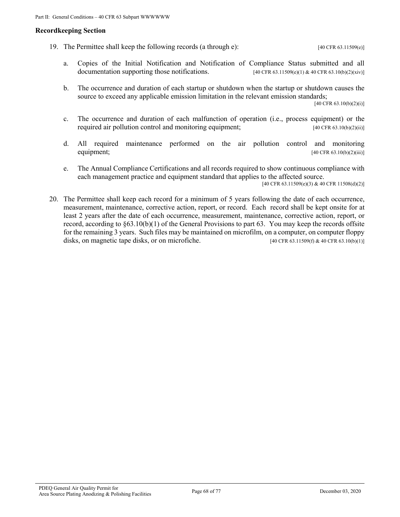#### **Recordkeeping Section**

- 19. The Permittee shall keep the following records (a through e): [40 CFR 63.11509(e)]
	- a. Copies of the Initial Notification and Notification of Compliance Status submitted and all documentation supporting those notifications. [40 CFR 63.11509(e)(1) & 40 CFR 63.10(b)(2)(xiv)]
	- b. The occurrence and duration of each startup or shutdown when the startup or shutdown causes the source to exceed any applicable emission limitation in the relevant emission standards;

[40 CFR 63.10(b)(2)(i)]

- c. The occurrence and duration of each malfunction of operation (i.e., process equipment) or the required air pollution control and monitoring equipment;  $[40 \text{ CFR } 63.10 \text{ (b)}(2) \text{ (ii)}]$
- d. All required maintenance performed on the air pollution control and monitoring equipment;  $[40 \text{ CFR } 63.10 \text{ (b)} (2) \text{ (iii)}]$
- e. The Annual Compliance Certifications and all records required to show continuous compliance with each management practice and equipment standard that applies to the affected source.

[40 CFR 63.11509(e)(3) & 40 CFR 11508(d)(2)]

20. The Permittee shall keep each record for a minimum of 5 years following the date of each occurrence, measurement, maintenance, corrective action, report, or record. Each record shall be kept onsite for at least 2 years after the date of each occurrence, measurement, maintenance, corrective action, report, or record, according to  $\S 63.10(b)(1)$  of the General Provisions to part 63. You may keep the records offsite for the remaining 3 years. Such files may be maintained on microfilm, on a computer, on computer floppy disks, on magnetic tape disks, or on microfiche. [40 CFR 63.11509(f) & 40 CFR 63.10(b)(1)]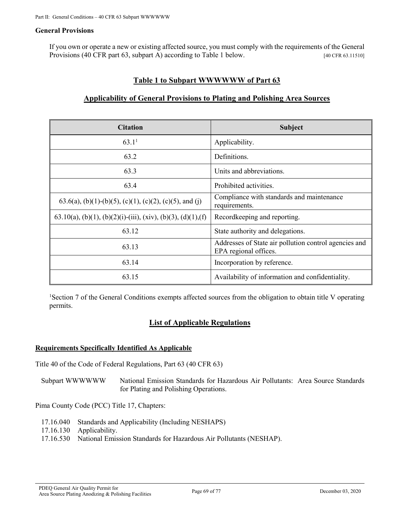### **General Provisions**

If you own or operate a new or existing affected source, you must comply with the requirements of the General Provisions (40 CFR part 63, subpart A) according to Table 1 below. [40 CFR 63.11510]

# **Table 1 to Subpart WWWWWW of Part 63**

## **Applicability of General Provisions to Plating and Polishing Area Sources**

| <b>Citation</b>                                              | <b>Subject</b>                                                                 |
|--------------------------------------------------------------|--------------------------------------------------------------------------------|
| 63.1 <sup>1</sup>                                            | Applicability.                                                                 |
| 63.2                                                         | Definitions.                                                                   |
| 63.3                                                         | Units and abbreviations.                                                       |
| 63.4                                                         | Prohibited activities.                                                         |
| 63.6(a), (b)(1)-(b)(5), (c)(1), (c)(2), (c)(5), and (j)      | Compliance with standards and maintenance<br>requirements.                     |
| 63.10(a), (b)(1), (b)(2)(i)-(iii), (xiv), (b)(3), (d)(1),(f) | Recordkeeping and reporting.                                                   |
| 63.12                                                        | State authority and delegations.                                               |
| 63.13                                                        | Addresses of State air pollution control agencies and<br>EPA regional offices. |
| 63.14                                                        | Incorporation by reference.                                                    |
| 63.15                                                        | Availability of information and confidentiality.                               |

<sup>1</sup>Section 7 of the General Conditions exempts affected sources from the obligation to obtain title V operating permits.

# **List of Applicable Regulations**

### **Requirements Specifically Identified As Applicable**

Title 40 of the Code of Federal Regulations, Part 63 (40 CFR 63)

Subpart WWWWWW National Emission Standards for Hazardous Air Pollutants: Area Source Standards for Plating and Polishing Operations.

Pima County Code (PCC) Title 17, Chapters:

- 17.16.040 Standards and Applicability (Including NESHAPS)
- 17.16.130 Applicability.
- 17.16.530 National Emission Standards for Hazardous Air Pollutants (NESHAP).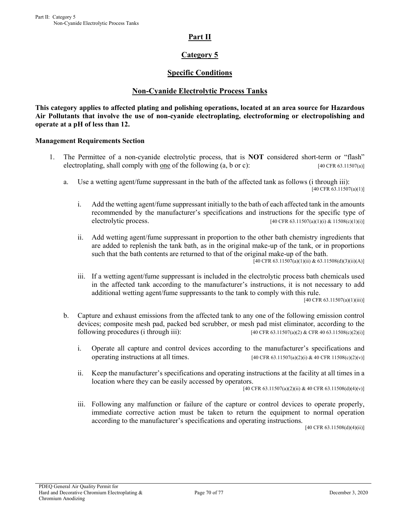# **Part II**

# **Category 5**

# **Specific Conditions**

# **Non-Cyanide Electrolytic Process Tanks**

**This category applies to affected plating and polishing operations, located at an area source for Hazardous Air Pollutants that involve the use of non-cyanide electroplating, electroforming or electropolishing and operate at a pH of less than 12.**

### **Management Requirements Section**

- 1. The Permittee of a non-cyanide electrolytic process, that is **NOT** considered short-term or "flash" electroplating, shall comply with one of the following  $(a, b \text{ or } c)$ : [40 CFR 63.11507(a)]
	- a. Use a wetting agent/fume suppressant in the bath of the affected tank as follows (i through iii): [40 CFR 63.11507(a)(1)]
		- i. Add the wetting agent/fume suppressant initially to the bath of each affected tank in the amounts recommended by the manufacturer's specifications and instructions for the specific type of electrolytic process.  $[40 \text{ CFR } 63.11507(a)(1)(i) \& 11508(c)(1)(i)]$
		- ii. Add wetting agent/fume suppressant in proportion to the other bath chemistry ingredients that are added to replenish the tank bath, as in the original make-up of the tank, or in proportions such that the bath contents are returned to that of the original make-up of the bath.

 $[40 \text{ CFR } 63.11507(a)(1)(ii) & 63.11508(d)(3)(ii)(A)]$ 

iii. If a wetting agent/fume suppressant is included in the electrolytic process bath chemicals used in the affected tank according to the manufacturer's instructions, it is not necessary to add additional wetting agent/fume suppressants to the tank to comply with this rule.

[40 CFR 63.11507(a)(1)(iii)]

- b. Capture and exhaust emissions from the affected tank to any one of the following emission control devices; composite mesh pad, packed bed scrubber, or mesh pad mist eliminator, according to the following procedures (i through iii):  $[40 \text{ CFR } 63.11507(a)(2) \& \text{ CFR } 40.63.11508(c)(2)(i)]$ 
	- i. Operate all capture and control devices according to the manufacturer's specifications and operating instructions at all times.  $[40 \text{ CFR } 63.11507(a)(2)(i) \& 40 \text{ CFR } 11508(c)(2)(v)]$
	- ii. Keep the manufacturer's specifications and operating instructions at the facility at all times in a location where they can be easily accessed by operators.

[40 CFR 63.11507(a)(2)(ii) & 40 CFR 63.11508(d)(4)(v)]

iii. Following any malfunction or failure of the capture or control devices to operate properly, immediate corrective action must be taken to return the equipment to normal operation according to the manufacturer's specifications and operating instructions.

[40 CFR 63.11508(d)(4)(ii)]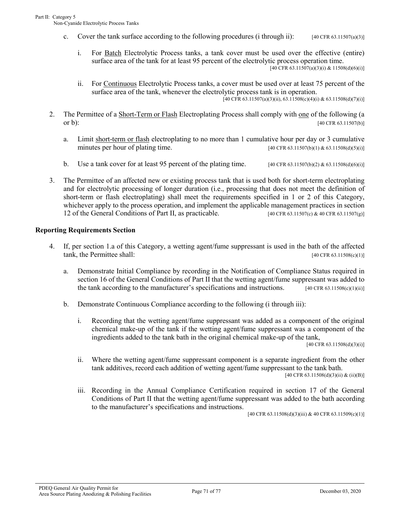- c. Cover the tank surface according to the following procedures (i through ii):  $[40 \text{ CFR } 63.11507(a)(3)]$ 
	- i. For Batch Electrolytic Process tanks, a tank cover must be used over the effective (entire) surface area of the tank for at least 95 percent of the electrolytic process operation time.

 $[40 \text{ CFR } 63.11507(a)(3)(i) \& 11508(d)(6)(i)]$ 

ii. For Continuous Electrolytic Process tanks, a cover must be used over at least 75 percent of the surface area of the tank, whenever the electrolytic process tank is in operation.

 $[40 \text{ CFR } 63.11507(a)(3)(ii), 63.11508(c)(4)(i) \& 63.11508(d)(7)(i)]$ 

- 2. The Permittee of a Short-Term or Flash Electroplating Process shall comply with one of the following (a or b): [40 CFR 63.11507(b)]
	- a. Limit short-term or flash electroplating to no more than 1 cumulative hour per day or 3 cumulative minutes per hour of plating time.  $[40 \text{ CFR } 63.11507(b)(1) \& 63.11508(d)(5)(i)]$
	- b. Use a tank cover for at least 95 percent of the plating time.  $[40 \text{ CFR } 63.11507(b)(2) \& 63.11508(d)(6)(i)]$
- 3. The Permittee of an affected new or existing process tank that is used both for short-term electroplating and for electrolytic processing of longer duration (i.e., processing that does not meet the definition of short-term or flash electroplating) shall meet the requirements specified in 1 or 2 of this Category, whichever apply to the process operation, and implement the applicable management practices in section 12 of the General Conditions of Part II, as practicable. [40 CFR 63.11507(c) & 40 CFR 63.11507(g)]

## **Reporting Requirements Section**

- 4. If, per section 1.a of this Category, a wetting agent/fume suppressant is used in the bath of the affected tank, the Permittee shall:  $[40 \text{ CFR } 63.11508(c)(1)]$ 
	- a. Demonstrate Initial Compliance by recording in the Notification of Compliance Status required in section 16 of the General Conditions of Part II that the wetting agent/fume suppressant was added to the tank according to the manufacturer's specifications and instructions.  $[40 \text{ CFR } 63.11508(c)(1)(ii)]$
	- b. Demonstrate Continuous Compliance according to the following (i through iii):
		- i. Recording that the wetting agent/fume suppressant was added as a component of the original chemical make-up of the tank if the wetting agent/fume suppressant was a component of the ingredients added to the tank bath in the original chemical make-up of the tank,

[40 CFR 63.11508(d)(3)(i)]

ii. Where the wetting agent/fume suppressant component is a separate ingredient from the other tank additives, record each addition of wetting agent/fume suppressant to the tank bath.

[40 CFR 63.11508(d)(3)(ii) & (ii)(B)]

iii. Recording in the Annual Compliance Certification required in section 17 of the General Conditions of Part II that the wetting agent/fume suppressant was added to the bath according to the manufacturer's specifications and instructions.

[40 CFR 63.11508(d)(3)(iii) & 40 CFR 63.11509(c)(1)]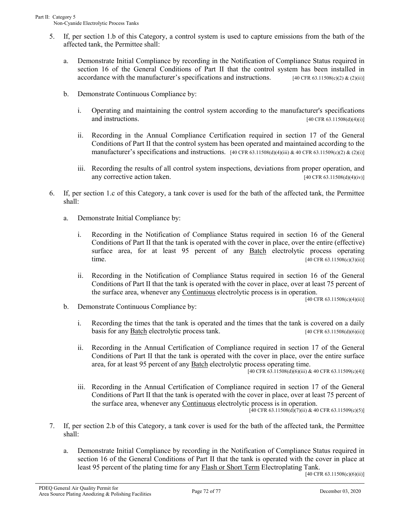- 5. If, per section 1.b of this Category, a control system is used to capture emissions from the bath of the affected tank, the Permittee shall:
	- a. Demonstrate Initial Compliance by recording in the Notification of Compliance Status required in section 16 of the General Conditions of Part II that the control system has been installed in accordance with the manufacturer's specifications and instructions. [40 CFR 63.11508(c)(2) & (2)(ii)]
	- b. Demonstrate Continuous Compliance by:
		- i. Operating and maintaining the control system according to the manufacturer's specifications and instructions.  $[40 \text{ CFR } 63.11508(d)(4)(i)]$
		- ii. Recording in the Annual Compliance Certification required in section 17 of the General Conditions of Part II that the control system has been operated and maintained according to the manufacturer's specifications and instructions. [40 CFR 63.11508(d)(4)(iii) & 40 CFR 63.11509(e)(2) & (2)(i)]
		- iii. Recording the results of all control system inspections, deviations from proper operation, and any corrective action taken. [40 CFR 63.11508(d)(4)(iv)]
- 6. If, per section 1.c of this Category, a tank cover is used for the bath of the affected tank, the Permittee shall:
	- a. Demonstrate Initial Compliance by:
		- i. Recording in the Notification of Compliance Status required in section 16 of the General Conditions of Part II that the tank is operated with the cover in place, over the entire (effective) surface area, for at least 95 percent of any Batch electrolytic process operating time. [40 CFR 63.11508(c)(3)(ii)]
		- ii. Recording in the Notification of Compliance Status required in section 16 of the General Conditions of Part II that the tank is operated with the cover in place, over at least 75 percent of the surface area, whenever any Continuous electrolytic process is in operation.

[40 CFR 63.11508(c)(4)(ii)]

- b. Demonstrate Continuous Compliance by:
	- i. Recording the times that the tank is operated and the times that the tank is covered on a daily basis for any Batch electrolytic process tank.  $[40 \text{ CFR } 63.11508(d)(6)(ii)]$
	- ii. Recording in the Annual Certification of Compliance required in section 17 of the General Conditions of Part II that the tank is operated with the cover in place, over the entire surface area, for at least 95 percent of any Batch electrolytic process operating time.  $[40 \text{ CFR } 63.11508 \text{ (d)} \cdot (6)(iii) \& 40 \text{ CFR } 63.11509 \text{ (c)} \cdot (4)]$

iii. Recording in the Annual Certification of Compliance required in section 17 of the General Conditions of Part II that the tank is operated with the cover in place, over at least 75 percent of the surface area, whenever any Continuous electrolytic process is in operation.

 $\left[40 \text{ CFR } 63.11508 \left(\frac{1}{4}\right)\left(7\right) \left(\frac{1}{11}\right) \& 40 \text{ CFR } 63.11509 \left(\frac{1}{15}\right)\right]$ 

- 7. If, per section 2.b of this Category, a tank cover is used for the bath of the affected tank, the Permittee shall:
	- a. Demonstrate Initial Compliance by recording in the Notification of Compliance Status required in section 16 of the General Conditions of Part II that the tank is operated with the cover in place at least 95 percent of the plating time for any Flash or Short Term Electroplating Tank.

 $[40 \text{ CFR } 63.11508(c)(6)(ii)]$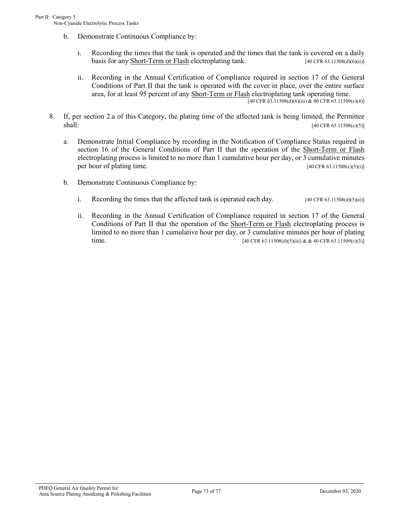- b. Demonstrate Continuous Compliance by:
	- i. Recording the times that the tank is operated and the times that the tank is covered on a daily basis for any Short-Term or Flash electroplating tank. [40 CFR 63.11508(d)(6)(ii)]
	- ii. Recording in the Annual Certification of Compliance required in section 17 of the General Conditions of Part II that the tank is operated with the cover in place, over the entire surface area, for at least 95 percent of any Short-Term or Flash electroplating tank operating time.  $\frac{1}{2}$ [40 CFR 63.11508(d)(6)(iii) & 40 CFR 63.11509(c)(4)]
- 8. If, per section 2.a of this Category, the plating time of the affected tank is being limited, the Permittee  $shall:$  [40 CFR 63.11508(c)(5)]
	- a. Demonstrate Initial Compliance by recording in the Notification of Compliance Status required in section 16 of the General Conditions of Part II that the operation of the Short-Term or Flash electroplating process is limited to no more than 1 cumulative hour per day, or 3 cumulative minutes per hour of plating time.  $[40 \text{ CFR } 63.11508(c)(5)(i)]$
	- b. Demonstrate Continuous Compliance by:
		- i. Recording the times that the affected tank is operated each day.  $[40 \text{ CFR } 63.11508 \text{ (d)}(5) \text{ (ii)}]$
		- ii. Recording in the Annual Certification of Compliance required in section 17 of the General Conditions of Part II that the operation of the Short-Term or Flash electroplating process is limited to no more than 1 cumulative hour per day, or 3 cumulative minutes per hour of plating time. [40 CFR 63.11508(d)(5)(iii) & & 40 CFR 63.11509(c)(3)]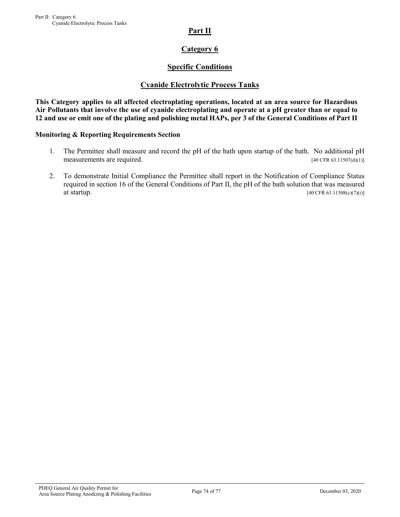### **Part II**

## **Category 6**

### **Specific Conditions**

#### **Cyanide Electrolytic Process Tanks**

**This Category applies to all affected electroplating operations, located at an area source for Hazardous Air Pollutants that involve the use of cyanide electroplating and operate at a pH greater than or equal to 12 and use or emit one of the plating and polishing metal HAPs, per 3 of the General Conditions of Part II**

#### **Monitoring & Reporting Requirements Section**

- 1. The Permittee shall measure and record the pH of the bath upon startup of the bath. No additional pH measurements are required.  $[40 \text{ CFR } 63.11507(d)(1)]$
- 2. To demonstrate Initial Compliance the Permittee shall report in the Notification of Compliance Status required in section 16 of the General Conditions of Part II, the pH of the bath solution that was measured at startup.  $[40 \text{ CFR } 63.11508(c)(7)(i)]$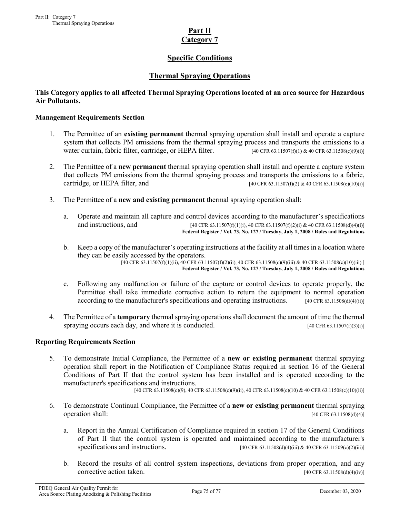#### **Part II Category 7**

# **Specific Conditions**

## **Thermal Spraying Operations**

#### **This Category applies to all affected Thermal Spraying Operations located at an area source for Hazardous Air Pollutants.**

#### **Management Requirements Section**

- 1. The Permittee of an **existing permanent** thermal spraying operation shall install and operate a capture system that collects PM emissions from the thermal spraying process and transports the emissions to a water curtain, fabric filter, cartridge, or HEPA filter.  $[40 \text{ CFR } 63.11507(f)(1) \& 40 \text{ CFR } 63.11508(e)(9)(i)]$
- 2. The Permittee of a **new permanent** thermal spraying operation shall install and operate a capture system that collects PM emissions from the thermal spraying process and transports the emissions to a fabric, cartridge, or HEPA filter, and  $[40 \text{ CFR } 63.11507(f)(2) \& 40 \text{ CFR } 63.11508(c)(10)(i)]$
- 3. The Permittee of a **new and existing permanent** thermal spraying operation shall:
	- a. Operate and maintain all capture and control devices according to the manufacturer's specifications and instructions, and  $[40 \text{ CFR } 63.11507(f)(1)(i), 40 \text{ CFR } 63.11507(f)(2)(i) \& 40 \text{ CFR } 63.11508(d)(4)(i)]$ **Federal Register / Vol. 73, No. 127 / Tuesday, July 1, 2008 / Rules and Regulations**
	- b. Keep a copy of the manufacturer's operating instructions at the facility at all times in a location where they can be easily accessed by the operators. [40 CFR 63.11507(f)(1)(ii), 40 CFR 63.11507(f)(2)(ii), 40 CFR 63.11508(c)(9)(iii) & 40 CFR 63.11508(c)(10)(iii) ] **Federal Register / Vol. 73, No. 127 / Tuesday, July 1, 2008 / Rules and Regulations**
	- c. Following any malfunction or failure of the capture or control devices to operate properly, the Permittee shall take immediate corrective action to return the equipment to normal operation according to the manufacturer's specifications and operating instructions.  $[40 \text{ CFR } 63.11508(d)(4)(ii)]$
- 4. The Permittee of a **temporary** thermal spraying operations shall document the amount of time the thermal spraying occurs each day, and where it is conducted.  $[40 \text{ CFR } 63.11507 \cdot (f)(3)(i)]$

#### **Reporting Requirements Section**

5. To demonstrate Initial Compliance, the Permittee of a **new or existing permanent** thermal spraying operation shall report in the Notification of Compliance Status required in section 16 of the General Conditions of Part II that the control system has been installed and is operated according to the manufacturer's specifications and instructions.

[40 CFR 63.11508(c)(9), 40 CFR 63.11508(c)(9)(ii), 40 CFR 63.11508(c)(10) & 40 CFR 63.11508(c)(10)(ii)]

- 6. To demonstrate Continual Compliance, the Permittee of a **new or existing permanent** thermal spraying operation shall:  $[40 \text{ CFR } 63.11508 \text{ (d)}(4)]$ 
	- a. Report in the Annual Certification of Compliance required in section 17 of the General Conditions of Part II that the control system is operated and maintained according to the manufacturer's specifications and instructions.  $[40 \text{ CFR } 63.11508(d)(4)(iii)] \& 40 \text{ CFR } 63.11509(c)(2)(iii)]$
	- b. Record the results of all control system inspections, deviations from proper operation, and any corrective action taken.  $[40 \text{ CFR } 63.11508(d)(4)(iv)]$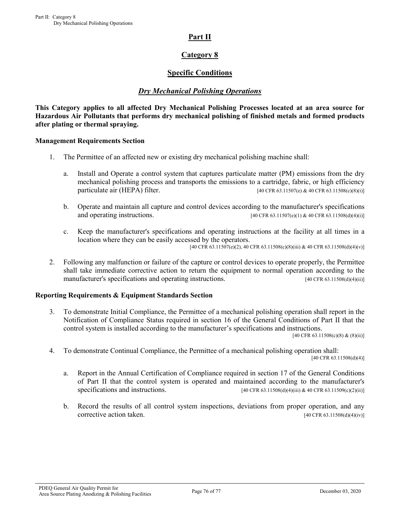### **Part II**

### **Category 8**

### **Specific Conditions**

#### *Dry Mechanical Polishing Operations*

**This Category applies to all affected Dry Mechanical Polishing Processes located at an area source for Hazardous Air Pollutants that performs dry mechanical polishing of finished metals and formed products after plating or thermal spraying.** 

#### **Management Requirements Section**

- 1. The Permittee of an affected new or existing dry mechanical polishing machine shall:
	- a. Install and Operate a control system that captures particulate matter (PM) emissions from the dry mechanical polishing process and transports the emissions to a cartridge, fabric, or high efficiency particulate air (HEPA) filter. [40 CFR 63.11507(e) & 40 CFR 63.11508(c)(8)(i)]
	- b. Operate and maintain all capture and control devices according to the manufacturer's specifications and operating instructions.  $[40 \text{ CFR } 63.11507(e)(1) \& 40 \text{ CFR } 63.11508(d)(4)(i)]$
	- c. Keep the manufacturer's specifications and operating instructions at the facility at all times in a location where they can be easily accessed by the operators.

 $[40 \text{ CFR } 63.11507 \text{(e)} \text{(2)}, 40 \text{ CFR } 63.11508 \text{(c)} \text{(8)} \text{(iii)} \& 40 \text{ CFR } 63.11508 \text{(d)} \text{(4)} \text{(v)}]$ 

2. Following any malfunction or failure of the capture or control devices to operate properly, the Permittee shall take immediate corrective action to return the equipment to normal operation according to the manufacturer's specifications and operating instructions. [40 CFR 63.11508(d)(4)(ii)]

#### **Reporting Requirements & Equipment Standards Section**

3. To demonstrate Initial Compliance, the Permittee of a mechanical polishing operation shall report in the Notification of Compliance Status required in section 16 of the General Conditions of Part II that the control system is installed according to the manufacturer's specifications and instructions.

[40 CFR 63.11508(c)(8) & (8)(ii)]

4. To demonstrate Continual Compliance, the Permittee of a mechanical polishing operation shall:

[40 CFR 63.11508(d)(4)]

- a. Report in the Annual Certification of Compliance required in section 17 of the General Conditions of Part II that the control system is operated and maintained according to the manufacturer's specifications and instructions.  $[40 \text{ CFR } 63.11508(d)(4)(iii) \& 40 \text{ CFR } 63.11509(c)(2)(ii)]$
- b. Record the results of all control system inspections, deviations from proper operation, and any corrective action taken.  $[40 \text{ CFR } 63.11508(d)(4)(iv)]$